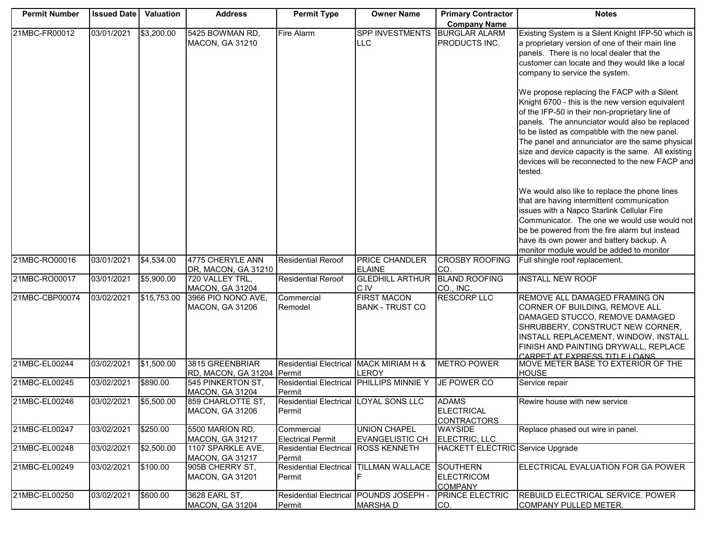| <b>Permit Number</b> | <b>Issued Date</b> | Valuation   | <b>Address</b>                                | <b>Permit Type</b>                                 | <b>Owner Name</b>                             | <b>Primary Contractor</b>                              | <b>Notes</b>                                                                                                                                                                                                                                                                                                                                                                                                                 |
|----------------------|--------------------|-------------|-----------------------------------------------|----------------------------------------------------|-----------------------------------------------|--------------------------------------------------------|------------------------------------------------------------------------------------------------------------------------------------------------------------------------------------------------------------------------------------------------------------------------------------------------------------------------------------------------------------------------------------------------------------------------------|
|                      |                    |             |                                               |                                                    |                                               | <b>Company Name</b>                                    |                                                                                                                                                                                                                                                                                                                                                                                                                              |
| 21MBC-FR00012        | 03/01/2021         | \$3,200.00  | 5425 BOWMAN RD,<br>MACON, GA 31210            | Fire Alarm                                         | <b>SPP INVESTMENTS</b><br>LLC                 | <b>BURGLAR ALARM</b><br>PRODUCTS INC.                  | Existing System is a Silent Knight IFP-50 which is<br>a proprietary version of one of their main line<br>panels. There is no local dealer that the<br>customer can locate and they would like a local<br>company to service the system.                                                                                                                                                                                      |
|                      |                    |             |                                               |                                                    |                                               |                                                        | We propose replacing the FACP with a Silent<br>Knight 6700 - this is the new version equivalent<br>of the IFP-50 in their non-proprietary line of<br>panels. The annunciator would also be replaced<br>to be listed as compatible with the new panel.<br>The panel and annunciator are the same physical<br>size and device capacity is the same. All existing<br>devices will be reconnected to the new FACP and<br>tested. |
|                      |                    |             |                                               |                                                    |                                               |                                                        | We would also like to replace the phone lines<br>that are having intermittent communication<br>issues with a Napco Starlink Cellular Fire<br>Communicator. The one we would use would not<br>be be powered from the fire alarm but instead<br>have its own power and battery backup. A<br>monitor module would be added to monitor                                                                                           |
| 21MBC-RO00016        | 03/01/2021         | \$4,534.00  | 4775 CHERYLE ANN<br>DR, MACON, GA 31210       | <b>Residential Reroof</b>                          | <b>PRICE CHANDLER</b><br><b>ELAINE</b>        | <b>CROSBY ROOFING</b><br>CO.                           | Full shingle roof replacement.                                                                                                                                                                                                                                                                                                                                                                                               |
| 21MBC-RO00017        | 03/01/2021         | \$5,900.00  | 720 VALLEY TRL,<br><b>MACON, GA 31204</b>     | <b>Residential Reroof</b>                          | <b>GLEDHILL ARTHUR</b><br>C IV                | <b>BLAND ROOFING</b><br>CO., INC.                      | <b>INSTALL NEW ROOF</b>                                                                                                                                                                                                                                                                                                                                                                                                      |
| 21MBC-CBP00074       | 03/02/2021         | \$15,753.00 | 3966 PIO NONO AVE,<br><b>MACON, GA 31206</b>  | Commercial<br>Remodel                              | <b>FIRST MACON</b><br><b>BANK - TRUST CO</b>  | <b>RESCORP LLC</b>                                     | REMOVE ALL DAMAGED FRAMING ON<br>CORNER OF BUILDING, REMOVE ALL<br>DAMAGED STUCCO, REMOVE DAMAGED<br>SHRUBBERY, CONSTRUCT NEW CORNER,<br>INSTALL REPLACEMENT, WINDOW, INSTALL<br>FINISH AND PAINTING DRYWALL, REPLACE<br>CARPET AT EXPRESS TITLE LOANS                                                                                                                                                                       |
| 21MBC-EL00244        | 03/02/2021         | \$1,500.00  | 3815 GREENBRIAR<br>RD, MACON, GA 31204 Permit | Residential Electrical MACK MIRIAM H &             | LEROY                                         | <b>METRO POWER</b>                                     | MOVE METER BASE TO EXTERIOR OF THE<br><b>HOUSE</b>                                                                                                                                                                                                                                                                                                                                                                           |
| 21MBC-EL00245        | 03/02/2021         | \$890.00    | 545 PINKERTON ST,<br><b>MACON, GA 31204</b>   | Residential Electrical PHILLIPS MINNIE Y<br>Permit |                                               | JE POWER CO                                            | Service repair                                                                                                                                                                                                                                                                                                                                                                                                               |
| 21MBC-EL00246        | 03/02/2021         | \$5,500.00  | 859 CHARLOTTE ST,<br> MACON, GA 31206         | Residential Electrical LOYAL SONS LLC<br>Permit    |                                               | <b>ADAMS</b><br>ELECTRICAL<br><b>CONTRACTORS</b>       | Rewire house with new service                                                                                                                                                                                                                                                                                                                                                                                                |
| 21MBC-EL00247        | 03/02/2021         | \$250.00    | 5500 MARION RD,<br>MACON, GA 31217            | Commercial<br><b>Electrical Permit</b>             | <b>UNION CHAPEL</b><br><b>EVANGELISTIC CH</b> | <b>WAYSIDE</b><br>ELECTRIC, LLC                        | Replace phased out wire in panel.                                                                                                                                                                                                                                                                                                                                                                                            |
| 21MBC-EL00248        | 03/02/2021         | \$2,500.00  | 1107 SPARKLE AVE,<br>MACON, GA 31217          | <b>Residential Electrical</b><br>Permit            | <b>ROSS KENNETH</b>                           | <b>HACKETT ELECTRIC</b> Service Upgrade                |                                                                                                                                                                                                                                                                                                                                                                                                                              |
| 21MBC-EL00249        | 03/02/2021         | \$100.00    | 905B CHERRY ST,<br><b>MACON, GA 31201</b>     | <b>Residential Electrical</b><br>Permit            | <b>TILLMAN WALLACE</b>                        | <b>SOUTHERN</b><br><b>ELECTRICOM</b><br><b>COMPANY</b> | ELECTRICAL EVALUATION FOR GA POWER                                                                                                                                                                                                                                                                                                                                                                                           |
| 21MBC-EL00250        | 03/02/2021         | \$600.00    | 3628 EARL ST,<br><b>MACON, GA 31204</b>       | Residential Electrical POUNDS JOSEPH -<br>Permit   | <b>MARSHAD</b>                                | <b>PRINCE ELECTRIC</b><br>CO.                          | REBUILD ELECTRICAL SERVICE. POWER<br>COMPANY PULLED METER.                                                                                                                                                                                                                                                                                                                                                                   |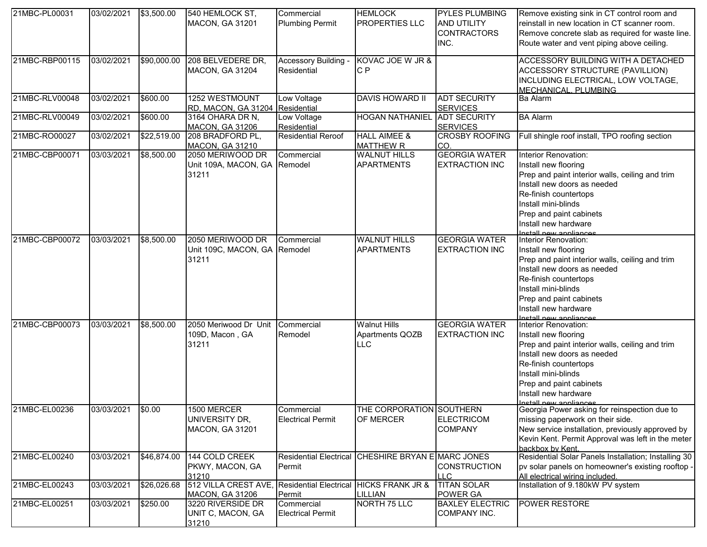| 21MBC-PL00031  | 03/02/2021 | \$3,500.00  | 540 HEMLOCK ST,                              | Commercial                              | <b>HEMLOCK</b>                                     | <b>PYLES PLUMBING</b>                  | Remove existing sink in CT control room and                                                    |
|----------------|------------|-------------|----------------------------------------------|-----------------------------------------|----------------------------------------------------|----------------------------------------|------------------------------------------------------------------------------------------------|
|                |            |             | <b>MACON, GA 31201</b>                       | <b>Plumbing Permit</b>                  | <b>PROPERTIES LLC</b>                              | <b>AND UTILITY</b>                     | reinstall in new location in CT scanner room.                                                  |
|                |            |             |                                              |                                         |                                                    | <b>CONTRACTORS</b><br>INC.             | Remove concrete slab as required for waste line.<br>Route water and vent piping above ceiling. |
|                |            |             |                                              |                                         |                                                    |                                        |                                                                                                |
| 21MBC-RBP00115 | 03/02/2021 | \$90,000.00 | 208 BELVEDERE DR,                            | Accessory Building -                    | KOVAC JOE W JR &                                   |                                        | ACCESSORY BUILDING WITH A DETACHED                                                             |
|                |            |             | MACON, GA 31204                              | Residential                             | C P                                                |                                        | ACCESSORY STRUCTURE (PAVILLION)                                                                |
|                |            |             |                                              |                                         |                                                    |                                        | INCLUDING ELECTRICAL, LOW VOLTAGE,                                                             |
|                |            |             |                                              |                                         |                                                    |                                        | MECHANICAL. PLUMBING                                                                           |
| 21MBC-RLV00048 | 03/02/2021 | \$600.00    | 1252 WESTMOUNT<br><b>RD, MACON, GA 31204</b> | Low Voltage<br>Residential              | <b>DAVIS HOWARD II</b>                             | <b>ADT SECURITY</b>                    | <b>Ba Alarm</b>                                                                                |
| 21MBC-RLV00049 | 03/02/2021 | \$600.00    | 3164 OHARA DR N,                             | Low Voltage                             | <b>HOGAN NATHANIEL</b>                             | <b>SERVICES</b><br><b>ADT SECURITY</b> | <b>BA Alarm</b>                                                                                |
|                |            |             | <b>MACON, GA 31206</b>                       | Residential                             |                                                    | <b>SERVICES</b>                        |                                                                                                |
| 21MBC-RO00027  | 03/02/2021 | \$22,519.00 | 208 BRADFORD PL,                             | <b>Residential Reroof</b>               | <b>HALL AIMEE &amp;</b>                            | <b>CROSBY ROOFING</b>                  | Full shingle roof install, TPO roofing section                                                 |
|                |            |             | <b>MACON, GA 31210</b>                       |                                         | <b>MATTHEW R</b>                                   | CO.                                    |                                                                                                |
| 21MBC-CBP00071 | 03/03/2021 | \$8,500.00  | 2050 MERIWOOD DR                             | Commercial                              | <b>WALNUT HILLS</b>                                | <b>GEORGIA WATER</b>                   | Interior Renovation:                                                                           |
|                |            |             | Unit 109A, MACON, GA                         | Remodel                                 | <b>APARTMENTS</b>                                  | <b>EXTRACTION INC</b>                  | Install new flooring                                                                           |
|                |            |             | 31211                                        |                                         |                                                    |                                        | Prep and paint interior walls, ceiling and trim                                                |
|                |            |             |                                              |                                         |                                                    |                                        | Install new doors as needed                                                                    |
|                |            |             |                                              |                                         |                                                    |                                        | Re-finish countertops                                                                          |
|                |            |             |                                              |                                         |                                                    |                                        | Install mini-blinds                                                                            |
|                |            |             |                                              |                                         |                                                    |                                        | Prep and paint cabinets                                                                        |
|                |            |             |                                              |                                         |                                                    |                                        | Install new hardware<br>Install new annliances                                                 |
| 21MBC-CBP00072 | 03/03/2021 | \$8,500.00  | 2050 MERIWOOD DR                             | Commercial                              | <b>WALNUT HILLS</b>                                | <b>GEORGIA WATER</b>                   | Interior Renovation:                                                                           |
|                |            |             | Unit 109C, MACON, GA                         | Remodel                                 | <b>APARTMENTS</b>                                  | <b>EXTRACTION INC</b>                  | Install new flooring                                                                           |
|                |            |             | 31211                                        |                                         |                                                    |                                        | Prep and paint interior walls, ceiling and trim                                                |
|                |            |             |                                              |                                         |                                                    |                                        | Install new doors as needed                                                                    |
|                |            |             |                                              |                                         |                                                    |                                        | Re-finish countertops                                                                          |
|                |            |             |                                              |                                         |                                                    |                                        | Install mini-blinds                                                                            |
|                |            |             |                                              |                                         |                                                    |                                        | Prep and paint cabinets                                                                        |
|                |            |             |                                              |                                         |                                                    |                                        | Install new hardware<br>netall new annliances                                                  |
| 21MBC-CBP00073 | 03/03/2021 | \$8,500.00  | 2050 Meriwood Dr Unit                        | Commercial                              | <b>Walnut Hills</b>                                | <b>GEORGIA WATER</b>                   | Interior Renovation:                                                                           |
|                |            |             | 109D, Macon, GA                              | Remodel                                 | Apartments QOZB                                    | <b>EXTRACTION INC</b>                  | Install new flooring                                                                           |
|                |            |             | 31211                                        |                                         | <b>LLC</b>                                         |                                        | Prep and paint interior walls, ceiling and trim                                                |
|                |            |             |                                              |                                         |                                                    |                                        | Install new doors as needed                                                                    |
|                |            |             |                                              |                                         |                                                    |                                        | Re-finish countertops                                                                          |
|                |            |             |                                              |                                         |                                                    |                                        | Install mini-blinds                                                                            |
|                |            |             |                                              |                                         |                                                    |                                        | Prep and paint cabinets                                                                        |
|                |            |             |                                              |                                         |                                                    |                                        | Install new hardware<br><u>Install now anniiances</u>                                          |
| 21MBC-EL00236  | 03/03/2021 | \$0.00      | 1500 MERCER                                  | Commercial                              | THE CORPORATION SOUTHERN                           |                                        | Georgia Power asking for reinspection due to                                                   |
|                |            |             | UNIVERSITY DR,                               | <b>Electrical Permit</b>                | OF MERCER                                          | <b>ELECTRICOM</b>                      | missing paperwork on their side.                                                               |
|                |            |             | <b>MACON, GA 31201</b>                       |                                         |                                                    | <b>COMPANY</b>                         | New service installation, previously approved by                                               |
|                |            |             |                                              |                                         |                                                    |                                        | Kevin Kent. Permit Approval was left in the meter                                              |
| 21MBC-EL00240  | 03/03/2021 | \$46,874.00 | 144 COLD CREEK                               |                                         | Residential Electrical CHESHIRE BRYAN E MARC JONES |                                        | backbox by Kent.<br>Residential Solar Panels Installation; Installing 30                       |
|                |            |             | PKWY, MACON, GA                              | Permit                                  |                                                    | <b>CONSTRUCTION</b>                    | pv solar panels on homeowner's existing rooftop -                                              |
|                |            |             | 31210                                        |                                         |                                                    | <b>LLC</b>                             | All electrical wiring included.                                                                |
| 21MBC-EL00243  | 03/03/2021 | \$26,026.68 | 512 VILLA CREST AVE,                         | Residential Electrical HICKS FRANK JR & |                                                    | <b>TITAN SOLAR</b>                     | Installation of 9.180kW PV system                                                              |
|                |            |             | MACON, GA 31206                              | Permit                                  | LILLIAN                                            | POWER GA                               |                                                                                                |
| 21MBC-EL00251  | 03/03/2021 | \$250.00    | 3220 RIVERSIDE DR                            | Commercial                              | NORTH 75 LLC                                       | <b>BAXLEY ELECTRIC</b>                 | <b>POWER RESTORE</b>                                                                           |
|                |            |             | UNIT C, MACON, GA                            | <b>Electrical Permit</b>                |                                                    | COMPANY INC.                           |                                                                                                |
|                |            |             | 31210                                        |                                         |                                                    |                                        |                                                                                                |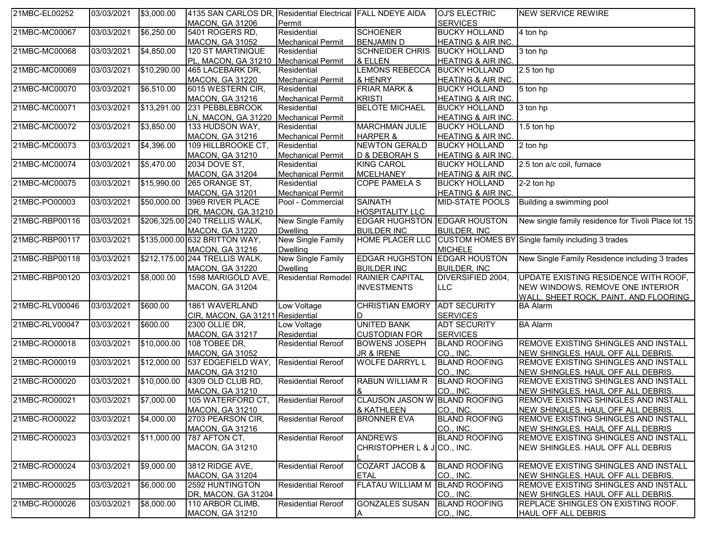| 21MBC-EL00252  | 03/03/2021 | \$3,000.00  | 4135 SAN CARLOS DR, Residential Electrical FALL NDEYE AIDA |                            |                                      | OJ'S ELECTRIC                     | NEW SERVICE REWIRE                                  |
|----------------|------------|-------------|------------------------------------------------------------|----------------------------|--------------------------------------|-----------------------------------|-----------------------------------------------------|
|                |            |             | MACON, GA 31206                                            | Permit                     |                                      | <b>SERVICES</b>                   |                                                     |
| 21MBC-MC00067  | 03/03/2021 | \$6,250.00  | 5401 ROGERS RD,                                            | Residential                | <b>SCHOENER</b>                      | <b>BUCKY HOLLAND</b>              | 4 ton hp                                            |
|                |            |             | <b>MACON, GA 31052</b>                                     | <b>Mechanical Permit</b>   | <b>BENJAMIN D</b>                    | <b>HEATING &amp; AIR INC.</b>     |                                                     |
| 21MBC-MC00068  | 03/03/2021 | \$4,850.00  | 120 ST MARTINIQUE                                          | Residential                | <b>SCHNEIDER CHRIS</b>               | <b>BUCKY HOLLAND</b>              | 3 ton hp                                            |
|                |            |             | PL, MACON, GA 31210 Mechanical Permit                      |                            | & ELLEN                              | <b>HEATING &amp; AIR INC.</b>     |                                                     |
| 21MBC-MC00069  | 03/03/2021 | \$10,290.00 | 465 LACEBARK DR,                                           | Residential                | <b>LEMONS REBECCA</b>                | <b>BUCKY HOLLAND</b>              | 2.5 ton hp                                          |
|                |            |             | <b>MACON, GA 31220</b>                                     | <b>Mechanical Permit</b>   | & HENRY                              | <b>HEATING &amp; AIR INC.</b>     |                                                     |
| 21MBC-MC00070  | 03/03/2021 | \$6,510.00  | 6015 WESTERN CIR,                                          | Residential                | <b>FRIAR MARK &amp;</b>              | <b>BUCKY HOLLAND</b>              | 5 ton hp                                            |
|                |            |             | <b>MACON, GA 31216</b>                                     | <b>Mechanical Permit</b>   | <b>KRISTI</b>                        | HEATING & AIR INC.                |                                                     |
| 21MBC-MC00071  | 03/03/2021 | \$13,291.00 | 231 PEBBLEBROOK                                            | Residential                | <b>BELOTE MICHAEL</b>                | <b>BUCKY HOLLAND</b>              | 3 ton hp                                            |
|                |            |             | LN, MACON, GA 31220                                        | <b>Mechanical Permit</b>   |                                      | <b>HEATING &amp; AIR INC.</b>     |                                                     |
| 21MBC-MC00072  | 03/03/2021 | \$3,850.00  | 133 HUDSON WAY,                                            | Residential                | <b>MARCHMAN JULIE</b>                | <b>BUCKY HOLLAND</b>              | 1.5 ton hp                                          |
|                |            |             | MACON, GA 31216                                            | <b>Mechanical Permit</b>   | <b>HARPER &amp;</b>                  | <b>HEATING &amp; AIR INC.</b>     |                                                     |
| 21MBC-MC00073  | 03/03/2021 | \$4,396.00  | 109 HILLBROOKE CT,                                         | Residential                | <b>NEWTON GERALD</b>                 | <b>BUCKY HOLLAND</b>              | 2 ton hp                                            |
|                |            |             | <b>MACON, GA 31210</b>                                     | <b>Mechanical Permit</b>   | D & DEBORAH S                        | HEATING & AIR INC.                |                                                     |
| 21MBC-MC00074  | 03/03/2021 | \$5,470.00  | 2034 DOVE ST,                                              | Residential                | <b>KING CAROL</b>                    | <b>BUCKY HOLLAND</b>              | 2.5 ton a/c coil, furnace                           |
|                |            |             | <b>MACON, GA 31204</b>                                     | <b>Mechanical Permit</b>   | <b>MCELHANEY</b>                     | <b>HEATING &amp; AIR INC.</b>     |                                                     |
| 21MBC-MC00075  | 03/03/2021 | \$15,990.00 | 265 ORANGE ST,                                             | Residential                | <b>COPE PAMELA S</b>                 | <b>BUCKY HOLLAND</b>              | 2-2 ton hp                                          |
|                |            |             | <b>MACON, GA 31201</b>                                     | <b>Mechanical Permit</b>   |                                      | <b>HEATING &amp; AIR INC.</b>     |                                                     |
| 21MBC-PO00003  | 03/03/2021 | \$50,000.00 | 3969 RIVER PLACE                                           | Pool - Commercial          | <b>SAINATH</b>                       | <b>MID-STATE POOLS</b>            | Building a swimming pool                            |
|                |            |             | DR, MACON, GA 31210                                        |                            | <b>HOSPITALITY LLC</b>               |                                   |                                                     |
| 21MBC-RBP00116 | 03/03/2021 |             | \$206,325.00 240 TRELLIS WALK,                             | New Single Family          | EDGAR HUGHSTON EDGAR HOUSTON         |                                   | New single family residence for Tivoli Place lot 15 |
|                |            |             | <b>MACON, GA 31220</b>                                     | <b>Dwelling</b>            | <b>BUILDER INC</b>                   | <b>BUILDER, INC.</b>              |                                                     |
| 21MBC-RBP00117 | 03/03/2021 |             | \$135,000.00 632 BRITTON WAY,                              | New Single Family          | <b>HOME PLACER LLC</b>               |                                   | CUSTOM HOMES BY Single family including 3 trades    |
|                |            |             | MACON, GA 31216                                            | <b>Dwelling</b>            |                                      | <b>MICHELE</b>                    |                                                     |
| 21MBC-RBP00118 | 03/03/2021 |             | \$212,175.00 244 TRELLIS WALK,                             | New Single Family          | <b>EDGAR HUGHSTON</b>                | <b>EDGAR HOUSTON</b>              | New Single Family Residence including 3 trades      |
|                |            |             | <b>MACON, GA 31220</b>                                     | <b>Dwelling</b>            | <b>BUILDER INC</b>                   | <b>BUILDER, INC</b>               |                                                     |
| 21MBC-RBP00120 | 03/03/2021 | \$8,000.00  | 1598 MARIGOLD AVE,                                         | <b>Residential Remodel</b> | <b>RAINIER CAPITAL</b>               | DIVERSIFIED 2004,                 | UPDATE EXISTING RESIDENCE WITH ROOF,                |
|                |            |             | MACON, GA 31204                                            |                            | <b>INVESTMENTS</b>                   | <b>LLC</b>                        | NEW WINDOWS, REMOVE ONE INTERIOR                    |
|                |            |             |                                                            |                            |                                      |                                   | WALL, SHEET ROCK, PAINT, AND FLOORING               |
| 21MBC-RLV00046 | 03/03/2021 | \$600.00    | 1861 WAVERLAND                                             | Low Voltage                | <b>CHRISTIAN EMORY</b>               | <b>ADT SECURITY</b>               | <b>BA Alarm</b>                                     |
|                |            |             | CIR, MACON, GA 31211 Residential                           |                            | D                                    | <b>SERVICES</b>                   |                                                     |
| 21MBC-RLV00047 | 03/03/2021 | \$600.00    | 2300 OLLIE DR,                                             | Low Voltage                | <b>UNITED BANK</b>                   | <b>ADT SECURITY</b>               | <b>BA Alarm</b>                                     |
|                |            |             | MACON, GA 31217                                            | Residential                | <b>CUSTODIAN FOR</b>                 | <b>SERVICES</b>                   |                                                     |
| 21MBC-RO00018  | 03/03/2021 | \$10,000.00 | 108 TOBEE DR,                                              | <b>Residential Reroof</b>  | <b>BOWENS JOSEPH</b>                 | <b>BLAND ROOFING</b>              | REMOVE EXISTING SHINGLES AND INSTALL                |
|                |            |             | <b>MACON, GA 31052</b>                                     |                            | JR & IRENE                           | CO., INC.                         | NEW SHINGLES. HAUL OFF ALL DEBRIS.                  |
| 21MBC-RO00019  | 03/03/2021 | \$12,000.00 | 537 EDGEFIELD WAY, Residential Reroof                      |                            | <b>WOLFE DARRYL L</b>                | <b>BLAND ROOFING</b>              | REMOVE EXISTING SHINGLES AND INSTALL                |
|                |            |             | <b>MACON, GA 31210</b>                                     |                            |                                      | CO., INC.                         | NEW SHINGLES. HAUL OFF ALL DEBRIS.                  |
| 21MBC-RO00020  | 03/03/2021 | \$10,000.00 | 4309 OLD CLUB RD,                                          | <b>Residential Reroof</b>  | RABUN WILLIAM R                      | <b>BLAND ROOFING</b>              | REMOVE EXISTING SHINGLES AND INSTALL                |
|                |            |             | <b>MACON, GA 31210</b>                                     |                            |                                      | CO., INC.                         | NEW SHINGLES. HAUL OFF ALL DEBRIS.                  |
| 21MBC-RO00021  | 03/03/2021 | \$7,000.00  | 105 WATERFORD CT, Residential Reroof                       |                            | <b>CLAUSON JASON W BLAND ROOFING</b> |                                   | REMOVE EXISTING SHINGLES AND INSTALL                |
|                |            |             | MACON, GA 31210                                            |                            | & KATHLEEN                           | CO., INC.                         | NEW SHINGLES. HAUL OFF ALL DEBRIS.                  |
| 21MBC-RO00022  | 03/03/2021 | \$4,000.00  | 2703 PEARSON CIR,                                          | <b>Residential Reroof</b>  | <b>BRONNER EVA</b>                   | <b>BLAND ROOFING</b>              | <b>REMOVE EXISTING SHINGLES AND INSTALL</b>         |
|                |            |             | <b>MACON, GA 31216</b>                                     |                            |                                      | CO., INC.                         | NEW SHINGLES. HAUL OFF ALL DEBRIS                   |
| 21MBC-RO00023  | 03/03/2021 | \$11,000.00 | 787 AFTON CT,                                              | <b>Residential Reroof</b>  | <b>ANDREWS</b>                       | <b>BLAND ROOFING</b>              | REMOVE EXISTING SHINGLES AND INSTALL                |
|                |            |             | <b>MACON, GA 31210</b>                                     |                            | CHRISTOPHER L & J CO., INC.          |                                   | NEW SHINGLES. HAUL OFF ALL DEBRIS                   |
|                |            |             |                                                            |                            |                                      |                                   |                                                     |
| 21MBC-RO00024  | 03/03/2021 | \$9,000.00  | 3812 RIDGE AVE,                                            | <b>Residential Reroof</b>  | <b>COZART JACOB &amp;</b>            | <b>BLAND ROOFING</b>              | REMOVE EXISTING SHINGLES AND INSTALL                |
|                |            |             | MACON, GA 31204                                            |                            | <b>ETAL</b>                          | CO., INC.                         | NEW SHINGLES. HAUL OFF ALL DEBRIS.                  |
| 21MBC-RO00025  | 03/03/2021 | \$6,000.00  | 2592 HUNTINGTON                                            | <b>Residential Reroof</b>  | <b>FLATAU WILLIAM M</b>              | <b>BLAND ROOFING</b>              | REMOVE EXISTING SHINGLES AND INSTALL                |
|                |            |             |                                                            |                            |                                      |                                   |                                                     |
| 21MBC-RO00026  | 03/03/2021 | \$8,000.00  | DR, MACON, GA 31204                                        | <b>Residential Reroof</b>  | <b>GONZALES SUSAN</b>                | CO., INC.<br><b>BLAND ROOFING</b> | NEW SHINGLES. HAUL OFF ALL DEBRIS.                  |
|                |            |             | 110 ARBOR CLIMB,                                           |                            |                                      |                                   | <b>REPLACE SHINGLES ON EXISTING ROOF.</b>           |
|                |            |             | <b>MACON, GA 31210</b>                                     |                            | Α                                    | CO., INC.                         | <b>HAUL OFF ALL DEBRIS</b>                          |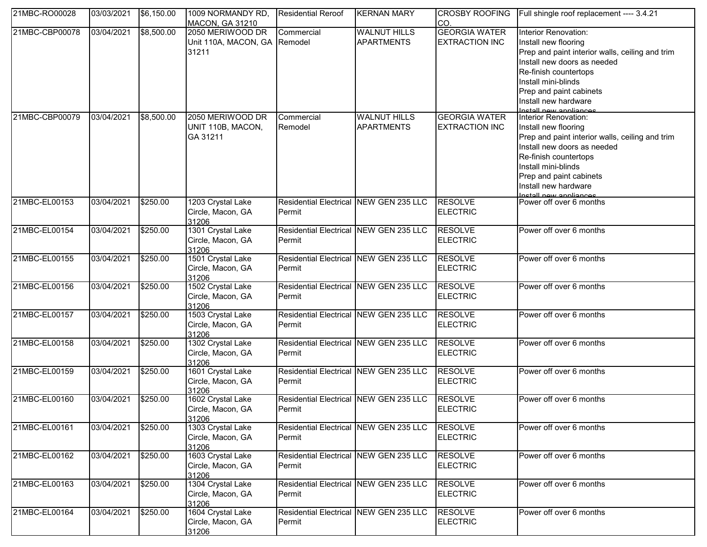| 21MBC-RO00028  | 03/03/2021 | \$6,150.00 | 1009 NORMANDY RD,<br><b>MACON, GA 31210</b>               | <b>Residential Reroof</b>                        | <b>KERNAN MARY</b>                       | <b>CROSBY ROOFING</b><br>CO.                  | Full shingle roof replacement ---- 3.4.21                                                                                                                                                                                                                   |
|----------------|------------|------------|-----------------------------------------------------------|--------------------------------------------------|------------------------------------------|-----------------------------------------------|-------------------------------------------------------------------------------------------------------------------------------------------------------------------------------------------------------------------------------------------------------------|
| 21MBC-CBP00078 | 03/04/2021 | \$8,500.00 | 2050 MERIWOOD DR<br>Unit 110A, MACON, GA Remodel<br>31211 | Commercial                                       | <b>WALNUT HILLS</b><br><b>APARTMENTS</b> | <b>GEORGIA WATER</b><br><b>EXTRACTION INC</b> | Interior Renovation:<br>Install new flooring<br>Prep and paint interior walls, ceiling and trim<br>Install new doors as needed<br>Re-finish countertops<br>Install mini-blinds<br>Prep and paint cabinets<br>Install new hardware                           |
| 21MBC-CBP00079 | 03/04/2021 | \$8,500.00 | 2050 MERIWOOD DR<br>UNIT 110B, MACON,<br>GA 31211         | Commercial<br>Remodel                            | <b>WALNUT HILLS</b><br><b>APARTMENTS</b> | <b>GEORGIA WATER</b><br><b>EXTRACTION INC</b> | Install new appliances<br>Interior Renovation:<br>Install new flooring<br>Prep and paint interior walls, ceiling and trim<br>Install new doors as needed<br>Re-finish countertops<br>Install mini-blinds<br>Prep and paint cabinets<br>Install new hardware |
| 21MBC-EL00153  | 03/04/2021 | \$250.00   | 1203 Crystal Lake<br>Circle, Macon, GA<br>31206           | Residential Electrical NEW GEN 235 LLC<br>Permit |                                          | <b>RESOLVE</b><br><b>ELECTRIC</b>             | netall_new_annliances<br>Power off over 6 months                                                                                                                                                                                                            |
| 21MBC-EL00154  | 03/04/2021 | \$250.00   | 1301 Crystal Lake<br>Circle, Macon, GA<br>31206           | Residential Electrical NEW GEN 235 LLC<br>Permit |                                          | <b>RESOLVE</b><br><b>ELECTRIC</b>             | Power off over 6 months                                                                                                                                                                                                                                     |
| 21MBC-EL00155  | 03/04/2021 | \$250.00   | 1501 Crystal Lake<br>Circle, Macon, GA<br>31206           | Residential Electrical NEW GEN 235 LLC<br>Permit |                                          | <b>RESOLVE</b><br><b>ELECTRIC</b>             | Power off over 6 months                                                                                                                                                                                                                                     |
| 21MBC-EL00156  | 03/04/2021 | \$250.00   | 1502 Crystal Lake<br>Circle, Macon, GA<br>31206           | Residential Electrical NEW GEN 235 LLC<br>Permit |                                          | <b>RESOLVE</b><br><b>ELECTRIC</b>             | Power off over 6 months                                                                                                                                                                                                                                     |
| 21MBC-EL00157  | 03/04/2021 | \$250.00   | 1503 Crystal Lake<br>Circle, Macon, GA<br>31206           | Residential Electrical NEW GEN 235 LLC<br>Permit |                                          | <b>RESOLVE</b><br><b>ELECTRIC</b>             | Power off over 6 months                                                                                                                                                                                                                                     |
| 21MBC-EL00158  | 03/04/2021 | \$250.00   | 1302 Crystal Lake<br>Circle, Macon, GA<br>31206           | Residential Electrical NEW GEN 235 LLC<br>Permit |                                          | <b>RESOLVE</b><br><b>ELECTRIC</b>             | Power off over 6 months                                                                                                                                                                                                                                     |
| 21MBC-EL00159  | 03/04/2021 | \$250.00   | 1601 Crystal Lake<br>Circle, Macon, GA<br>31206           | Residential Electrical NEW GEN 235 LLC<br>Permit |                                          | <b>RESOLVE</b><br><b>ELECTRIC</b>             | Power off over 6 months                                                                                                                                                                                                                                     |
| 21MBC-EL00160  | 03/04/2021 | \$250.00   | 1602 Crystal Lake<br>Circle, Macon, GA<br>31206           | Residential Electrical NEW GEN 235 LLC<br>Permit |                                          | <b>RESOLVE</b><br><b>ELECTRIC</b>             | Power off over 6 months                                                                                                                                                                                                                                     |
| 21MBC-EL00161  | 03/04/2021 | \$250.00   | 1303 Crystal Lake<br>Circle, Macon, GA<br>31206           | Residential Electrical NEW GEN 235 LLC<br>Permit |                                          | <b>RESOLVE</b><br><b>ELECTRIC</b>             | Power off over 6 months                                                                                                                                                                                                                                     |
| 21MBC-EL00162  | 03/04/2021 | \$250.00   | 1603 Crystal Lake<br>Circle, Macon, GA<br>31206           | Residential Electrical NEW GEN 235 LLC<br>Permit |                                          | <b>RESOLVE</b><br><b>ELECTRIC</b>             | Power off over 6 months                                                                                                                                                                                                                                     |
| 21MBC-EL00163  | 03/04/2021 | \$250.00   | 1304 Crystal Lake<br>Circle, Macon, GA<br>31206           | Residential Electrical NEW GEN 235 LLC<br>Permit |                                          | <b>RESOLVE</b><br><b>ELECTRIC</b>             | Power off over 6 months                                                                                                                                                                                                                                     |
| 21MBC-EL00164  | 03/04/2021 | \$250.00   | 1604 Crystal Lake<br>Circle, Macon, GA<br>31206           | Residential Electrical NEW GEN 235 LLC<br>Permit |                                          | <b>RESOLVE</b><br><b>ELECTRIC</b>             | Power off over 6 months                                                                                                                                                                                                                                     |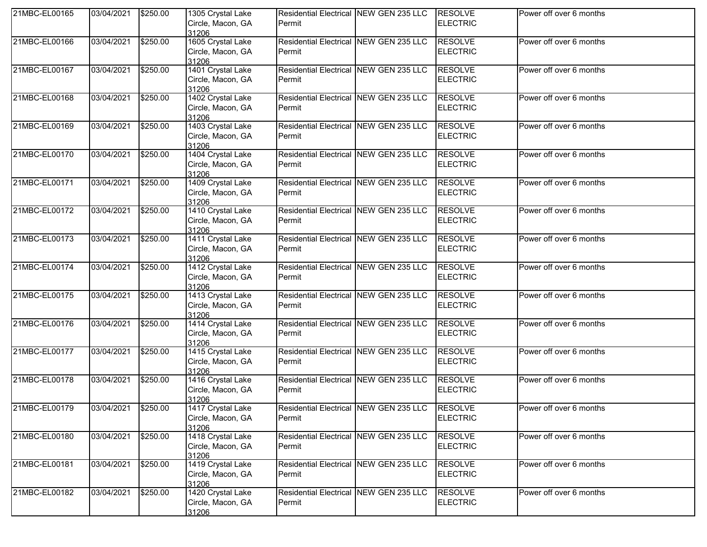| 21MBC-EL00165 | 03/04/2021          | \$250.00 | 1305 Crystal Lake<br>Circle, Macon, GA<br>31206 | Residential Electrical NEW GEN 235 LLC<br>Permit         | <b>RESOLVE</b><br><b>ELECTRIC</b> | Power off over 6 months |
|---------------|---------------------|----------|-------------------------------------------------|----------------------------------------------------------|-----------------------------------|-------------------------|
| 21MBC-EL00166 | 03/04/2021          | \$250.00 | 1605 Crystal Lake<br>Circle, Macon, GA<br>31206 | Residential Electrical NEW GEN 235 LLC<br>Permit         | <b>RESOLVE</b><br><b>ELECTRIC</b> | Power off over 6 months |
| 21MBC-EL00167 | 03/04/2021          | \$250.00 | 1401 Crystal Lake<br>Circle, Macon, GA<br>31206 | Residential Electrical NEW GEN 235 LLC<br>Permit         | <b>RESOLVE</b><br><b>ELECTRIC</b> | Power off over 6 months |
| 21MBC-EL00168 | 03/04/2021          | \$250.00 | 1402 Crystal Lake<br>Circle, Macon, GA<br>31206 | Residential Electrical NEW GEN 235 LLC<br>Permit         | <b>RESOLVE</b><br><b>ELECTRIC</b> | Power off over 6 months |
| 21MBC-EL00169 | 03/04/2021          | \$250.00 | 1403 Crystal Lake<br>Circle, Macon, GA<br>31206 | Residential Electrical NEW GEN 235 LLC<br>Permit         | <b>RESOLVE</b><br><b>ELECTRIC</b> | Power off over 6 months |
| 21MBC-EL00170 | 03/04/2021          | \$250.00 | 1404 Crystal Lake<br>Circle, Macon, GA<br>31206 | Residential Electrical NEW GEN 235 LLC<br>Permit         | <b>RESOLVE</b><br><b>ELECTRIC</b> | Power off over 6 months |
| 21MBC-EL00171 | 03/04/2021          | \$250.00 | 1409 Crystal Lake<br>Circle, Macon, GA<br>31206 | Residential Electrical NEW GEN 235 LLC<br>Permit         | <b>RESOLVE</b><br><b>ELECTRIC</b> | Power off over 6 months |
| 21MBC-EL00172 | 03/04/2021          | \$250.00 | 1410 Crystal Lake<br>Circle, Macon, GA<br>31206 | Residential Electrical NEW GEN 235 LLC<br>Permit         | <b>RESOLVE</b><br><b>ELECTRIC</b> | Power off over 6 months |
| 21MBC-EL00173 | 03/04/2021          | \$250.00 | 1411 Crystal Lake<br>Circle, Macon, GA<br>31206 | Residential Electrical NEW GEN 235 LLC<br>Permit         | <b>RESOLVE</b><br><b>ELECTRIC</b> | Power off over 6 months |
| 21MBC-EL00174 | 03/04/2021          | \$250.00 | 1412 Crystal Lake<br>Circle, Macon, GA<br>31206 | Residential Electrical NEW GEN 235 LLC<br>Permit         | <b>RESOLVE</b><br><b>ELECTRIC</b> | Power off over 6 months |
| 21MBC-EL00175 | 03/04/2021          | \$250.00 | 1413 Crystal Lake<br>Circle, Macon, GA<br>31206 | Residential Electrical NEW GEN 235 LLC<br>Permit         | <b>RESOLVE</b><br><b>ELECTRIC</b> | Power off over 6 months |
| 21MBC-EL00176 | 03/04/2021          | \$250.00 | 1414 Crystal Lake<br>Circle, Macon, GA<br>31206 | Residential Electrical NEW GEN 235 LLC<br>Permit         | <b>RESOLVE</b><br><b>ELECTRIC</b> | Power off over 6 months |
| 21MBC-EL00177 | 03/04/2021          | \$250.00 | 1415 Crystal Lake<br>Circle, Macon, GA<br>31206 | Residential Electrical NEW GEN 235 LLC<br>Permit         | <b>RESOLVE</b><br><b>ELECTRIC</b> | Power off over 6 months |
| 21MBC-EL00178 | 03/04/2021          | \$250.00 | 1416 Crystal Lake<br>Circle, Macon, GA<br>31206 | Residential Electrical NEW GEN 235 LLC<br>Permit         | <b>RESOLVE</b><br><b>ELECTRIC</b> | Power off over 6 months |
| 21MBC-EL00179 | 03/04/2021 \$250.00 |          | 1417 Crystal Lake<br>Circle, Macon, GA<br>31206 | Residential Electrical NEW GEN 235 LLC RESOLVE<br>Permit | <b>ELECTRIC</b>                   | Power off over 6 months |
| 21MBC-EL00180 | 03/04/2021          | \$250.00 | 1418 Crystal Lake<br>Circle, Macon, GA<br>31206 | Residential Electrical NEW GEN 235 LLC<br>Permit         | <b>RESOLVE</b><br><b>ELECTRIC</b> | Power off over 6 months |
| 21MBC-EL00181 | 03/04/2021          | \$250.00 | 1419 Crystal Lake<br>Circle, Macon, GA<br>31206 | Residential Electrical NEW GEN 235 LLC<br>Permit         | <b>RESOLVE</b><br><b>ELECTRIC</b> | Power off over 6 months |
| 21MBC-EL00182 | 03/04/2021          | \$250.00 | 1420 Crystal Lake<br>Circle, Macon, GA<br>31206 | Residential Electrical NEW GEN 235 LLC<br>Permit         | <b>RESOLVE</b><br><b>ELECTRIC</b> | Power off over 6 months |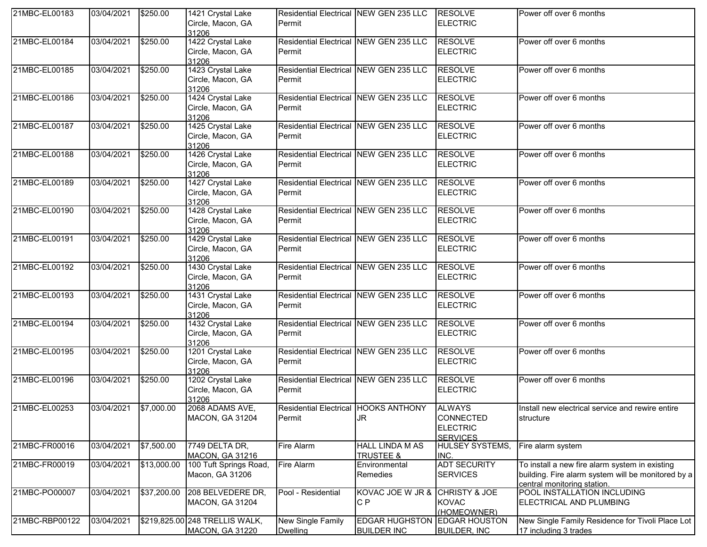| 21MBC-EL00183  | 03/04/2021            | \$250.00    | 1421 Crystal Lake<br>Circle, Macon, GA<br>31206              | Residential Electrical NEW GEN 235 LLC<br>Permit |                                                   | <b>RESOLVE</b><br><b>ELECTRIC</b>                                       | Power off over 6 months                                                                                                             |
|----------------|-----------------------|-------------|--------------------------------------------------------------|--------------------------------------------------|---------------------------------------------------|-------------------------------------------------------------------------|-------------------------------------------------------------------------------------------------------------------------------------|
| 21MBC-EL00184  | 03/04/2021            | \$250.00    | 1422 Crystal Lake<br>Circle, Macon, GA<br>31206              | Residential Electrical NEW GEN 235 LLC<br>Permit |                                                   | <b>RESOLVE</b><br><b>ELECTRIC</b>                                       | Power off over 6 months                                                                                                             |
| 21MBC-EL00185  | 03/04/2021            | \$250.00    | 1423 Crystal Lake<br>Circle, Macon, GA<br>31206              | Residential Electrical NEW GEN 235 LLC<br>Permit |                                                   | <b>RESOLVE</b><br><b>ELECTRIC</b>                                       | Power off over 6 months                                                                                                             |
| 21MBC-EL00186  | 03/04/2021            | \$250.00    | 1424 Crystal Lake<br>Circle, Macon, GA<br>31206              | Residential Electrical NEW GEN 235 LLC<br>Permit |                                                   | <b>RESOLVE</b><br><b>ELECTRIC</b>                                       | Power off over 6 months                                                                                                             |
| 21MBC-EL00187  | 03/04/2021            | \$250.00    | 1425 Crystal Lake<br>Circle, Macon, GA<br>31206              | Residential Electrical NEW GEN 235 LLC<br>Permit |                                                   | <b>RESOLVE</b><br><b>ELECTRIC</b>                                       | Power off over 6 months                                                                                                             |
| 21MBC-EL00188  | 03/04/2021            | \$250.00    | 1426 Crystal Lake<br>Circle, Macon, GA<br>31206              | Residential Electrical NEW GEN 235 LLC<br>Permit |                                                   | <b>RESOLVE</b><br><b>ELECTRIC</b>                                       | Power off over 6 months                                                                                                             |
| 21MBC-EL00189  | 03/04/2021            | \$250.00    | 1427 Crystal Lake<br>Circle, Macon, GA<br>31206              | Residential Electrical NEW GEN 235 LLC<br>Permit |                                                   | <b>RESOLVE</b><br><b>ELECTRIC</b>                                       | Power off over 6 months                                                                                                             |
| 21MBC-EL00190  | 03/04/2021            | \$250.00    | 1428 Crystal Lake<br>Circle, Macon, GA<br>31206              | Residential Electrical NEW GEN 235 LLC<br>Permit |                                                   | <b>RESOLVE</b><br><b>ELECTRIC</b>                                       | Power off over 6 months                                                                                                             |
| 21MBC-EL00191  | 03/04/2021            | \$250.00    | 1429 Crystal Lake<br>Circle, Macon, GA<br>31206              | Residential Electrical NEW GEN 235 LLC<br>Permit |                                                   | <b>RESOLVE</b><br><b>ELECTRIC</b>                                       | Power off over 6 months                                                                                                             |
| 21MBC-EL00192  | 03/04/2021            | \$250.00    | 1430 Crystal Lake<br>Circle, Macon, GA<br>31206              | Residential Electrical NEW GEN 235 LLC<br>Permit |                                                   | <b>RESOLVE</b><br><b>ELECTRIC</b>                                       | Power off over 6 months                                                                                                             |
| 21MBC-EL00193  | 03/04/2021            | \$250.00    | 1431 Crystal Lake<br>Circle, Macon, GA<br>31206              | Residential Electrical NEW GEN 235 LLC<br>Permit |                                                   | <b>RESOLVE</b><br><b>ELECTRIC</b>                                       | Power off over 6 months                                                                                                             |
| 21MBC-EL00194  | 03/04/2021            | \$250.00    | 1432 Crystal Lake<br>Circle, Macon, GA<br>31206              | Residential Electrical NEW GEN 235 LLC<br>Permit |                                                   | <b>RESOLVE</b><br><b>ELECTRIC</b>                                       | Power off over 6 months                                                                                                             |
| 21MBC-EL00195  | 03/04/2021            | \$250.00    | 1201 Crystal Lake<br>Circle, Macon, GA<br>31206              | Permit                                           | Residential Electrical NEW GEN 235 LLC            | <b>RESOLVE</b><br><b>ELECTRIC</b>                                       | Power off over 6 months                                                                                                             |
| 21MBC-EL00196  | 03/04/2021            | \$250.00    | 1202 Crystal Lake<br>Circle, Macon, GA<br>31206              | Residential Electrical NEW GEN 235 LLC<br>Permit |                                                   | <b>RESOLVE</b><br><b>ELECTRIC</b>                                       | Power off over 6 months                                                                                                             |
| 21MBC-EL00253  | 03/04/2021 \$7,000.00 |             | 2068 ADAMS AVE,<br><b>MACON, GA 31204</b>                    | Residential Electrical HOOKS ANTHONY<br>Permit   | <b>JR</b>                                         | <b>ALWAYS</b><br><b>CONNECTED</b><br><b>ELECTRIC</b><br><b>SERVICES</b> | Install new electrical service and rewire entire<br>structure                                                                       |
| 21MBC-FR00016  | 03/04/2021            | \$7,500.00  | 7749 DELTA DR,                                               | Fire Alarm                                       | <b>HALL LINDA M AS</b>                            | <b>HULSEY SYSTEMS,</b>                                                  | Fire alarm system                                                                                                                   |
| 21MBC-FR00019  | 03/04/2021            | \$13,000.00 | MACON, GA 31216<br>100 Tuft Springs Road,<br>Macon, GA 31206 | Fire Alarm                                       | <b>TRUSTEE &amp;</b><br>Environmental<br>Remedies | INC.<br><b>ADT SECURITY</b><br><b>SERVICES</b>                          | To install a new fire alarm system in existing<br>building. Fire alarm system will be monitored by a<br>central monitoring station. |
| 21MBC-PO00007  | 03/04/2021            | \$37,200.00 | 208 BELVEDERE DR,<br><b>MACON, GA 31204</b>                  | Pool - Residential                               | KOVAC JOE W JR &<br>C <sub>P</sub>                | CHRISTY & JOE<br><b>KOVAC</b><br>(HOMEOWNER)                            | POOL INSTALLATION INCLUDING<br>ELECTRICAL AND PLUMBING                                                                              |
| 21MBC-RBP00122 | 03/04/2021            |             | \$219,825.00 248 TRELLIS WALK,<br><b>MACON, GA 31220</b>     | New Single Family<br><b>Dwelling</b>             | <b>EDGAR HUGHSTON</b><br><b>BUILDER INC</b>       | <b>EDGAR HOUSTON</b><br><b>BUILDER, INC</b>                             | New Single Family Residence for Tivoli Place Lot<br>17 including 3 trades                                                           |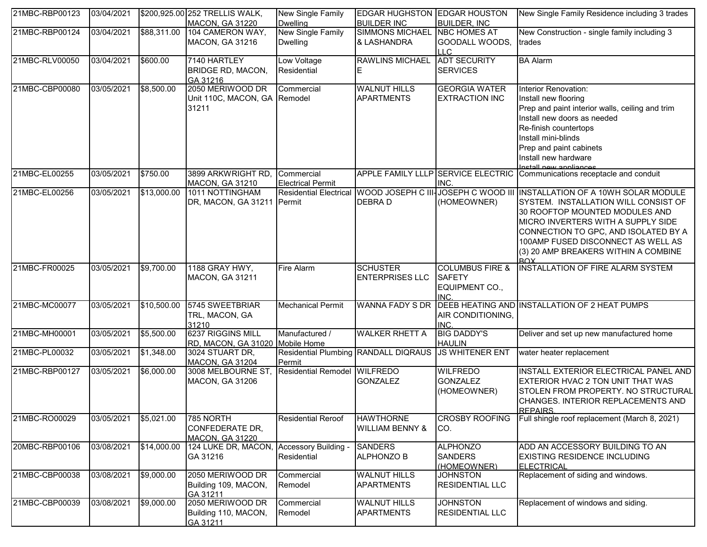| 21MBC-RBP00123 | 03/04/2021 |             | \$200,925.00 252 TRELLIS WALK,                                | New Single Family                      | EDGAR HUGHSTON EDGAR HOUSTON                        |                                                   | New Single Family Residence including 3 trades                                                                                                                                                                                                                                                            |
|----------------|------------|-------------|---------------------------------------------------------------|----------------------------------------|-----------------------------------------------------|---------------------------------------------------|-----------------------------------------------------------------------------------------------------------------------------------------------------------------------------------------------------------------------------------------------------------------------------------------------------------|
|                |            |             | MACON, GA 31220                                               | <b>Dwelling</b>                        | <b>BUILDER INC</b>                                  | <b>BUILDER, INC</b>                               |                                                                                                                                                                                                                                                                                                           |
| 21MBC-RBP00124 | 03/04/2021 | \$88,311.00 | 104 CAMERON WAY,                                              | <b>New Single Family</b>               | <b>SIMMONS MICHAEL</b>                              | <b>NBC HOMES AT</b>                               | New Construction - single family including 3                                                                                                                                                                                                                                                              |
|                |            |             | <b>MACON, GA 31216</b>                                        | <b>Dwelling</b>                        | & LASHANDRA                                         | GOODALL WOODS,<br>LLC.                            | trades                                                                                                                                                                                                                                                                                                    |
| 21MBC-RLV00050 | 03/04/2021 | \$600.00    | 7140 HARTLEY                                                  | Low Voltage                            | <b>RAWLINS MICHAEL</b>                              | <b>ADT SECURITY</b>                               | <b>BA Alarm</b>                                                                                                                                                                                                                                                                                           |
|                |            |             | <b>BRIDGE RD, MACON,</b><br>GA 31216                          | Residential                            | E.                                                  | <b>SERVICES</b>                                   |                                                                                                                                                                                                                                                                                                           |
| 21MBC-CBP00080 | 03/05/2021 | \$8,500.00  | 2050 MERIWOOD DR                                              | Commercial                             | <b>WALNUT HILLS</b>                                 | <b>GEORGIA WATER</b>                              | Interior Renovation:                                                                                                                                                                                                                                                                                      |
|                |            |             | Unit 110C, MACON, GA Remodel<br>31211                         |                                        | <b>APARTMENTS</b>                                   | <b>EXTRACTION INC</b>                             | Install new flooring<br>Prep and paint interior walls, ceiling and trim<br>Install new doors as needed<br>Re-finish countertops<br>Install mini-blinds<br>Prep and paint cabinets<br>Install new hardware<br>Install now annijances                                                                       |
| 21MBC-EL00255  | 03/05/2021 | \$750.00    | 3899 ARKWRIGHT RD,<br><b>MACON, GA 31210</b>                  | Commercial<br><b>Electrical Permit</b> |                                                     | INC.                                              | APPLE FAMILY LLLP SERVICE ELECTRIC Communications receptacle and conduit                                                                                                                                                                                                                                  |
| 21MBC-EL00256  | 03/05/2021 | \$13,000.00 | 1011 NOTTINGHAM<br>DR, MACON, GA 31211                        | Permit                                 | Residential Electrical WOOD JOSEPH C III<br>DEBRA D | (HOMEOWNER)                                       | JOSEPH C WOOD III INSTALLATION OF A 10WH SOLAR MODULE<br>SYSTEM. INSTALLATION WILL CONSIST OF<br>30 ROOFTOP MOUNTED MODULES AND<br>MICRO INVERTERS WITH A SUPPLY SIDE<br>CONNECTION TO GPC, AND ISOLATED BY A<br>100AMP FUSED DISCONNECT AS WELL AS<br>(3) 20 AMP BREAKERS WITHIN A COMBINE<br><b>ROX</b> |
| 21MBC-FR00025  | 03/05/2021 | \$9,700.00  | 1188 GRAY HWY,                                                | <b>Fire Alarm</b>                      | <b>SCHUSTER</b>                                     | <b>COLUMBUS FIRE &amp;</b>                        | <b>INSTALLATION OF FIRE ALARM SYSTEM</b>                                                                                                                                                                                                                                                                  |
|                |            |             | MACON, GA 31211                                               |                                        | <b>ENTERPRISES LLC</b>                              | <b>SAFETY</b><br>EQUIPMENT CO.,<br>INC.           |                                                                                                                                                                                                                                                                                                           |
| 21MBC-MC00077  | 03/05/2021 | \$10,500.00 | 5745 SWEETBRIAR<br>TRL, MACON, GA<br>31210                    | <b>Mechanical Permit</b>               | <b>WANNA FADY S DR</b>                              | AIR CONDITIONING,<br>INC.                         | DEEB HEATING AND INSTALLATION OF 2 HEAT PUMPS                                                                                                                                                                                                                                                             |
| 21MBC-MH00001  | 03/05/2021 | \$5,500.00  | 6237 RIGGINS MILL<br>RD, MACON, GA 31020 Mobile Home          | Manufactured /                         | <b>WALKER RHETT A</b>                               | <b>BIG DADDY'S</b><br><b>HAULIN</b>               | Deliver and set up new manufactured home                                                                                                                                                                                                                                                                  |
| 21MBC-PL00032  | 03/05/2021 | \$1,348.00  | 3024 STUART DR,<br>MACON, GA 31204                            | Permit                                 | Residential Plumbing RANDALL DIQRAUS                | <b>JS WHITENER ENT</b>                            | water heater replacement                                                                                                                                                                                                                                                                                  |
| 21MBC-RBP00127 | 03/05/2021 | \$6,000.00  | 3008 MELBOURNE ST,<br><b>MACON, GA 31206</b>                  | Residential Remodel WILFREDO           | <b>GONZALEZ</b>                                     | <b>WILFREDO</b><br><b>GONZALEZ</b><br>(HOMEOWNER) | INSTALL EXTERIOR ELECTRICAL PANEL AND<br>EXTERIOR HVAC 2 TON UNIT THAT WAS<br>STOLEN FROM PROPERTY. NO STRUCTURAL<br>CHANGES. INTERIOR REPLACEMENTS AND<br><b>REPAIRS</b>                                                                                                                                 |
| 21MBC-RO00029  | 03/05/2021 | \$5,021.00  | 785 NORTH<br><b>CONFEDERATE DR,</b><br><b>MACON, GA 31220</b> | <b>Residential Reroof</b>              | <b>HAWTHORNE</b><br><b>WILLIAM BENNY &amp;</b>      | <b>CROSBY ROOFING</b><br>CO.                      | Full shingle roof replacement (March 8, 2021)                                                                                                                                                                                                                                                             |
| 20MBC-RBP00106 | 03/08/2021 | \$14,000.00 | 124 LUKE DR, MACON,<br>GA 31216                               | Accessory Building -<br>Residential    | <b>SANDERS</b><br><b>ALPHONZO B</b>                 | <b>ALPHONZO</b><br><b>SANDERS</b><br>(HOMEOWNER)  | ADD AN ACCESSORY BUILDING TO AN<br>EXISTING RESIDENCE INCLUDING<br><b>ELECTRICAL</b>                                                                                                                                                                                                                      |
| 21MBC-CBP00038 | 03/08/2021 | \$9,000.00  | 2050 MERIWOOD DR<br>Building 109, MACON,<br>GA 31211          | Commercial<br>Remodel                  | <b>WALNUT HILLS</b><br><b>APARTMENTS</b>            | <b>JOHNSTON</b><br><b>RESIDENTIAL LLC</b>         | Replacement of siding and windows.                                                                                                                                                                                                                                                                        |
| 21MBC-CBP00039 | 03/08/2021 | \$9,000.00  | 2050 MERIWOOD DR<br>Building 110, MACON,<br>GA 31211          | Commercial<br>Remodel                  | <b>WALNUT HILLS</b><br><b>APARTMENTS</b>            | <b>JOHNSTON</b><br><b>RESIDENTIAL LLC</b>         | Replacement of windows and siding.                                                                                                                                                                                                                                                                        |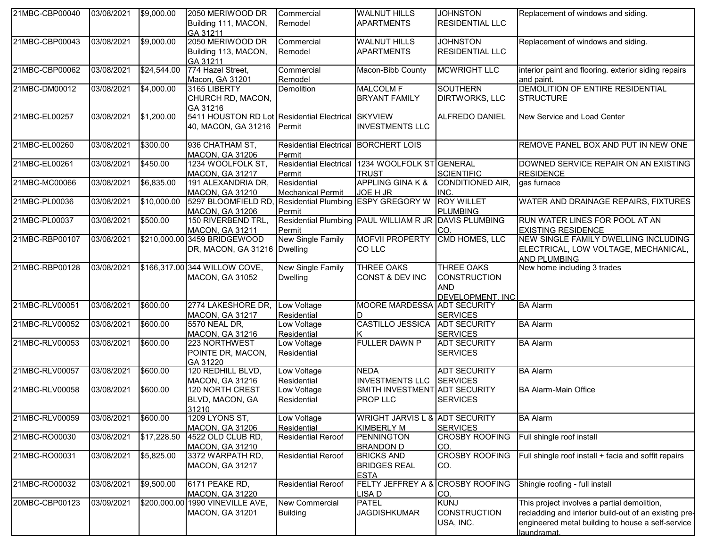| 21MBC-CBP00040 | 03/08/2021 | \$9,000.00  | 2050 MERIWOOD DR<br>Building 111, MACON,<br>GA 31211                              | Commercial<br>Remodel                          | <b>WALNUT HILLS</b><br><b>APARTMENTS</b>                        | <b>JOHNSTON</b><br><b>RESIDENTIAL LLC</b>                                   | Replacement of windows and siding.                                                                                                                                       |
|----------------|------------|-------------|-----------------------------------------------------------------------------------|------------------------------------------------|-----------------------------------------------------------------|-----------------------------------------------------------------------------|--------------------------------------------------------------------------------------------------------------------------------------------------------------------------|
| 21MBC-CBP00043 | 03/08/2021 | \$9,000.00  | 2050 MERIWOOD DR<br>Building 113, MACON,<br>GA 31211                              | Commercial<br>Remodel                          | <b>WALNUT HILLS</b><br><b>APARTMENTS</b>                        | <b>JOHNSTON</b><br><b>RESIDENTIAL LLC</b>                                   | Replacement of windows and siding.                                                                                                                                       |
| 21MBC-CBP00062 | 03/08/2021 | \$24,544.00 | 774 Hazel Street,<br>Macon, GA 31201                                              | Commercial<br>Remodel                          | Macon-Bibb County                                               | <b>MCWRIGHT LLC</b>                                                         | interior paint and flooring. exterior siding repairs<br>and paint.                                                                                                       |
| 21MBC-DM00012  | 03/08/2021 | \$4,000.00  | 3165 LIBERTY<br>CHURCH RD, MACON,<br>GA 31216                                     | Demolition                                     | <b>MALCOLM F</b><br><b>BRYANT FAMILY</b>                        | <b>SOUTHERN</b><br><b>DIRTWORKS, LLC</b>                                    | DEMOLITION OF ENTIRE RESIDENTIAL<br><b>STRUCTURE</b>                                                                                                                     |
| 21MBC-EL00257  | 03/08/2021 | \$1,200.00  | 5411 HOUSTON RD Lot Residential Electrical SKYVIEW<br>40, MACON, GA 31216         | Permit                                         | <b>INVESTMENTS LLC</b>                                          | <b>ALFREDO DANIEL</b>                                                       | New Service and Load Center                                                                                                                                              |
| 21MBC-EL00260  | 03/08/2021 | \$300.00    | 936 CHATHAM ST,<br><b>MACON, GA 31206</b>                                         | Residential Electrical BORCHERT LOIS<br>Permit |                                                                 |                                                                             | REMOVE PANEL BOX AND PUT IN NEW ONE                                                                                                                                      |
| 21MBC-EL00261  | 03/08/2021 | \$450.00    | 1234 WOOLFOLK ST,<br><b>MACON, GA 31217</b>                                       | Permit                                         | Residential Electrical 1234 WOOLFOLK ST GENERAL<br><b>TRUST</b> | <b>SCIENTIFIC</b>                                                           | DOWNED SERVICE REPAIR ON AN EXISTING<br><b>RESIDENCE</b>                                                                                                                 |
| 21MBC-MC00066  | 03/08/2021 | \$6,835.00  | 191 ALEXANDRIA DR,<br><b>MACON, GA 31210</b>                                      | Residential<br><b>Mechanical Permit</b>        | <b>APPLING GINA K &amp;</b><br>JOE H JR                         | <b>CONDITIONED AIR,</b><br>INC.                                             | gas furnace                                                                                                                                                              |
| 21MBC-PL00036  | 03/08/2021 | \$10,000.00 | 5297 BLOOMFIELD RD, Residential Plumbing ESPY GREGORY W<br><b>MACON, GA 31206</b> | Permit                                         |                                                                 | <b>ROY WILLET</b><br><b>PLUMBING</b>                                        | WATER AND DRAINAGE REPAIRS, FIXTURES                                                                                                                                     |
| 21MBC-PL00037  | 03/08/2021 | \$500.00    | 150 RIVERBEND TRL,<br>MACON, GA 31211                                             | Permit                                         | Residential Plumbing PAUL WILLIAM R JR DAVIS PLUMBING           | CO.                                                                         | RUN WATER LINES FOR POOL AT AN<br><b>EXISTING RESIDENCE</b>                                                                                                              |
| 21MBC-RBP00107 | 03/08/2021 |             | \$210,000.00 3459 BRIDGEWOOD<br>DR, MACON, GA 31216   Dwelling                    | New Single Family                              | <b>MOFVII PROPERTY</b><br><b>COLLC</b>                          | CMD HOMES, LLC                                                              | NEW SINGLE FAMILY DWELLING INCLUDING<br>ELECTRICAL, LOW VOLTAGE, MECHANICAL,<br><b>AND PLUMBING</b>                                                                      |
| 21MBC-RBP00128 | 03/08/2021 |             | \$166,317.00 344 WILLOW COVE,<br><b>MACON, GA 31052</b>                           | <b>New Single Family</b><br><b>Dwelling</b>    | <b>THREE OAKS</b><br>CONST & DEV INC                            | <b>THREE OAKS</b><br><b>CONSTRUCTION</b><br><b>AND</b><br>DEVELOPMENT, INC. | New home including 3 trades                                                                                                                                              |
| 21MBC-RLV00051 | 03/08/2021 | \$600.00    | 2774 LAKESHORE DR,<br><b>MACON, GA 31217</b>                                      | Low Voltage<br>Residential                     | MOORE MARDESSA ADT SECURITY                                     | <b>SERVICES</b>                                                             | <b>BA</b> Alarm                                                                                                                                                          |
| 21MBC-RLV00052 | 03/08/2021 | \$600.00    | 5570 NEAL DR,<br><b>MACON, GA 31216</b>                                           | Low Voltage<br>Residential                     | CASTILLO JESSICA                                                | <b>ADT SECURITY</b><br><b>SERVICES</b>                                      | <b>BA Alarm</b>                                                                                                                                                          |
| 21MBC-RLV00053 | 03/08/2021 | \$600.00    | 223 NORTHWEST<br>POINTE DR, MACON,<br>GA 31220                                    | Low Voltage<br>Residential                     | <b>FULLER DAWN P</b>                                            | <b>ADT SECURITY</b><br><b>SERVICES</b>                                      | <b>BA Alarm</b>                                                                                                                                                          |
| 21MBC-RLV00057 | 03/08/2021 | \$600.00    | 120 REDHILL BLVD,<br>MACON, GA 31216                                              | Low Voltage<br>Residential                     | <b>NEDA</b><br><b>INVESTMENTS LLC</b>                           | <b>ADT SECURITY</b><br><b>SERVICES</b>                                      | <b>BA Alarm</b>                                                                                                                                                          |
| 21MBC-RLV00058 | 03/08/2021 | \$600.00    | 120 NORTH CREST<br>BLVD, MACON, GA<br>31210                                       | Low Voltage<br>Residential                     | <b>SMITH INVESTMENT</b><br>PROP LLC                             | <b>ADT SECURITY</b><br><b>SERVICES</b>                                      | <b>BA Alarm-Main Office</b>                                                                                                                                              |
| 21MBC-RLV00059 | 03/08/2021 | \$600.00    | 1209 LYONS ST,<br><b>MACON, GA 31206</b>                                          | Low Voltage<br>Residential                     | <b>WRIGHT JARVIS L &amp;</b><br><b>KIMBERLY M</b>               | <b>ADT SECURITY</b><br><b>SERVICES</b>                                      | <b>BA Alarm</b>                                                                                                                                                          |
| 21MBC-RO00030  | 03/08/2021 | \$17,228.50 | 4522 OLD CLUB RD,<br><b>MACON, GA 31210</b>                                       | <b>Residential Reroof</b>                      | <b>PENNINGTON</b><br><b>BRANDON D</b>                           | <b>CROSBY ROOFING</b><br>CO.                                                | Full shingle roof install                                                                                                                                                |
| 21MBC-RO00031  | 03/08/2021 | \$5,825.00  | 3372 WARPATH RD,<br>MACON, GA 31217                                               | <b>Residential Reroof</b>                      | <b>BRICKS AND</b><br><b>BRIDGES REAL</b><br><b>ESTA</b>         | <b>CROSBY ROOFING</b><br>CO.                                                | Full shingle roof install + facia and soffit repairs                                                                                                                     |
| 21MBC-RO00032  | 03/08/2021 | \$9,500.00  | 6171 PEAKE RD,<br><b>MACON, GA 31220</b>                                          | <b>Residential Reroof</b>                      | FELTY JEFFREY A &<br><b>LISAD</b>                               | <b>CROSBY ROOFING</b><br>CO.                                                | Shingle roofing - full install                                                                                                                                           |
| 20MBC-CBP00123 | 03/09/2021 |             | \$200,000.00 1990 VINEVILLE AVE,<br>MACON, GA 31201                               | New Commercial<br><b>Building</b>              | <b>PATEL</b><br><b>JAGDISHKUMAR</b>                             | <b>KUNJ</b><br><b>CONSTRUCTION</b><br>USA, INC.                             | This project involves a partial demolition,<br>recladding and interior build-out of an existing pre-<br>engineered metal building to house a self-service<br>laundramat. |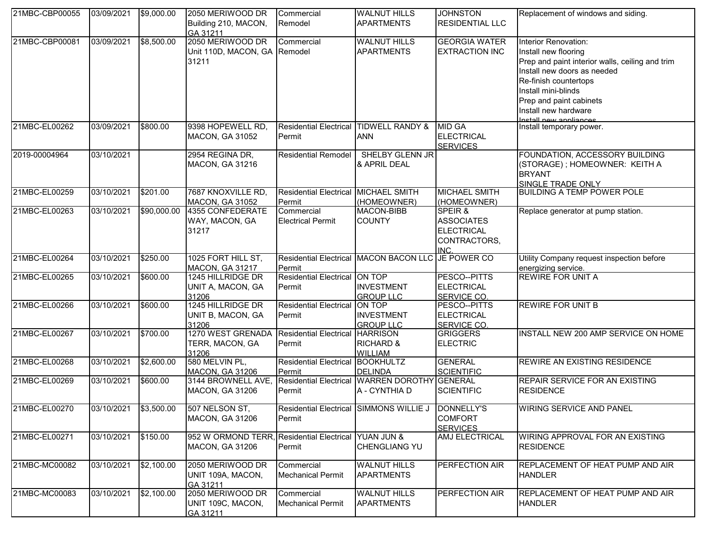| 21MBC-CBP00055 | 03/09/2021            | \$9,000.00  | 2050 MERIWOOD DR<br>Building 210, MACON,<br>GA 31211                           | Commercial<br>Remodel                          | <b>WALNUT HILLS</b><br><b>APARTMENTS</b>                  | <b>JOHNSTON</b><br><b>RESIDENTIAL LLC</b>                                       | Replacement of windows and siding.                                                                                                                                                                                                                          |
|----------------|-----------------------|-------------|--------------------------------------------------------------------------------|------------------------------------------------|-----------------------------------------------------------|---------------------------------------------------------------------------------|-------------------------------------------------------------------------------------------------------------------------------------------------------------------------------------------------------------------------------------------------------------|
| 21MBC-CBP00081 | 03/09/2021            | \$8,500.00  | 2050 MERIWOOD DR<br>Unit 110D, MACON, GA Remodel<br>31211                      | Commercial                                     | <b>WALNUT HILLS</b><br><b>APARTMENTS</b>                  | <b>GEORGIA WATER</b><br><b>EXTRACTION INC</b>                                   | Interior Renovation:<br>Install new flooring<br>Prep and paint interior walls, ceiling and trim<br>Install new doors as needed<br>Re-finish countertops<br>Install mini-blinds<br>Prep and paint cabinets<br>Install new hardware<br>Install new annliances |
| 21MBC-EL00262  | 03/09/2021            | \$800.00    | 9398 HOPEWELL RD,<br><b>MACON, GA 31052</b>                                    | Permit                                         | Residential Electrical TIDWELL RANDY &<br><b>ANN</b>      | <b>MID GA</b><br><b>ELECTRICAL</b><br><b>SERVICES</b>                           | Install temporary power.                                                                                                                                                                                                                                    |
| 2019-00004964  | 03/10/2021            |             | 2954 REGINA DR,<br>MACON, GA 31216                                             | Residential Remodel                            | <b>SHELBY GLENN JR</b><br>& APRIL DEAL                    |                                                                                 | FOUNDATION, ACCESSORY BUILDING<br>(STORAGE) ; HOMEOWNER: KEITH A<br><b>BRYANT</b><br>SINGLE TRADE ONLY                                                                                                                                                      |
| 21MBC-EL00259  | 03/10/2021            | \$201.00    | 7687 KNOXVILLE RD,<br><b>MACON, GA 31052</b>                                   | Residential Electrical MICHAEL SMITH<br>Permit | (HOMEOWNER)                                               | MICHAEL SMITH<br>(HOMEOWNER)                                                    | <b>BUILDING A TEMP POWER POLE</b>                                                                                                                                                                                                                           |
| 21MBC-EL00263  | 03/10/2021            | \$90,000.00 | 4355 CONFEDERATE<br>WAY, MACON, GA<br>31217                                    | Commercial<br><b>Electrical Permit</b>         | <b>MACON-BIBB</b><br><b>COUNTY</b>                        | SPEIR &<br><b>ASSOCIATES</b><br><b>ELECTRICAL</b><br>CONTRACTORS,<br><b>INC</b> | Replace generator at pump station.                                                                                                                                                                                                                          |
| 21MBC-EL00264  | 03/10/2021            | \$250.00    | 1025 FORT HILL ST,<br><b>MACON, GA 31217</b>                                   | Permit                                         | Residential Electrical MACON BACON LLC                    | JE POWER CO                                                                     | Utility Company request inspection before<br>energizing service.                                                                                                                                                                                            |
| 21MBC-EL00265  | 03/10/2021            | \$600.00    | 1245 HILLRIDGE DR<br>UNIT A, MACON, GA<br>31206                                | Residential Electrical ON TOP<br>Permit        | <b>INVESTMENT</b><br><b>GROUP LLC</b>                     | PESCO--PITTS<br><b>ELECTRICAL</b><br>SERVICE CO.                                | <b>REWIRE FOR UNIT A</b>                                                                                                                                                                                                                                    |
| 21MBC-EL00266  | 03/10/2021            | \$600.00    | 1245 HILLRIDGE DR<br>UNIT B, MACON, GA<br>31206                                | <b>Residential Electrical</b><br>Permit        | ON TOP<br><b>INVESTMENT</b><br><b>GROUP LLC</b>           | PESCO--PITTS<br><b>ELECTRICAL</b><br>SERVICE CO.                                | <b>REWIRE FOR UNIT B</b>                                                                                                                                                                                                                                    |
| 21MBC-EL00267  | 03/10/2021            | \$700.00    | 1270 WEST GRENADA<br>TERR, MACON, GA<br>31206                                  | <b>Residential Electrical</b><br>Permit        | <b>HARRISON</b><br><b>RICHARD &amp;</b><br><b>WILLIAM</b> | <b>GRIGGERS</b><br><b>ELECTRIC</b>                                              | INSTALL NEW 200 AMP SERVICE ON HOME                                                                                                                                                                                                                         |
| 21MBC-EL00268  | 03/10/2021            | \$2,600.00  | 580 MELVIN PL,<br>MACON, GA 31206                                              | <b>Residential Electrical</b><br>Permit        | <b>BOOKHULTZ</b><br>DELINDA                               | <b>GENERAL</b><br><b>SCIENTIFIC</b>                                             | <b>REWIRE AN EXISTING RESIDENCE</b>                                                                                                                                                                                                                         |
| 21MBC-EL00269  | 03/10/2021            | \$600.00    | 3144 BROWNELL AVE,<br><b>MACON, GA 31206</b>                                   | <b>Residential Electrical</b><br>Permit        | <b>WARREN DOROTHY</b><br>A - CYNTHIA D                    | <b>GENERAL</b><br><b>SCIENTIFIC</b>                                             | <b>REPAIR SERVICE FOR AN EXISTING</b><br><b>RESIDENCE</b>                                                                                                                                                                                                   |
| 21MBC-EL00270  | 03/10/2021 \$3,500.00 |             | 507 NELSON ST,<br><b>MACON, GA 31206</b>                                       | Permit                                         | Residential Electrical SIMMONS WILLIE J  DONNELLY'S       | <b>COMFORT</b><br><b>SERVICES</b>                                               | <b>WIRING SERVICE AND PANEL</b>                                                                                                                                                                                                                             |
| 21MBC-EL00271  | 03/10/2021            | \$150.00    | 952 W ORMOND TERR, Residential Electrical YUAN JUN &<br><b>MACON, GA 31206</b> | Permit                                         | <b>CHENGLIANG YU</b>                                      | AMJ ELECTRICAL                                                                  | WIRING APPROVAL FOR AN EXISTING<br><b>RESIDENCE</b>                                                                                                                                                                                                         |
| 21MBC-MC00082  | 03/10/2021            | \$2,100.00  | 2050 MERIWOOD DR<br>UNIT 109A, MACON,<br>GA 31211                              | Commercial<br><b>Mechanical Permit</b>         | <b>WALNUT HILLS</b><br><b>APARTMENTS</b>                  | PERFECTION AIR                                                                  | REPLACEMENT OF HEAT PUMP AND AIR<br><b>HANDLER</b>                                                                                                                                                                                                          |
| 21MBC-MC00083  | 03/10/2021            | \$2,100.00  | 2050 MERIWOOD DR<br>UNIT 109C, MACON,<br>GA 31211                              | Commercial<br><b>Mechanical Permit</b>         | <b>WALNUT HILLS</b><br><b>APARTMENTS</b>                  | PERFECTION AIR                                                                  | REPLACEMENT OF HEAT PUMP AND AIR<br><b>HANDLER</b>                                                                                                                                                                                                          |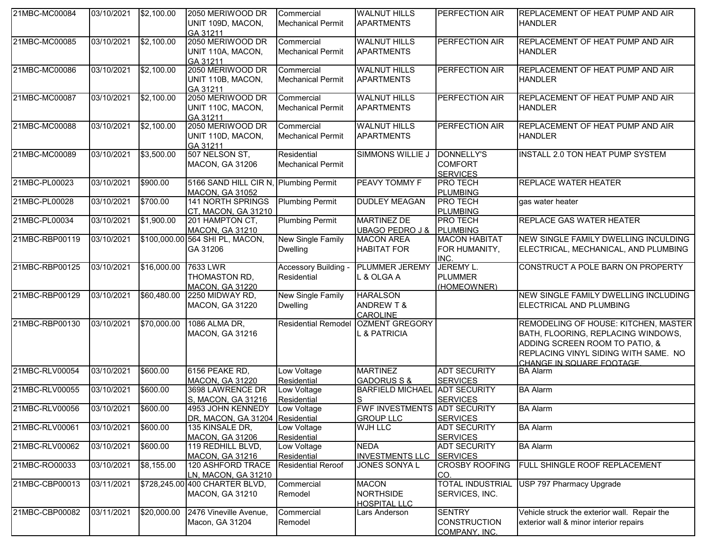| 21MBC-MC00084  | 03/10/2021 | \$2,100.00          | 2050 MERIWOOD DR<br>UNIT 109D, MACON,<br>GA 31211                | Commercial<br><b>Mechanical Permit</b>  | <b>WALNUT HILLS</b><br><b>APARTMENTS</b>                    | <b>PERFECTION AIR</b>                           | <b>IREPLACEMENT OF HEAT PUMP AND AIR</b><br><b>HANDLER</b>                                                                                                                        |
|----------------|------------|---------------------|------------------------------------------------------------------|-----------------------------------------|-------------------------------------------------------------|-------------------------------------------------|-----------------------------------------------------------------------------------------------------------------------------------------------------------------------------------|
| 21MBC-MC00085  | 03/10/2021 | \$2,100.00          | 2050 MERIWOOD DR<br>UNIT 110A, MACON,<br>GA 31211                | Commercial<br><b>Mechanical Permit</b>  | <b>WALNUT HILLS</b><br><b>APARTMENTS</b>                    | PERFECTION AIR                                  | REPLACEMENT OF HEAT PUMP AND AIR<br><b>HANDLER</b>                                                                                                                                |
| 21MBC-MC00086  | 03/10/2021 | \$2,100.00          | 2050 MERIWOOD DR<br>UNIT 110B, MACON,<br>GA 31211                | Commercial<br><b>Mechanical Permit</b>  | <b>WALNUT HILLS</b><br><b>APARTMENTS</b>                    | PERFECTION AIR                                  | <b>REPLACEMENT OF HEAT PUMP AND AIR</b><br><b>HANDLER</b>                                                                                                                         |
| 21MBC-MC00087  | 03/10/2021 | \$2,100.00          | 2050 MERIWOOD DR<br>UNIT 110C, MACON,<br>GA 31211                | Commercial<br><b>Mechanical Permit</b>  | <b>WALNUT HILLS</b><br><b>APARTMENTS</b>                    | PERFECTION AIR                                  | REPLACEMENT OF HEAT PUMP AND AIR<br><b>HANDLER</b>                                                                                                                                |
| 21MBC-MC00088  | 03/10/2021 | \$2,100.00          | 2050 MERIWOOD DR<br>UNIT 110D, MACON,<br>GA 31211                | Commercial<br><b>Mechanical Permit</b>  | <b>WALNUT HILLS</b><br><b>APARTMENTS</b>                    | PERFECTION AIR                                  | <b>REPLACEMENT OF HEAT PUMP AND AIR</b><br><b>HANDLER</b>                                                                                                                         |
| 21MBC-MC00089  | 03/10/2021 | \$3,500.00          | 507 NELSON ST,<br>MACON, GA 31206                                | Residential<br><b>Mechanical Permit</b> | <b>SIMMONS WILLIE J</b>                                     | DONNELLY'S<br><b>COMFORT</b><br><b>SERVICES</b> | INSTALL 2.0 TON HEAT PUMP SYSTEM                                                                                                                                                  |
| 21MBC-PL00023  | 03/10/2021 | \$900.00            | 5166 SAND HILL CIR N, Plumbing Permit<br>MACON, GA 31052         |                                         | PEAVY TOMMY F                                               | <b>PRO TECH</b><br>PLUMBING                     | <b>REPLACE WATER HEATER</b>                                                                                                                                                       |
| 21MBC-PL00028  | 03/10/2021 | \$700.00            | 141 NORTH SPRINGS<br>CT, MACON, GA 31210                         | <b>Plumbing Permit</b>                  | <b>DUDLEY MEAGAN</b>                                        | <b>PRO TECH</b><br><b>PLUMBING</b>              | gas water heater                                                                                                                                                                  |
| 21MBC-PL00034  | 03/10/2021 | \$1,900.00          | 201 HAMPTON CT,<br><b>MACON, GA 31210</b>                        | <b>Plumbing Permit</b>                  | <b>MARTINEZ DE</b><br>UBAGO PEDRO J & PLUMBING              | <b>PRO TECH</b>                                 | <b>REPLACE GAS WATER HEATER</b>                                                                                                                                                   |
| 21MBC-RBP00119 | 03/10/2021 |                     | \$100,000.00 564 SHI PL, MACON,<br>GA 31206                      | New Single Family<br><b>Dwelling</b>    | <b>MACON AREA</b><br><b>HABITAT FOR</b>                     | <b>MACON HABITAT</b><br>FOR HUMANITY,<br>INC.   | NEW SINGLE FAMILY DWELLING INCULDING<br>ELECTRICAL, MECHANICAL, AND PLUMBING                                                                                                      |
| 21MBC-RBP00125 | 03/10/2021 | \$16,000.00         | 7633 LWR<br>THOMASTON RD,<br><b>MACON, GA 31220</b>              | Accessory Building -<br>Residential     | <b>PLUMMER JEREMY</b><br>L & OLGA A                         | JEREMY L.<br><b>PLUMMER</b><br>(HOMEOWNER)      | CONSTRUCT A POLE BARN ON PROPERTY                                                                                                                                                 |
| 21MBC-RBP00129 | 03/10/2021 | \$60,480.00         | 2250 MIDWAY RD,<br><b>MACON, GA 31220</b>                        | New Single Family<br><b>Dwelling</b>    | <b>HARALSON</b><br><b>ANDREW T &amp;</b><br><b>CAROLINE</b> |                                                 | NEW SINGLE FAMILY DWELLING INCLUDING<br>ELECTRICAL AND PLUMBING                                                                                                                   |
| 21MBC-RBP00130 | 03/10/2021 | \$70,000.00         | 1086 ALMA DR,<br>MACON, GA 31216                                 | <b>Residential Remodel</b>              | <b>OZMENT GREGORY</b><br>L & PATRICIA                       |                                                 | REMODELING OF HOUSE: KITCHEN, MASTER<br>BATH, FLOORING, REPLACING WINDOWS,<br>ADDING SCREEN ROOM TO PATIO, &<br>REPLACING VINYL SIDING WITH SAME. NO<br>CHANGE IN SOUARE FOOTAGE. |
| 21MBC-RLV00054 | 03/10/2021 | \$600.00            | 6156 PEAKE RD,<br><b>MACON, GA 31220</b>                         | Low Voltage<br>Residential              | <b>MARTINEZ</b><br><b>GADORUS S &amp;</b>                   | <b>ADT SECURITY</b><br><b>SERVICES</b>          | <b>BA Alarm</b>                                                                                                                                                                   |
| 21MBC-RLV00055 | 03/10/2021 | \$600.00            | 3698 LAWRENCE DR<br>S, MACON, GA 31216                           | Low Voltage<br>Residential              | BARFIELD MICHAEL ADT SECURITY<br>S                          | <b>SERVICES</b>                                 | <b>BA</b> Alarm                                                                                                                                                                   |
| 21MBC-RLV00056 | 03/10/2021 | \$600.00            | 4953 JOHN KENNEDY Low Voltage<br>DR, MACON, GA 31204 Residential |                                         | <b>FWF INVESTMENTS ADT SECURITY</b><br><b>GROUP LLC</b>     | <b>SERVICES</b>                                 | <b>BA Alarm</b>                                                                                                                                                                   |
| 21MBC-RLV00061 | 03/10/2021 | \$600.00            | 135 KINSALE DR,<br>MACON, GA 31206                               | Low Voltage<br>Residential              | <b>WJH LLC</b>                                              | <b>ADT SECURITY</b><br><b>SERVICES</b>          | <b>BA Alarm</b>                                                                                                                                                                   |
| 21MBC-RLV00062 | 03/10/2021 | \$600.00            | 119 REDHILL BLVD,<br>MACON, GA 31216                             | Low Voltage<br>Residential              | <b>NEDA</b><br><b>INVESTMENTS LLC</b>                       | <b>ADT SECURITY</b><br><b>SERVICES</b>          | <b>BA Alarm</b>                                                                                                                                                                   |
| 21MBC-RO00033  | 03/10/2021 | \$8,155.00          | <b>120 ASHFORD TRACE</b><br>LN, MACON, GA 31210                  | <b>Residential Reroof</b>               | JONES SONYA L                                               | <b>CROSBY ROOFING</b><br>CO.                    | FULL SHINGLE ROOF REPLACEMENT                                                                                                                                                     |
| 21MBC-CBP00013 | 03/11/2021 |                     | \$728,245.00 400 CHARTER BLVD,<br><b>MACON, GA 31210</b>         | Commercial<br>Remodel                   | <b>MACON</b><br><b>NORTHSIDE</b><br><b>HOSPITAL LLC</b>     | <b>TOTAL INDUSTRIAL</b><br>SERVICES, INC.       | USP 797 Pharmacy Upgrade                                                                                                                                                          |
| 21MBC-CBP00082 | 03/11/2021 | $\sqrt{$20,000.00}$ | 2476 Vineville Avenue,<br>Macon, GA 31204                        | Commercial<br>Remodel                   | Lars Anderson                                               | <b>SENTRY</b><br>CONSTRUCTION<br>COMPANY, INC.  | Vehicle struck the exterior wall. Repair the<br>exterior wall & minor interior repairs                                                                                            |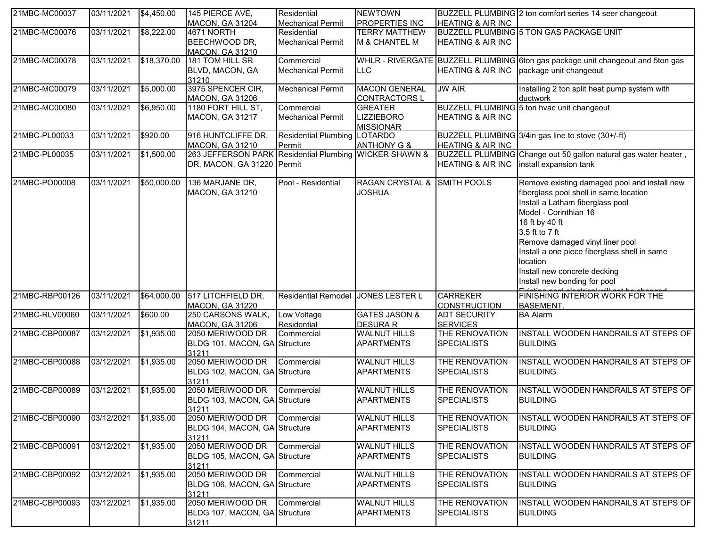| 21MBC-MC00037  | 03/11/2021            | \$4,450.00         | 145 PIERCE AVE,                                        | Residential                        | <b>NEWTOWN</b>                                |                              | BUZZELL PLUMBING 2 ton comfort series 14 seer changeout                                |
|----------------|-----------------------|--------------------|--------------------------------------------------------|------------------------------------|-----------------------------------------------|------------------------------|----------------------------------------------------------------------------------------|
|                |                       |                    | <b>MACON, GA 31204</b>                                 | <b>Mechanical Permit</b>           | <b>PROPERTIES INC</b><br><b>TERRY MATTHEW</b> | <b>HEATING &amp; AIR INC</b> | BUZZELL PLUMBING 5 TON GAS PACKAGE UNIT                                                |
| 21MBC-MC00076  | 03/11/2021            | \$8,222.00         | 4671 NORTH                                             | Residential                        |                                               |                              |                                                                                        |
|                |                       |                    | BEECHWOOD DR,<br><b>MACON, GA 31210</b>                | <b>Mechanical Permit</b>           | M & CHANTEL M                                 | <b>HEATING &amp; AIR INC</b> |                                                                                        |
| 21MBC-MC00078  | 03/11/2021            | \$18,370.00        | 181 TOM HILL SR                                        | Commercial                         |                                               |                              | WHLR - RIVERGATE BUZZELL PLUMBING 6ton gas package unit changeout and 5ton gas         |
|                |                       |                    | BLVD, MACON, GA                                        | <b>Mechanical Permit</b>           | <b>LLC</b>                                    | <b>HEATING &amp; AIR INC</b> | package unit changeout                                                                 |
|                |                       |                    | 31210                                                  |                                    |                                               |                              |                                                                                        |
| 21MBC-MC00079  | 03/11/2021            | \$5,000.00         | 3975 SPENCER CIR,                                      | <b>Mechanical Permit</b>           | <b>MACON GENERAL</b>                          | <b>JW AIR</b>                | Installing 2 ton split heat pump system with                                           |
|                |                       |                    | <b>MACON, GA 31206</b>                                 |                                    | <b>CONTRACTORS L</b>                          |                              | ductwork                                                                               |
| 21MBC-MC00080  | 03/11/2021            | \$6,950.00         | 1180 FORT HILL ST,                                     | Commercial                         | <b>GREATER</b>                                |                              | BUZZELL PLUMBING 5 ton hvac unit changeout                                             |
|                |                       |                    | <b>MACON, GA 31217</b>                                 | <b>Mechanical Permit</b>           | <b>LIZZIEBORO</b>                             | <b>HEATING &amp; AIR INC</b> |                                                                                        |
|                |                       |                    |                                                        |                                    | <b>MISSIONAR</b>                              |                              |                                                                                        |
| 21MBC-PL00033  | 03/11/2021            | \$920.00           | 916 HUNTCLIFFE DR,                                     | Residential Plumbing LOTARDO       |                                               |                              | BUZZELL PLUMBING 3/4in gas line to stove (30+/-ft)                                     |
|                |                       |                    | <b>MACON, GA 31210</b>                                 | Permit                             | <b>ANTHONY G &amp;</b>                        | <b>HEATING &amp; AIR INC</b> |                                                                                        |
| 21MBC-PL00035  | 03/11/2021            | \$1,500.00         | 263 JEFFERSON PARK Residential Plumbing WICKER SHAWN & |                                    |                                               |                              | BUZZELL PLUMBING Change out 50 gallon natural gas water heater,                        |
|                |                       |                    | DR, MACON, GA 31220 Permit                             |                                    |                                               | <b>HEATING &amp; AIR INC</b> | install expansion tank                                                                 |
| 21MBC-PO00008  | 03/11/2021            | \$50,000.00        | 136 MARJANE DR,                                        | Pool - Residential                 | <b>RAGAN CRYSTAL &amp;</b>                    | <b>SMITH POOLS</b>           |                                                                                        |
|                |                       |                    |                                                        |                                    |                                               |                              | Remove existing damaged pool and install new<br>fiberglass pool shell in same location |
|                |                       |                    | MACON, GA 31210                                        |                                    | <b>JOSHUA</b>                                 |                              |                                                                                        |
|                |                       |                    |                                                        |                                    |                                               |                              | Install a Latham fiberglass pool                                                       |
|                |                       |                    |                                                        |                                    |                                               |                              | Model - Corinthian 16                                                                  |
|                |                       |                    |                                                        |                                    |                                               |                              | 16 ft by 40 ft                                                                         |
|                |                       |                    |                                                        |                                    |                                               |                              | 3.5 ft to 7 ft                                                                         |
|                |                       |                    |                                                        |                                    |                                               |                              | Remove damaged vinyl liner pool                                                        |
|                |                       |                    |                                                        |                                    |                                               |                              | Install a one piece fiberglass shell in same                                           |
|                |                       |                    |                                                        |                                    |                                               |                              | location                                                                               |
|                |                       |                    |                                                        |                                    |                                               |                              | Install new concrete decking                                                           |
|                |                       |                    |                                                        |                                    |                                               |                              | Install new bonding for pool                                                           |
| 21MBC-RBP00126 | 03/11/2021            | \$64,000.00        | 517 LITCHFIELD DR,                                     | Residential Remodel JONES LESTER L |                                               | <b>CARREKER</b>              | FINISHING INTERIOR WORK FOR THE                                                        |
|                |                       |                    | MACON, GA 31220                                        |                                    |                                               | <b>CONSTRUCTION</b>          | <b>BASEMENT.</b>                                                                       |
| 21MBC-RLV00060 | 03/11/2021            | \$600.00           | 250 CARSONS WALK,                                      | Low Voltage                        | <b>GATES JASON &amp;</b>                      | <b>ADT SECURITY</b>          | <b>BA Alarm</b>                                                                        |
|                |                       |                    | <b>MACON, GA 31206</b>                                 | Residential                        | <b>DESURA R</b>                               | <b>SERVICES</b>              |                                                                                        |
| 21MBC-CBP00087 | 03/12/2021            | $\sqrt{$1,935.00}$ | 2050 MERIWOOD DR                                       | Commercial                         | <b>WALNUT HILLS</b>                           | THE RENOVATION               | INSTALL WOODEN HANDRAILS AT STEPS OF                                                   |
|                |                       |                    | BLDG 101, MACON, GA Structure                          |                                    | <b>APARTMENTS</b>                             | <b>SPECIALISTS</b>           | <b>BUILDING</b>                                                                        |
|                |                       |                    | 31211                                                  |                                    |                                               |                              |                                                                                        |
| 21MBC-CBP00088 | 03/12/2021            | \$1,935.00         | 2050 MERIWOOD DR                                       | Commercial                         | <b>WALNUT HILLS</b>                           | THE RENOVATION               | INSTALL WOODEN HANDRAILS AT STEPS OF                                                   |
|                |                       |                    | BLDG 102, MACON, GA Structure                          |                                    | <b>APARTMENTS</b>                             | <b>SPECIALISTS</b>           | <b>BUILDING</b>                                                                        |
|                |                       |                    | 31211                                                  |                                    |                                               |                              |                                                                                        |
| 21MBC-CBP00089 | 03/12/2021            | \$1,935.00         | 2050 MERIWOOD DR                                       | Commercial                         | <b>WALNUT HILLS</b>                           | THE RENOVATION               | INSTALL WOODEN HANDRAILS AT STEPS OF                                                   |
|                |                       |                    | BLDG 103, MACON, GA Structure                          |                                    | <b>APARTMENTS</b>                             | <b>SPECIALISTS</b>           | <b>BUILDING</b>                                                                        |
| 21MBC-CBP00090 | 03/12/2021 \$1,935.00 |                    | 31211<br>2050 MERIWOOD DR Commercial                   |                                    | <b>WALNUT HILLS</b>                           | THE RENOVATION               | INSTALL WOODEN HANDRAILS AT STEPS OF                                                   |
|                |                       |                    | BLDG 104, MACON, GA Structure                          |                                    | <b>APARTMENTS</b>                             | <b>SPECIALISTS</b>           | <b>BUILDING</b>                                                                        |
|                |                       |                    | 31211                                                  |                                    |                                               |                              |                                                                                        |
| 21MBC-CBP00091 | 03/12/2021            | \$1,935.00         | 2050 MERIWOOD DR                                       | Commercial                         | <b>WALNUT HILLS</b>                           | THE RENOVATION               | INSTALL WOODEN HANDRAILS AT STEPS OF                                                   |
|                |                       |                    | BLDG 105, MACON, GA Structure                          |                                    | <b>APARTMENTS</b>                             | <b>SPECIALISTS</b>           | <b>BUILDING</b>                                                                        |
|                |                       |                    | 31211                                                  |                                    |                                               |                              |                                                                                        |
| 21MBC-CBP00092 | 03/12/2021            | \$1,935.00         | 2050 MERIWOOD DR                                       | Commercial                         | <b>WALNUT HILLS</b>                           | THE RENOVATION               | INSTALL WOODEN HANDRAILS AT STEPS OF                                                   |
|                |                       |                    | BLDG 106, MACON, GA Structure                          |                                    | <b>APARTMENTS</b>                             | <b>SPECIALISTS</b>           | <b>BUILDING</b>                                                                        |
|                |                       |                    | 31211                                                  |                                    |                                               |                              |                                                                                        |
| 21MBC-CBP00093 | 03/12/2021            | \$1,935.00         | 2050 MERIWOOD DR                                       | Commercial                         | <b>WALNUT HILLS</b>                           | THE RENOVATION               | INSTALL WOODEN HANDRAILS AT STEPS OF                                                   |
|                |                       |                    | BLDG 107, MACON, GA Structure                          |                                    | <b>APARTMENTS</b>                             | <b>SPECIALISTS</b>           | <b>BUILDING</b>                                                                        |
|                |                       |                    | 31211                                                  |                                    |                                               |                              |                                                                                        |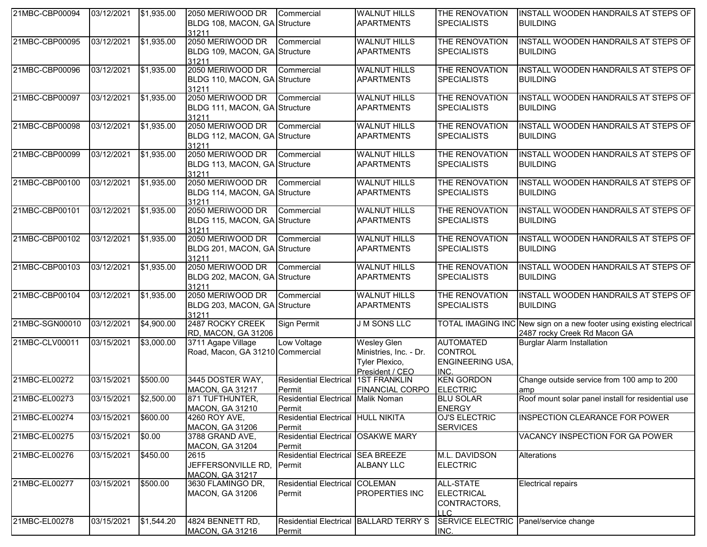| 21MBC-CBP00094 | 03/12/2021 | \$1,935.00     | 2050 MERIWOOD DR<br>BLDG 108, MACON, GA Structure<br>31211            | Commercial                                       | <b>WALNUT HILLS</b><br><b>APARTMENTS</b>                                          | THE RENOVATION<br><b>SPECIALISTS</b>                                  | INSTALL WOODEN HANDRAILS AT STEPS OF<br><b>BUILDING</b>                                              |
|----------------|------------|----------------|-----------------------------------------------------------------------|--------------------------------------------------|-----------------------------------------------------------------------------------|-----------------------------------------------------------------------|------------------------------------------------------------------------------------------------------|
| 21MBC-CBP00095 | 03/12/2021 | \$1,935.00     | 2050 MERIWOOD DR<br>BLDG 109, MACON, GA Structure<br>31211            | Commercial                                       | <b>WALNUT HILLS</b><br><b>APARTMENTS</b>                                          | THE RENOVATION<br><b>SPECIALISTS</b>                                  | INSTALL WOODEN HANDRAILS AT STEPS OF<br><b>BUILDING</b>                                              |
| 21MBC-CBP00096 | 03/12/2021 | \$1,935.00     | 2050 MERIWOOD DR<br>BLDG 110, MACON, GA Structure<br>31211            | Commercial                                       | <b>WALNUT HILLS</b><br><b>APARTMENTS</b>                                          | THE RENOVATION<br><b>SPECIALISTS</b>                                  | INSTALL WOODEN HANDRAILS AT STEPS OF<br><b>BUILDING</b>                                              |
| 21MBC-CBP00097 | 03/12/2021 | \$1,935.00     | 2050 MERIWOOD DR Commercial<br>BLDG 111, MACON, GA Structure<br>31211 |                                                  | <b>WALNUT HILLS</b><br><b>APARTMENTS</b>                                          | THE RENOVATION<br><b>SPECIALISTS</b>                                  | INSTALL WOODEN HANDRAILS AT STEPS OF<br><b>BUILDING</b>                                              |
| 21MBC-CBP00098 | 03/12/2021 | \$1,935.00     | 2050 MERIWOOD DR<br>BLDG 112, MACON, GA Structure<br>31211            | Commercial                                       | <b>WALNUT HILLS</b><br><b>APARTMENTS</b>                                          | THE RENOVATION<br><b>SPECIALISTS</b>                                  | INSTALL WOODEN HANDRAILS AT STEPS OF<br><b>BUILDING</b>                                              |
| 21MBC-CBP00099 | 03/12/2021 | \$1,935.00     | 2050 MERIWOOD DR<br>BLDG 113, MACON, GA Structure<br>31211            | Commercial                                       | <b>WALNUT HILLS</b><br><b>APARTMENTS</b>                                          | THE RENOVATION<br><b>SPECIALISTS</b>                                  | INSTALL WOODEN HANDRAILS AT STEPS OF<br><b>BUILDING</b>                                              |
| 21MBC-CBP00100 | 03/12/2021 | \$1,935.00     | 2050 MERIWOOD DR Commercial<br>BLDG 114, MACON, GA Structure<br>31211 |                                                  | <b>WALNUT HILLS</b><br><b>APARTMENTS</b>                                          | THE RENOVATION<br><b>SPECIALISTS</b>                                  | INSTALL WOODEN HANDRAILS AT STEPS OF<br><b>BUILDING</b>                                              |
| 21MBC-CBP00101 | 03/12/2021 | \$1,935.00     | 2050 MERIWOOD DR<br>BLDG 115, MACON, GA Structure<br>31211            | Commercial                                       | <b>WALNUT HILLS</b><br><b>APARTMENTS</b>                                          | THE RENOVATION<br><b>SPECIALISTS</b>                                  | INSTALL WOODEN HANDRAILS AT STEPS OF<br><b>BUILDING</b>                                              |
| 21MBC-CBP00102 | 03/12/2021 | \$1,935.00     | 2050 MERIWOOD DR<br>BLDG 201, MACON, GA Structure<br>31211            | Commercial                                       | <b>WALNUT HILLS</b><br><b>APARTMENTS</b>                                          | THE RENOVATION<br><b>SPECIALISTS</b>                                  | INSTALL WOODEN HANDRAILS AT STEPS OF<br><b>BUILDING</b>                                              |
| 21MBC-CBP00103 | 03/12/2021 | \$1,935.00     | 2050 MERIWOOD DR Commercial<br>BLDG 202, MACON, GA Structure<br>31211 |                                                  | <b>WALNUT HILLS</b><br><b>APARTMENTS</b>                                          | THE RENOVATION<br><b>SPECIALISTS</b>                                  | INSTALL WOODEN HANDRAILS AT STEPS OF<br><b>BUILDING</b>                                              |
| 21MBC-CBP00104 | 03/12/2021 | \$1,935.00     | 2050 MERIWOOD DR<br>BLDG 203, MACON, GA Structure<br>31211            | Commercial                                       | <b>WALNUT HILLS</b><br><b>APARTMENTS</b>                                          | THE RENOVATION<br><b>SPECIALISTS</b>                                  | INSTALL WOODEN HANDRAILS AT STEPS OF<br><b>BUILDING</b>                                              |
| 21MBC-SGN00010 | 03/12/2021 | \$4,900.00     | 2487 ROCKY CREEK<br>RD, MACON, GA 31206                               | Sign Permit                                      | <b>J M SONS LLC</b>                                                               |                                                                       | TOTAL IMAGING INC New sign on a new footer using existing electrical<br>2487 rocky Creek Rd Macon GA |
| 21MBC-CLV00011 | 03/15/2021 | \$3,000.00     | 3711 Agape Village<br>Road, Macon, GA 31210 Commercial                | Low Voltage                                      | <b>Wesley Glen</b><br>Ministries, Inc. - Dr.<br>Tyler Plexico,<br>President / CEO | <b>AUTOMATED</b><br><b>CONTROL</b><br><b>ENGINEERING USA,</b><br>INC. | <b>Burglar Alarm Installation</b>                                                                    |
| 21MBC-EL00272  | 03/15/2021 | \$500.00       | 3445 DOSTER WAY,<br><b>MACON, GA 31217</b>                            | <b>Residential Electrical</b><br>Permit          | <b>1ST FRANKLIN</b><br>FINANCIAL CORPO                                            | <b>KEN GORDON</b><br><b>ELECTRIC</b>                                  | Change outside service from 100 amp to 200<br>amp                                                    |
| 21MBC-EL00273  | 03/15/2021 | \$2,500.00     | 871 TUFTHUNTER,<br><b>MACON, GA 31210</b>                             | Residential Electrical Malik Noman<br>Permit     |                                                                                   | <b>BLU SOLAR</b><br><b>ENERGY</b>                                     | Roof mount solar panel install for residential use                                                   |
| 21MBC-EL00274  | 03/15/2021 | \$600.00       | 4260 ROY AVE,<br><b>MACON, GA 31206</b>                               | Residential Electrical HULL NIKITA<br>Permit     |                                                                                   | <b>OJ'S ELECTRIC</b><br><b>SERVICES</b>                               | INSPECTION CLEARANCE FOR POWER                                                                       |
| 21MBC-EL00275  | 03/15/2021 | $\sqrt{$0.00}$ | 3788 GRAND AVE,<br><b>MACON, GA 31204</b>                             | Residential Electrical OSAKWE MARY<br>Permit     |                                                                                   |                                                                       | VACANCY INSPECTION FOR GA POWER                                                                      |
| 21MBC-EL00276  | 03/15/2021 | \$450.00       | 2615<br>JEFFERSONVILLE RD,<br><b>MACON, GA 31217</b>                  | Residential Electrical SEA BREEZE<br>Permit      | <b>ALBANY LLC</b>                                                                 | M.L. DAVIDSON<br><b>ELECTRIC</b>                                      | Alterations                                                                                          |
| 21MBC-EL00277  | 03/15/2021 | \$500.00       | 3630 FLAMINGO DR,<br>MACON, GA 31206                                  | Residential Electrical COLEMAN<br>Permit         | <b>PROPERTIES INC</b>                                                             | <b>ALL-STATE</b><br><b>ELECTRICAL</b><br>CONTRACTORS,<br>II C.        | <b>Electrical repairs</b>                                                                            |
| 21MBC-EL00278  | 03/15/2021 | \$1,544.20     | 4824 BENNETT RD,<br><b>MACON, GA 31216</b>                            | Residential Electrical BALLARD TERRY S<br>Permit |                                                                                   | SERVICE ELECTRIC Panel/service change<br>INC.                         |                                                                                                      |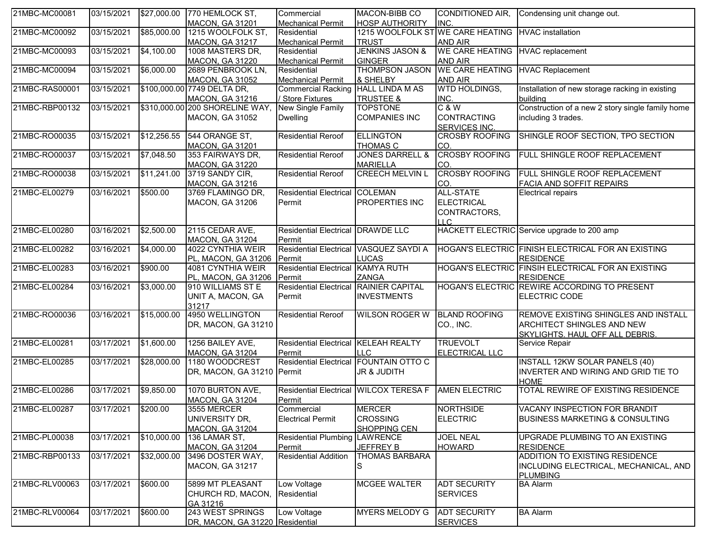| 21MBC-MC00081  | 03/15/2021          |             | \$27,000.00 770 HEMLOCK ST,                        | Commercial                             | MACON-BIBB CO                                        | CONDITIONED AIR,                 | Condensing unit change out.                                  |
|----------------|---------------------|-------------|----------------------------------------------------|----------------------------------------|------------------------------------------------------|----------------------------------|--------------------------------------------------------------|
|                |                     |             | <b>MACON, GA 31201</b>                             | <b>Mechanical Permit</b>               | <b>HOSP AUTHORITY</b>                                | INC.                             |                                                              |
| 21MBC-MC00092  | 03/15/2021          | \$85,000.00 | 1215 WOOLFOLK ST,                                  | Residential                            | 1215 WOOLFOLK ST                                     | <b>WE CARE HEATING</b>           | <b>HVAC</b> installation                                     |
|                |                     |             | MACON, GA 31217                                    | <b>Mechanical Permit</b>               | <b>TRUST</b>                                         | <b>AND AIR</b>                   |                                                              |
| 21MBC-MC00093  | 03/15/2021          | \$4,100.00  | 1008 MASTERS DR,                                   | Residential                            | <b>JENKINS JASON &amp;</b>                           | WE CARE HEATING HVAC replacement |                                                              |
|                |                     |             | <b>MACON, GA 31220</b>                             | <b>Mechanical Permit</b>               | <b>GINGER</b>                                        | <b>AND AIR</b>                   |                                                              |
| 21MBC-MC00094  | 03/15/2021          | \$6,000.00  | 2689 PENBROOK LN.                                  | Residential                            | <b>THOMPSON JASON</b>                                | <b>WE CARE HEATING</b>           | <b>HVAC Replacement</b>                                      |
|                |                     |             | <b>MACON, GA 31052</b>                             | <b>Mechanical Permit</b>               | & SHELBY                                             | <b>AND AIR</b>                   |                                                              |
| 21MBC-RAS00001 | 03/15/2021          |             | \$100,000.00 7749 DELTA DR,                        | Commercial Racking HALL LINDA M AS     | <b>TRUSTEE &amp;</b>                                 | WTD HOLDINGS,                    | Installation of new storage racking in existing              |
| 21MBC-RBP00132 | 03/15/2021          |             | MACON, GA 31216<br>\$310,000.00 200 SHORELINE WAY, | / Store Fixtures<br>New Single Family  | <b>TOPSTONE</b>                                      | INC.<br>C & W                    | building<br>Construction of a new 2 story single family home |
|                |                     |             | <b>MACON, GA 31052</b>                             | <b>Dwelling</b>                        | <b>COMPANIES INC</b>                                 | <b>CONTRACTING</b>               | including 3 trades.                                          |
|                |                     |             |                                                    |                                        |                                                      | <b>SERVICES INC.</b>             |                                                              |
| 21MBC-RO00035  | 03/15/2021          | \$12,256.55 | 544 ORANGE ST,                                     | <b>Residential Reroof</b>              | <b>ELLINGTON</b>                                     | <b>CROSBY ROOFING</b>            | SHINGLE ROOF SECTION, TPO SECTION                            |
|                |                     |             | <b>MACON, GA 31201</b>                             |                                        | THOMAS C                                             | CO.                              |                                                              |
| 21MBC-RO00037  | 03/15/2021          | \$7,048.50  | 353 FAIRWAYS DR,                                   | <b>Residential Reroof</b>              | <b>JONES DARRELL &amp;</b>                           | <b>CROSBY ROOFING</b>            | FULL SHINGLE ROOF REPLACEMENT                                |
|                |                     |             | <b>MACON, GA 31220</b>                             |                                        | <b>MARIELLA</b>                                      | CO.                              |                                                              |
| 21MBC-RO00038  | 03/15/2021          | \$11,241.00 | 3719 SANDY CIR,                                    | <b>Residential Reroof</b>              | <b>CREECH MELVIN L</b>                               | <b>CROSBY ROOFING</b>            | FULL SHINGLE ROOF REPLACEMENT                                |
|                |                     |             | MACON, GA 31216                                    |                                        |                                                      | CO.                              | FACIA AND SOFFIT REPAIRS                                     |
| 21MBC-EL00279  | 03/16/2021          | \$500.00    | 3769 FLAMINGO DR,                                  | Residential Electrical COLEMAN         |                                                      | <b>ALL-STATE</b>                 | <b>Electrical repairs</b>                                    |
|                |                     |             | <b>MACON, GA 31206</b>                             | Permit                                 | PROPERTIES INC                                       | <b>ELECTRICAL</b>                |                                                              |
|                |                     |             |                                                    |                                        |                                                      | CONTRACTORS,                     |                                                              |
|                |                     |             |                                                    |                                        |                                                      | $\sqcup$ C                       |                                                              |
| 21MBC-EL00280  | 03/16/2021          | \$2,500.00  | 2115 CEDAR AVE,                                    | Residential Electrical DRAWDE LLC      |                                                      |                                  | HACKETT ELECTRIC Service upgrade to 200 amp                  |
|                |                     |             | <b>MACON, GA 31204</b>                             | Permit                                 |                                                      |                                  |                                                              |
| 21MBC-EL00282  | 03/16/2021          | \$4,000.00  | 4022 CYNTHIA WEIR                                  | Residential Electrical VASQUEZ SAYDI A |                                                      |                                  | HOGAN'S ELECTRIC FINISH ELECTRICAL FOR AN EXISTING           |
|                |                     |             | PL, MACON, GA 31206                                | Permit                                 | <b>LUCAS</b>                                         |                                  | <b>RESIDENCE</b>                                             |
| 21MBC-EL00283  | 03/16/2021          | \$900.00    | <b>4081 CYNTHIA WEIR</b>                           | Residential Electrical KAMYA RUTH      |                                                      |                                  | HOGAN'S ELECTRIC FINSIH ELECTRICAL FOR AN EXISTING           |
|                |                     |             | PL, MACON, GA 31206                                | <b>I</b> Permit                        | <b>ZANGA</b>                                         |                                  | <b>RESIDENCE</b>                                             |
| 21MBC-EL00284  | 03/16/2021          | \$3,000.00  | 910 WILLIAMS ST E                                  | Residential Electrical RAINIER CAPITAL |                                                      |                                  | HOGAN'S ELECTRIC REWIRE ACCORDING TO PRESENT                 |
|                |                     |             | UNIT A, MACON, GA<br>31217                         | Permit                                 | <b>INVESTMENTS</b>                                   |                                  | ELECTRIC CODE                                                |
| 21MBC-RO00036  | 03/16/2021          | \$15,000.00 | 4950 WELLINGTON                                    | <b>Residential Reroof</b>              | WILSON ROGER W                                       | <b>BLAND ROOFING</b>             | REMOVE EXISTING SHINGLES AND INSTALL                         |
|                |                     |             | DR, MACON, GA 31210                                |                                        |                                                      | CO., INC.                        | ARCHITECT SHINGLES AND NEW                                   |
|                |                     |             |                                                    |                                        |                                                      |                                  | SKYLIGHTS. HAUL OFF ALL DEBRIS.                              |
| 21MBC-EL00281  | 03/17/2021          | \$1,600.00  | 1256 BAILEY AVE,                                   | Residential Electrical KELEAH REALTY   |                                                      | <b>TRUEVOLT</b>                  | Service Repair                                               |
|                |                     |             | <b>MACON, GA 31204</b>                             | Permit                                 | <b>LLC</b>                                           | <b>ELECTRICAL LLC</b>            |                                                              |
| 21MBC-EL00285  | 03/17/2021          | \$28,000.00 | 1180 WOODCREST                                     | Residential Electrical FOUNTAIN OTTO C |                                                      |                                  | <b>INSTALL 12KW SOLAR PANELS (40)</b>                        |
|                |                     |             | DR, MACON, GA 31210 Permit                         |                                        | JR & JUDITH                                          |                                  | INVERTER AND WIRING AND GRID TIE TO                          |
|                |                     |             |                                                    |                                        |                                                      |                                  | <b>HOME</b>                                                  |
| 21MBC-EL00286  | 03/17/2021          | \$9,850.00  | 1070 BURTON AVE,                                   |                                        | Residential Electrical WILCOX TERESA F AMEN ELECTRIC |                                  | TOTAL REWIRE OF EXISTING RESIDENCE                           |
|                |                     |             | <b>MACON, GA 31204</b>                             | Permit                                 |                                                      |                                  |                                                              |
| 21MBC-EL00287  | 03/17/2021 \$200.00 |             | 3555 MERCER                                        | Commercial                             | MERCER                                               | <b>NORTHSIDE</b>                 | VACANY INSPECTION FOR BRANDIT                                |
|                |                     |             | UNIVERSITY DR,                                     | <b>Electrical Permit</b>               | <b>CROSSING</b>                                      | <b>ELECTRIC</b>                  | <b>BUSINESS MARKETING &amp; CONSULTING</b>                   |
|                |                     |             | MACON. GA 31204                                    |                                        | <b>SHOPPING CEN</b>                                  |                                  |                                                              |
| 21MBC-PL00038  | 03/17/2021          | \$10,000.00 | 136 LAMAR ST,                                      | Residential Plumbing LAWRENCE          |                                                      | <b>JOEL NEAL</b>                 | UPGRADE PLUMBING TO AN EXISTING                              |
|                |                     |             | <b>MACON, GA 31204</b>                             | Permit                                 | <b>JEFFREY B</b>                                     | <b>HOWARD</b>                    | <b>RESIDENCE</b>                                             |
| 21MBC-RBP00133 | 03/17/2021          | \$32,000.00 | 3496 DOSTER WAY,                                   | <b>Residential Addition</b>            | <b>THOMAS BARBARA</b>                                |                                  | ADDITION TO EXISTING RESIDENCE                               |
|                |                     |             | MACON, GA 31217                                    |                                        | S                                                    |                                  | INCLUDING ELECTRICAL, MECHANICAL, AND                        |
| 21MBC-RLV00063 | 03/17/2021          | \$600.00    | 5899 MT PLEASANT                                   | Low Voltage                            | <b>MCGEE WALTER</b>                                  | <b>ADT SECURITY</b>              | <b>PLUMBING</b><br><b>BA Alarm</b>                           |
|                |                     |             | CHURCH RD, MACON, Residential                      |                                        |                                                      | <b>SERVICES</b>                  |                                                              |
|                |                     |             | GA 31216                                           |                                        |                                                      |                                  |                                                              |
| 21MBC-RLV00064 | 03/17/2021          | \$600.00    | 243 WEST SPRINGS                                   | Low Voltage                            | <b>MYERS MELODY G</b>                                | <b>ADT SECURITY</b>              | <b>BA Alarm</b>                                              |
|                |                     |             | DR, MACON, GA 31220 Residential                    |                                        |                                                      | <b>SERVICES</b>                  |                                                              |
|                |                     |             |                                                    |                                        |                                                      |                                  |                                                              |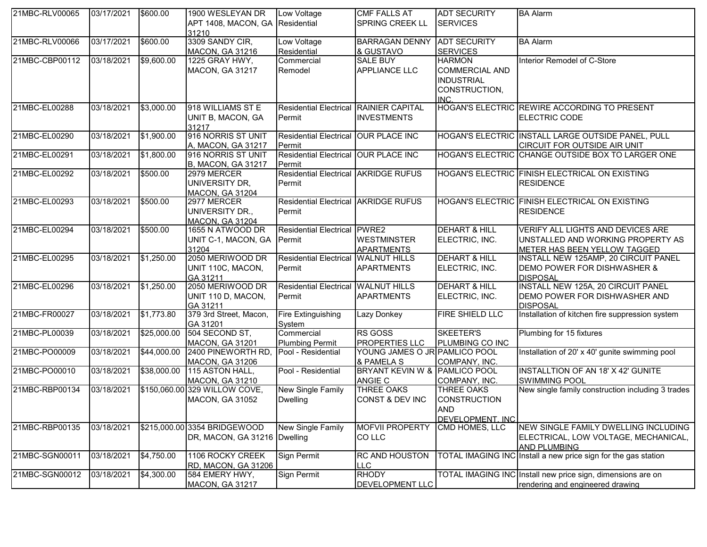| APT 1408, MACON, GA<br>Residential<br>SPRING CREEK LL<br><b>SERVICES</b><br>31210<br>3309 SANDY CIR,<br>\$600.00<br>Low Voltage<br><b>BA</b> Alarm<br>03/17/2021<br><b>BARRAGAN DENNY</b><br><b>ADT SECURITY</b><br><b>MACON, GA 31216</b><br>Residential<br>& GUSTAVO<br><b>SERVICES</b><br>\$9,600.00<br><b>SALE BUY</b><br>03/18/2021<br>1225 GRAY HWY,<br>Commercial<br><b>HARMON</b><br>Interior Remodel of C-Store<br><b>COMMERCIAL AND</b><br>MACON, GA 31217<br>Remodel<br><b>APPLIANCE LLC</b><br><b>INDUSTRIAL</b><br>CONSTRUCTION,<br>INC.<br>Residential Electrical RAINIER CAPITAL<br>HOGAN'S ELECTRIC REWIRE ACCORDING TO PRESENT<br>03/18/2021<br>\$3,000.00<br>918 WILLIAMS ST E<br>UNIT B, MACON, GA<br><b>INVESTMENTS</b><br>ELECTRIC CODE<br>Permit<br>31217<br>916 NORRIS ST UNIT<br>\$1,900.00<br>03/18/2021<br>Residential Electrical OUR PLACE INC<br>HOGAN'S ELECTRIC INSTALL LARGE OUTSIDE PANEL, PULL<br>CIRCUIT FOR OUTSIDE AIR UNIT<br>A, MACON, GA 31217<br>Permit<br>916 NORRIS ST UNIT<br>Residential Electrical OUR PLACE INC<br>HOGAN'S ELECTRIC CHANGE OUTSIDE BOX TO LARGER ONE<br>03/18/2021<br>\$1,800.00<br>21MBC-EL00291<br><b>B, MACON, GA 31217</b><br>Permit<br>\$500.00<br>Residential Electrical AKRIDGE RUFUS<br>21MBC-EL00292<br>03/18/2021<br>2979 MERCER<br>HOGAN'S ELECTRIC FINISH ELECTRICAL ON EXISTING<br>UNIVERSITY DR,<br><b>RESIDENCE</b><br>Permit<br><b>MACON, GA 31204</b><br>Residential Electrical AKRIDGE RUFUS<br>21MBC-EL00293<br>03/18/2021<br>\$500.00<br>2977 MERCER<br>HOGAN'S ELECTRIC FINISH ELECTRICAL ON EXISTING<br>UNIVERSITY DR.,<br>Permit<br><b>RESIDENCE</b><br><b>MACON, GA 31204</b><br>\$500.00<br><b>DEHART &amp; HILL</b><br>21MBC-EL00294<br>03/18/2021<br>1655 N ATWOOD DR<br>Residential Electrical PWRE2<br>VERIFY ALL LIGHTS AND DEVICES ARE<br><b>WESTMINSTER</b><br>ELECTRIC, INC.<br>UNIT C-1, MACON, GA<br>Permit<br>UNSTALLED AND WORKING PROPERTY AS<br>31204<br><b>APARTMENTS</b><br>METER HAS BEEN YELLOW TAGGED<br>2050 MERIWOOD DR<br><b>DEHART &amp; HILL</b><br>21MBC-EL00295<br>03/18/2021<br>\$1,250.00<br>Residential Electrical WALNUT HILLS<br>INSTALL NEW 125AMP, 20 CIRCUIT PANEL<br>UNIT 110C, MACON,<br>ELECTRIC, INC.<br>Permit<br><b>APARTMENTS</b><br>DEMO POWER FOR DISHWASHER &<br>GA 31211<br><b>DISPOSAL</b><br>2050 MERIWOOD DR<br>INSTALL NEW 125A, 20 CIRCUIT PANEL<br>\$1,250.00<br>Residential Electrical WALNUT HILLS<br><b>DEHART &amp; HILL</b><br>21MBC-EL00296<br>03/18/2021<br>UNIT 110 D, MACON,<br><b>APARTMENTS</b><br>ELECTRIC, INC.<br>DEMO POWER FOR DISHWASHER AND<br>Permit<br>GA 31211<br><b>DISPOSAL</b><br>379 3rd Street, Macon,<br>Installation of kitchen fire suppression system<br>21MBC-FR00027<br>03/18/2021<br>\$1,773.80<br>Fire Extinguishing<br>Lazy Donkey<br><b>FIRE SHIELD LLC</b><br>System<br>GA 31201<br>504 SECOND ST,<br>Commercial<br><b>RS GOSS</b><br>SKEETER'S<br>21MBC-PL00039<br>03/18/2021<br>\$25,000.00<br>Plumbing for 15 fixtures<br><b>PROPERTIES LLC</b><br>PLUMBING CO INC<br><b>MACON, GA 31201</b><br><b>Plumbing Permit</b><br>03/18/2021<br>\$44,000.00<br>YOUNG JAMES O JR PAMLICO POOL<br>Installation of 20' x 40' gunite swimming pool<br>21MBC-PO00009<br>2400 PINEWORTH RD,<br>Pool - Residential<br><b>MACON, GA 31206</b><br>& PAMELA S<br>COMPANY, INC.<br>21MBC-PO00010<br>03/18/2021<br>\$38,000.00<br>Pool - Residential<br>BRYANT KEVIN W & PAMLICO POOL<br><b>INSTALLTION OF AN 18' X 42' GUNITE</b><br>115 ASTON HALL,<br>ANGIE C<br><b>SWIMMING POOL</b><br>MACON, GA 31210<br>COMPANY, INC.<br>03/18/2021<br>\$150,060.00 329 WILLOW COVE,<br><b>New Single Family</b><br><b>THREE OAKS</b><br>New single family construction including 3 trades<br>21MBC-RBP00134<br><b>THREE OAKS</b><br>CONST & DEV INC<br><b>CONSTRUCTION</b><br><b>MACON, GA 31052</b><br><b>Dwelling</b><br><b>AND</b><br>DEVELOPMENT. INC<br>21MBC-RBP00135<br>03/18/2021<br>\$215,000.00 3354 BRIDGEWOOD<br>New Single Family<br><b>MOFVII PROPERTY</b><br>CMD HOMES, LLC<br>NEW SINGLE FAMILY DWELLING INCLUDING<br>CO LLC<br>DR, MACON, GA 31216   Dwelling<br>ELECTRICAL, LOW VOLTAGE, MECHANICAL,<br><b>AND PLUMBING</b><br>21MBC-SGN00011<br>03/18/2021<br>\$4,750.00<br>TOTAL IMAGING INC Install a new price sign for the gas station<br>1106 ROCKY CREEK<br>Sign Permit<br><b>RC AND HOUSTON</b><br>RD, MACON, GA 31206<br><b>LLC</b><br><b>RHODY</b><br>21MBC-SGN00012<br>03/18/2021<br>\$4,300.00<br>Sign Permit<br>TOTAL IMAGING INC Install new price sign, dimensions are on<br>584 EMERY HWY,<br>DEVELOPMENT LLC<br><b>MACON, GA 31217</b><br>rendering and engineered drawing | 21MBC-RLV00065 | 03/17/2021 | \$600.00 | 1900 WESLEYAN DR | Low Voltage | <b>CMF FALLS AT</b> | <b>ADT SECURITY</b> | <b>BA Alarm</b> |
|---------------------------------------------------------------------------------------------------------------------------------------------------------------------------------------------------------------------------------------------------------------------------------------------------------------------------------------------------------------------------------------------------------------------------------------------------------------------------------------------------------------------------------------------------------------------------------------------------------------------------------------------------------------------------------------------------------------------------------------------------------------------------------------------------------------------------------------------------------------------------------------------------------------------------------------------------------------------------------------------------------------------------------------------------------------------------------------------------------------------------------------------------------------------------------------------------------------------------------------------------------------------------------------------------------------------------------------------------------------------------------------------------------------------------------------------------------------------------------------------------------------------------------------------------------------------------------------------------------------------------------------------------------------------------------------------------------------------------------------------------------------------------------------------------------------------------------------------------------------------------------------------------------------------------------------------------------------------------------------------------------------------------------------------------------------------------------------------------------------------------------------------------------------------------------------------------------------------------------------------------------------------------------------------------------------------------------------------------------------------------------------------------------------------------------------------------------------------------------------------------------------------------------------------------------------------------------------------------------------------------------------------------------------------------------------------------------------------------------------------------------------------------------------------------------------------------------------------------------------------------------------------------------------------------------------------------------------------------------------------------------------------------------------------------------------------------------------------------------------------------------------------------------------------------------------------------------------------------------------------------------------------------------------------------------------------------------------------------------------------------------------------------------------------------------------------------------------------------------------------------------------------------------------------------------------------------------------------------------------------------------------------------------------------------------------------------------------------------------------------------------------------------------------------------------------------------------------------------------------------------------------------------------------------------------------------------------------------------------------------------------------------------------------------------------------------------------------------------------------------------------------------------------------------------------------------------------------------------------------------------------------------------------------------------------------------------------------------------------------------------------------------------------------------------------------------------------------------------------------------------------------------------------------------------------------------------------------------------------------------------------------------------------------------|----------------|------------|----------|------------------|-------------|---------------------|---------------------|-----------------|
|                                                                                                                                                                                                                                                                                                                                                                                                                                                                                                                                                                                                                                                                                                                                                                                                                                                                                                                                                                                                                                                                                                                                                                                                                                                                                                                                                                                                                                                                                                                                                                                                                                                                                                                                                                                                                                                                                                                                                                                                                                                                                                                                                                                                                                                                                                                                                                                                                                                                                                                                                                                                                                                                                                                                                                                                                                                                                                                                                                                                                                                                                                                                                                                                                                                                                                                                                                                                                                                                                                                                                                                                                                                                                                                                                                                                                                                                                                                                                                                                                                                                                                                                                                                                                                                                                                                                                                                                                                                                                                                                                                                                                                                                     |                |            |          |                  |             |                     |                     |                 |
|                                                                                                                                                                                                                                                                                                                                                                                                                                                                                                                                                                                                                                                                                                                                                                                                                                                                                                                                                                                                                                                                                                                                                                                                                                                                                                                                                                                                                                                                                                                                                                                                                                                                                                                                                                                                                                                                                                                                                                                                                                                                                                                                                                                                                                                                                                                                                                                                                                                                                                                                                                                                                                                                                                                                                                                                                                                                                                                                                                                                                                                                                                                                                                                                                                                                                                                                                                                                                                                                                                                                                                                                                                                                                                                                                                                                                                                                                                                                                                                                                                                                                                                                                                                                                                                                                                                                                                                                                                                                                                                                                                                                                                                                     |                |            |          |                  |             |                     |                     |                 |
|                                                                                                                                                                                                                                                                                                                                                                                                                                                                                                                                                                                                                                                                                                                                                                                                                                                                                                                                                                                                                                                                                                                                                                                                                                                                                                                                                                                                                                                                                                                                                                                                                                                                                                                                                                                                                                                                                                                                                                                                                                                                                                                                                                                                                                                                                                                                                                                                                                                                                                                                                                                                                                                                                                                                                                                                                                                                                                                                                                                                                                                                                                                                                                                                                                                                                                                                                                                                                                                                                                                                                                                                                                                                                                                                                                                                                                                                                                                                                                                                                                                                                                                                                                                                                                                                                                                                                                                                                                                                                                                                                                                                                                                                     | 21MBC-RLV00066 |            |          |                  |             |                     |                     |                 |
|                                                                                                                                                                                                                                                                                                                                                                                                                                                                                                                                                                                                                                                                                                                                                                                                                                                                                                                                                                                                                                                                                                                                                                                                                                                                                                                                                                                                                                                                                                                                                                                                                                                                                                                                                                                                                                                                                                                                                                                                                                                                                                                                                                                                                                                                                                                                                                                                                                                                                                                                                                                                                                                                                                                                                                                                                                                                                                                                                                                                                                                                                                                                                                                                                                                                                                                                                                                                                                                                                                                                                                                                                                                                                                                                                                                                                                                                                                                                                                                                                                                                                                                                                                                                                                                                                                                                                                                                                                                                                                                                                                                                                                                                     |                |            |          |                  |             |                     |                     |                 |
|                                                                                                                                                                                                                                                                                                                                                                                                                                                                                                                                                                                                                                                                                                                                                                                                                                                                                                                                                                                                                                                                                                                                                                                                                                                                                                                                                                                                                                                                                                                                                                                                                                                                                                                                                                                                                                                                                                                                                                                                                                                                                                                                                                                                                                                                                                                                                                                                                                                                                                                                                                                                                                                                                                                                                                                                                                                                                                                                                                                                                                                                                                                                                                                                                                                                                                                                                                                                                                                                                                                                                                                                                                                                                                                                                                                                                                                                                                                                                                                                                                                                                                                                                                                                                                                                                                                                                                                                                                                                                                                                                                                                                                                                     | 21MBC-CBP00112 |            |          |                  |             |                     |                     |                 |
|                                                                                                                                                                                                                                                                                                                                                                                                                                                                                                                                                                                                                                                                                                                                                                                                                                                                                                                                                                                                                                                                                                                                                                                                                                                                                                                                                                                                                                                                                                                                                                                                                                                                                                                                                                                                                                                                                                                                                                                                                                                                                                                                                                                                                                                                                                                                                                                                                                                                                                                                                                                                                                                                                                                                                                                                                                                                                                                                                                                                                                                                                                                                                                                                                                                                                                                                                                                                                                                                                                                                                                                                                                                                                                                                                                                                                                                                                                                                                                                                                                                                                                                                                                                                                                                                                                                                                                                                                                                                                                                                                                                                                                                                     |                |            |          |                  |             |                     |                     |                 |
|                                                                                                                                                                                                                                                                                                                                                                                                                                                                                                                                                                                                                                                                                                                                                                                                                                                                                                                                                                                                                                                                                                                                                                                                                                                                                                                                                                                                                                                                                                                                                                                                                                                                                                                                                                                                                                                                                                                                                                                                                                                                                                                                                                                                                                                                                                                                                                                                                                                                                                                                                                                                                                                                                                                                                                                                                                                                                                                                                                                                                                                                                                                                                                                                                                                                                                                                                                                                                                                                                                                                                                                                                                                                                                                                                                                                                                                                                                                                                                                                                                                                                                                                                                                                                                                                                                                                                                                                                                                                                                                                                                                                                                                                     |                |            |          |                  |             |                     |                     |                 |
|                                                                                                                                                                                                                                                                                                                                                                                                                                                                                                                                                                                                                                                                                                                                                                                                                                                                                                                                                                                                                                                                                                                                                                                                                                                                                                                                                                                                                                                                                                                                                                                                                                                                                                                                                                                                                                                                                                                                                                                                                                                                                                                                                                                                                                                                                                                                                                                                                                                                                                                                                                                                                                                                                                                                                                                                                                                                                                                                                                                                                                                                                                                                                                                                                                                                                                                                                                                                                                                                                                                                                                                                                                                                                                                                                                                                                                                                                                                                                                                                                                                                                                                                                                                                                                                                                                                                                                                                                                                                                                                                                                                                                                                                     |                |            |          |                  |             |                     |                     |                 |
|                                                                                                                                                                                                                                                                                                                                                                                                                                                                                                                                                                                                                                                                                                                                                                                                                                                                                                                                                                                                                                                                                                                                                                                                                                                                                                                                                                                                                                                                                                                                                                                                                                                                                                                                                                                                                                                                                                                                                                                                                                                                                                                                                                                                                                                                                                                                                                                                                                                                                                                                                                                                                                                                                                                                                                                                                                                                                                                                                                                                                                                                                                                                                                                                                                                                                                                                                                                                                                                                                                                                                                                                                                                                                                                                                                                                                                                                                                                                                                                                                                                                                                                                                                                                                                                                                                                                                                                                                                                                                                                                                                                                                                                                     |                |            |          |                  |             |                     |                     |                 |
|                                                                                                                                                                                                                                                                                                                                                                                                                                                                                                                                                                                                                                                                                                                                                                                                                                                                                                                                                                                                                                                                                                                                                                                                                                                                                                                                                                                                                                                                                                                                                                                                                                                                                                                                                                                                                                                                                                                                                                                                                                                                                                                                                                                                                                                                                                                                                                                                                                                                                                                                                                                                                                                                                                                                                                                                                                                                                                                                                                                                                                                                                                                                                                                                                                                                                                                                                                                                                                                                                                                                                                                                                                                                                                                                                                                                                                                                                                                                                                                                                                                                                                                                                                                                                                                                                                                                                                                                                                                                                                                                                                                                                                                                     | 21MBC-EL00288  |            |          |                  |             |                     |                     |                 |
|                                                                                                                                                                                                                                                                                                                                                                                                                                                                                                                                                                                                                                                                                                                                                                                                                                                                                                                                                                                                                                                                                                                                                                                                                                                                                                                                                                                                                                                                                                                                                                                                                                                                                                                                                                                                                                                                                                                                                                                                                                                                                                                                                                                                                                                                                                                                                                                                                                                                                                                                                                                                                                                                                                                                                                                                                                                                                                                                                                                                                                                                                                                                                                                                                                                                                                                                                                                                                                                                                                                                                                                                                                                                                                                                                                                                                                                                                                                                                                                                                                                                                                                                                                                                                                                                                                                                                                                                                                                                                                                                                                                                                                                                     |                |            |          |                  |             |                     |                     |                 |
|                                                                                                                                                                                                                                                                                                                                                                                                                                                                                                                                                                                                                                                                                                                                                                                                                                                                                                                                                                                                                                                                                                                                                                                                                                                                                                                                                                                                                                                                                                                                                                                                                                                                                                                                                                                                                                                                                                                                                                                                                                                                                                                                                                                                                                                                                                                                                                                                                                                                                                                                                                                                                                                                                                                                                                                                                                                                                                                                                                                                                                                                                                                                                                                                                                                                                                                                                                                                                                                                                                                                                                                                                                                                                                                                                                                                                                                                                                                                                                                                                                                                                                                                                                                                                                                                                                                                                                                                                                                                                                                                                                                                                                                                     |                |            |          |                  |             |                     |                     |                 |
|                                                                                                                                                                                                                                                                                                                                                                                                                                                                                                                                                                                                                                                                                                                                                                                                                                                                                                                                                                                                                                                                                                                                                                                                                                                                                                                                                                                                                                                                                                                                                                                                                                                                                                                                                                                                                                                                                                                                                                                                                                                                                                                                                                                                                                                                                                                                                                                                                                                                                                                                                                                                                                                                                                                                                                                                                                                                                                                                                                                                                                                                                                                                                                                                                                                                                                                                                                                                                                                                                                                                                                                                                                                                                                                                                                                                                                                                                                                                                                                                                                                                                                                                                                                                                                                                                                                                                                                                                                                                                                                                                                                                                                                                     | 21MBC-EL00290  |            |          |                  |             |                     |                     |                 |
|                                                                                                                                                                                                                                                                                                                                                                                                                                                                                                                                                                                                                                                                                                                                                                                                                                                                                                                                                                                                                                                                                                                                                                                                                                                                                                                                                                                                                                                                                                                                                                                                                                                                                                                                                                                                                                                                                                                                                                                                                                                                                                                                                                                                                                                                                                                                                                                                                                                                                                                                                                                                                                                                                                                                                                                                                                                                                                                                                                                                                                                                                                                                                                                                                                                                                                                                                                                                                                                                                                                                                                                                                                                                                                                                                                                                                                                                                                                                                                                                                                                                                                                                                                                                                                                                                                                                                                                                                                                                                                                                                                                                                                                                     |                |            |          |                  |             |                     |                     |                 |
|                                                                                                                                                                                                                                                                                                                                                                                                                                                                                                                                                                                                                                                                                                                                                                                                                                                                                                                                                                                                                                                                                                                                                                                                                                                                                                                                                                                                                                                                                                                                                                                                                                                                                                                                                                                                                                                                                                                                                                                                                                                                                                                                                                                                                                                                                                                                                                                                                                                                                                                                                                                                                                                                                                                                                                                                                                                                                                                                                                                                                                                                                                                                                                                                                                                                                                                                                                                                                                                                                                                                                                                                                                                                                                                                                                                                                                                                                                                                                                                                                                                                                                                                                                                                                                                                                                                                                                                                                                                                                                                                                                                                                                                                     |                |            |          |                  |             |                     |                     |                 |
|                                                                                                                                                                                                                                                                                                                                                                                                                                                                                                                                                                                                                                                                                                                                                                                                                                                                                                                                                                                                                                                                                                                                                                                                                                                                                                                                                                                                                                                                                                                                                                                                                                                                                                                                                                                                                                                                                                                                                                                                                                                                                                                                                                                                                                                                                                                                                                                                                                                                                                                                                                                                                                                                                                                                                                                                                                                                                                                                                                                                                                                                                                                                                                                                                                                                                                                                                                                                                                                                                                                                                                                                                                                                                                                                                                                                                                                                                                                                                                                                                                                                                                                                                                                                                                                                                                                                                                                                                                                                                                                                                                                                                                                                     |                |            |          |                  |             |                     |                     |                 |
|                                                                                                                                                                                                                                                                                                                                                                                                                                                                                                                                                                                                                                                                                                                                                                                                                                                                                                                                                                                                                                                                                                                                                                                                                                                                                                                                                                                                                                                                                                                                                                                                                                                                                                                                                                                                                                                                                                                                                                                                                                                                                                                                                                                                                                                                                                                                                                                                                                                                                                                                                                                                                                                                                                                                                                                                                                                                                                                                                                                                                                                                                                                                                                                                                                                                                                                                                                                                                                                                                                                                                                                                                                                                                                                                                                                                                                                                                                                                                                                                                                                                                                                                                                                                                                                                                                                                                                                                                                                                                                                                                                                                                                                                     |                |            |          |                  |             |                     |                     |                 |
|                                                                                                                                                                                                                                                                                                                                                                                                                                                                                                                                                                                                                                                                                                                                                                                                                                                                                                                                                                                                                                                                                                                                                                                                                                                                                                                                                                                                                                                                                                                                                                                                                                                                                                                                                                                                                                                                                                                                                                                                                                                                                                                                                                                                                                                                                                                                                                                                                                                                                                                                                                                                                                                                                                                                                                                                                                                                                                                                                                                                                                                                                                                                                                                                                                                                                                                                                                                                                                                                                                                                                                                                                                                                                                                                                                                                                                                                                                                                                                                                                                                                                                                                                                                                                                                                                                                                                                                                                                                                                                                                                                                                                                                                     |                |            |          |                  |             |                     |                     |                 |
|                                                                                                                                                                                                                                                                                                                                                                                                                                                                                                                                                                                                                                                                                                                                                                                                                                                                                                                                                                                                                                                                                                                                                                                                                                                                                                                                                                                                                                                                                                                                                                                                                                                                                                                                                                                                                                                                                                                                                                                                                                                                                                                                                                                                                                                                                                                                                                                                                                                                                                                                                                                                                                                                                                                                                                                                                                                                                                                                                                                                                                                                                                                                                                                                                                                                                                                                                                                                                                                                                                                                                                                                                                                                                                                                                                                                                                                                                                                                                                                                                                                                                                                                                                                                                                                                                                                                                                                                                                                                                                                                                                                                                                                                     |                |            |          |                  |             |                     |                     |                 |
|                                                                                                                                                                                                                                                                                                                                                                                                                                                                                                                                                                                                                                                                                                                                                                                                                                                                                                                                                                                                                                                                                                                                                                                                                                                                                                                                                                                                                                                                                                                                                                                                                                                                                                                                                                                                                                                                                                                                                                                                                                                                                                                                                                                                                                                                                                                                                                                                                                                                                                                                                                                                                                                                                                                                                                                                                                                                                                                                                                                                                                                                                                                                                                                                                                                                                                                                                                                                                                                                                                                                                                                                                                                                                                                                                                                                                                                                                                                                                                                                                                                                                                                                                                                                                                                                                                                                                                                                                                                                                                                                                                                                                                                                     |                |            |          |                  |             |                     |                     |                 |
|                                                                                                                                                                                                                                                                                                                                                                                                                                                                                                                                                                                                                                                                                                                                                                                                                                                                                                                                                                                                                                                                                                                                                                                                                                                                                                                                                                                                                                                                                                                                                                                                                                                                                                                                                                                                                                                                                                                                                                                                                                                                                                                                                                                                                                                                                                                                                                                                                                                                                                                                                                                                                                                                                                                                                                                                                                                                                                                                                                                                                                                                                                                                                                                                                                                                                                                                                                                                                                                                                                                                                                                                                                                                                                                                                                                                                                                                                                                                                                                                                                                                                                                                                                                                                                                                                                                                                                                                                                                                                                                                                                                                                                                                     |                |            |          |                  |             |                     |                     |                 |
|                                                                                                                                                                                                                                                                                                                                                                                                                                                                                                                                                                                                                                                                                                                                                                                                                                                                                                                                                                                                                                                                                                                                                                                                                                                                                                                                                                                                                                                                                                                                                                                                                                                                                                                                                                                                                                                                                                                                                                                                                                                                                                                                                                                                                                                                                                                                                                                                                                                                                                                                                                                                                                                                                                                                                                                                                                                                                                                                                                                                                                                                                                                                                                                                                                                                                                                                                                                                                                                                                                                                                                                                                                                                                                                                                                                                                                                                                                                                                                                                                                                                                                                                                                                                                                                                                                                                                                                                                                                                                                                                                                                                                                                                     |                |            |          |                  |             |                     |                     |                 |
|                                                                                                                                                                                                                                                                                                                                                                                                                                                                                                                                                                                                                                                                                                                                                                                                                                                                                                                                                                                                                                                                                                                                                                                                                                                                                                                                                                                                                                                                                                                                                                                                                                                                                                                                                                                                                                                                                                                                                                                                                                                                                                                                                                                                                                                                                                                                                                                                                                                                                                                                                                                                                                                                                                                                                                                                                                                                                                                                                                                                                                                                                                                                                                                                                                                                                                                                                                                                                                                                                                                                                                                                                                                                                                                                                                                                                                                                                                                                                                                                                                                                                                                                                                                                                                                                                                                                                                                                                                                                                                                                                                                                                                                                     |                |            |          |                  |             |                     |                     |                 |
|                                                                                                                                                                                                                                                                                                                                                                                                                                                                                                                                                                                                                                                                                                                                                                                                                                                                                                                                                                                                                                                                                                                                                                                                                                                                                                                                                                                                                                                                                                                                                                                                                                                                                                                                                                                                                                                                                                                                                                                                                                                                                                                                                                                                                                                                                                                                                                                                                                                                                                                                                                                                                                                                                                                                                                                                                                                                                                                                                                                                                                                                                                                                                                                                                                                                                                                                                                                                                                                                                                                                                                                                                                                                                                                                                                                                                                                                                                                                                                                                                                                                                                                                                                                                                                                                                                                                                                                                                                                                                                                                                                                                                                                                     |                |            |          |                  |             |                     |                     |                 |
|                                                                                                                                                                                                                                                                                                                                                                                                                                                                                                                                                                                                                                                                                                                                                                                                                                                                                                                                                                                                                                                                                                                                                                                                                                                                                                                                                                                                                                                                                                                                                                                                                                                                                                                                                                                                                                                                                                                                                                                                                                                                                                                                                                                                                                                                                                                                                                                                                                                                                                                                                                                                                                                                                                                                                                                                                                                                                                                                                                                                                                                                                                                                                                                                                                                                                                                                                                                                                                                                                                                                                                                                                                                                                                                                                                                                                                                                                                                                                                                                                                                                                                                                                                                                                                                                                                                                                                                                                                                                                                                                                                                                                                                                     |                |            |          |                  |             |                     |                     |                 |
|                                                                                                                                                                                                                                                                                                                                                                                                                                                                                                                                                                                                                                                                                                                                                                                                                                                                                                                                                                                                                                                                                                                                                                                                                                                                                                                                                                                                                                                                                                                                                                                                                                                                                                                                                                                                                                                                                                                                                                                                                                                                                                                                                                                                                                                                                                                                                                                                                                                                                                                                                                                                                                                                                                                                                                                                                                                                                                                                                                                                                                                                                                                                                                                                                                                                                                                                                                                                                                                                                                                                                                                                                                                                                                                                                                                                                                                                                                                                                                                                                                                                                                                                                                                                                                                                                                                                                                                                                                                                                                                                                                                                                                                                     |                |            |          |                  |             |                     |                     |                 |
|                                                                                                                                                                                                                                                                                                                                                                                                                                                                                                                                                                                                                                                                                                                                                                                                                                                                                                                                                                                                                                                                                                                                                                                                                                                                                                                                                                                                                                                                                                                                                                                                                                                                                                                                                                                                                                                                                                                                                                                                                                                                                                                                                                                                                                                                                                                                                                                                                                                                                                                                                                                                                                                                                                                                                                                                                                                                                                                                                                                                                                                                                                                                                                                                                                                                                                                                                                                                                                                                                                                                                                                                                                                                                                                                                                                                                                                                                                                                                                                                                                                                                                                                                                                                                                                                                                                                                                                                                                                                                                                                                                                                                                                                     |                |            |          |                  |             |                     |                     |                 |
|                                                                                                                                                                                                                                                                                                                                                                                                                                                                                                                                                                                                                                                                                                                                                                                                                                                                                                                                                                                                                                                                                                                                                                                                                                                                                                                                                                                                                                                                                                                                                                                                                                                                                                                                                                                                                                                                                                                                                                                                                                                                                                                                                                                                                                                                                                                                                                                                                                                                                                                                                                                                                                                                                                                                                                                                                                                                                                                                                                                                                                                                                                                                                                                                                                                                                                                                                                                                                                                                                                                                                                                                                                                                                                                                                                                                                                                                                                                                                                                                                                                                                                                                                                                                                                                                                                                                                                                                                                                                                                                                                                                                                                                                     |                |            |          |                  |             |                     |                     |                 |
|                                                                                                                                                                                                                                                                                                                                                                                                                                                                                                                                                                                                                                                                                                                                                                                                                                                                                                                                                                                                                                                                                                                                                                                                                                                                                                                                                                                                                                                                                                                                                                                                                                                                                                                                                                                                                                                                                                                                                                                                                                                                                                                                                                                                                                                                                                                                                                                                                                                                                                                                                                                                                                                                                                                                                                                                                                                                                                                                                                                                                                                                                                                                                                                                                                                                                                                                                                                                                                                                                                                                                                                                                                                                                                                                                                                                                                                                                                                                                                                                                                                                                                                                                                                                                                                                                                                                                                                                                                                                                                                                                                                                                                                                     |                |            |          |                  |             |                     |                     |                 |
|                                                                                                                                                                                                                                                                                                                                                                                                                                                                                                                                                                                                                                                                                                                                                                                                                                                                                                                                                                                                                                                                                                                                                                                                                                                                                                                                                                                                                                                                                                                                                                                                                                                                                                                                                                                                                                                                                                                                                                                                                                                                                                                                                                                                                                                                                                                                                                                                                                                                                                                                                                                                                                                                                                                                                                                                                                                                                                                                                                                                                                                                                                                                                                                                                                                                                                                                                                                                                                                                                                                                                                                                                                                                                                                                                                                                                                                                                                                                                                                                                                                                                                                                                                                                                                                                                                                                                                                                                                                                                                                                                                                                                                                                     |                |            |          |                  |             |                     |                     |                 |
|                                                                                                                                                                                                                                                                                                                                                                                                                                                                                                                                                                                                                                                                                                                                                                                                                                                                                                                                                                                                                                                                                                                                                                                                                                                                                                                                                                                                                                                                                                                                                                                                                                                                                                                                                                                                                                                                                                                                                                                                                                                                                                                                                                                                                                                                                                                                                                                                                                                                                                                                                                                                                                                                                                                                                                                                                                                                                                                                                                                                                                                                                                                                                                                                                                                                                                                                                                                                                                                                                                                                                                                                                                                                                                                                                                                                                                                                                                                                                                                                                                                                                                                                                                                                                                                                                                                                                                                                                                                                                                                                                                                                                                                                     |                |            |          |                  |             |                     |                     |                 |
|                                                                                                                                                                                                                                                                                                                                                                                                                                                                                                                                                                                                                                                                                                                                                                                                                                                                                                                                                                                                                                                                                                                                                                                                                                                                                                                                                                                                                                                                                                                                                                                                                                                                                                                                                                                                                                                                                                                                                                                                                                                                                                                                                                                                                                                                                                                                                                                                                                                                                                                                                                                                                                                                                                                                                                                                                                                                                                                                                                                                                                                                                                                                                                                                                                                                                                                                                                                                                                                                                                                                                                                                                                                                                                                                                                                                                                                                                                                                                                                                                                                                                                                                                                                                                                                                                                                                                                                                                                                                                                                                                                                                                                                                     |                |            |          |                  |             |                     |                     |                 |
|                                                                                                                                                                                                                                                                                                                                                                                                                                                                                                                                                                                                                                                                                                                                                                                                                                                                                                                                                                                                                                                                                                                                                                                                                                                                                                                                                                                                                                                                                                                                                                                                                                                                                                                                                                                                                                                                                                                                                                                                                                                                                                                                                                                                                                                                                                                                                                                                                                                                                                                                                                                                                                                                                                                                                                                                                                                                                                                                                                                                                                                                                                                                                                                                                                                                                                                                                                                                                                                                                                                                                                                                                                                                                                                                                                                                                                                                                                                                                                                                                                                                                                                                                                                                                                                                                                                                                                                                                                                                                                                                                                                                                                                                     |                |            |          |                  |             |                     |                     |                 |
|                                                                                                                                                                                                                                                                                                                                                                                                                                                                                                                                                                                                                                                                                                                                                                                                                                                                                                                                                                                                                                                                                                                                                                                                                                                                                                                                                                                                                                                                                                                                                                                                                                                                                                                                                                                                                                                                                                                                                                                                                                                                                                                                                                                                                                                                                                                                                                                                                                                                                                                                                                                                                                                                                                                                                                                                                                                                                                                                                                                                                                                                                                                                                                                                                                                                                                                                                                                                                                                                                                                                                                                                                                                                                                                                                                                                                                                                                                                                                                                                                                                                                                                                                                                                                                                                                                                                                                                                                                                                                                                                                                                                                                                                     |                |            |          |                  |             |                     |                     |                 |
|                                                                                                                                                                                                                                                                                                                                                                                                                                                                                                                                                                                                                                                                                                                                                                                                                                                                                                                                                                                                                                                                                                                                                                                                                                                                                                                                                                                                                                                                                                                                                                                                                                                                                                                                                                                                                                                                                                                                                                                                                                                                                                                                                                                                                                                                                                                                                                                                                                                                                                                                                                                                                                                                                                                                                                                                                                                                                                                                                                                                                                                                                                                                                                                                                                                                                                                                                                                                                                                                                                                                                                                                                                                                                                                                                                                                                                                                                                                                                                                                                                                                                                                                                                                                                                                                                                                                                                                                                                                                                                                                                                                                                                                                     |                |            |          |                  |             |                     |                     |                 |
|                                                                                                                                                                                                                                                                                                                                                                                                                                                                                                                                                                                                                                                                                                                                                                                                                                                                                                                                                                                                                                                                                                                                                                                                                                                                                                                                                                                                                                                                                                                                                                                                                                                                                                                                                                                                                                                                                                                                                                                                                                                                                                                                                                                                                                                                                                                                                                                                                                                                                                                                                                                                                                                                                                                                                                                                                                                                                                                                                                                                                                                                                                                                                                                                                                                                                                                                                                                                                                                                                                                                                                                                                                                                                                                                                                                                                                                                                                                                                                                                                                                                                                                                                                                                                                                                                                                                                                                                                                                                                                                                                                                                                                                                     |                |            |          |                  |             |                     |                     |                 |
|                                                                                                                                                                                                                                                                                                                                                                                                                                                                                                                                                                                                                                                                                                                                                                                                                                                                                                                                                                                                                                                                                                                                                                                                                                                                                                                                                                                                                                                                                                                                                                                                                                                                                                                                                                                                                                                                                                                                                                                                                                                                                                                                                                                                                                                                                                                                                                                                                                                                                                                                                                                                                                                                                                                                                                                                                                                                                                                                                                                                                                                                                                                                                                                                                                                                                                                                                                                                                                                                                                                                                                                                                                                                                                                                                                                                                                                                                                                                                                                                                                                                                                                                                                                                                                                                                                                                                                                                                                                                                                                                                                                                                                                                     |                |            |          |                  |             |                     |                     |                 |
|                                                                                                                                                                                                                                                                                                                                                                                                                                                                                                                                                                                                                                                                                                                                                                                                                                                                                                                                                                                                                                                                                                                                                                                                                                                                                                                                                                                                                                                                                                                                                                                                                                                                                                                                                                                                                                                                                                                                                                                                                                                                                                                                                                                                                                                                                                                                                                                                                                                                                                                                                                                                                                                                                                                                                                                                                                                                                                                                                                                                                                                                                                                                                                                                                                                                                                                                                                                                                                                                                                                                                                                                                                                                                                                                                                                                                                                                                                                                                                                                                                                                                                                                                                                                                                                                                                                                                                                                                                                                                                                                                                                                                                                                     |                |            |          |                  |             |                     |                     |                 |
|                                                                                                                                                                                                                                                                                                                                                                                                                                                                                                                                                                                                                                                                                                                                                                                                                                                                                                                                                                                                                                                                                                                                                                                                                                                                                                                                                                                                                                                                                                                                                                                                                                                                                                                                                                                                                                                                                                                                                                                                                                                                                                                                                                                                                                                                                                                                                                                                                                                                                                                                                                                                                                                                                                                                                                                                                                                                                                                                                                                                                                                                                                                                                                                                                                                                                                                                                                                                                                                                                                                                                                                                                                                                                                                                                                                                                                                                                                                                                                                                                                                                                                                                                                                                                                                                                                                                                                                                                                                                                                                                                                                                                                                                     |                |            |          |                  |             |                     |                     |                 |
|                                                                                                                                                                                                                                                                                                                                                                                                                                                                                                                                                                                                                                                                                                                                                                                                                                                                                                                                                                                                                                                                                                                                                                                                                                                                                                                                                                                                                                                                                                                                                                                                                                                                                                                                                                                                                                                                                                                                                                                                                                                                                                                                                                                                                                                                                                                                                                                                                                                                                                                                                                                                                                                                                                                                                                                                                                                                                                                                                                                                                                                                                                                                                                                                                                                                                                                                                                                                                                                                                                                                                                                                                                                                                                                                                                                                                                                                                                                                                                                                                                                                                                                                                                                                                                                                                                                                                                                                                                                                                                                                                                                                                                                                     |                |            |          |                  |             |                     |                     |                 |
|                                                                                                                                                                                                                                                                                                                                                                                                                                                                                                                                                                                                                                                                                                                                                                                                                                                                                                                                                                                                                                                                                                                                                                                                                                                                                                                                                                                                                                                                                                                                                                                                                                                                                                                                                                                                                                                                                                                                                                                                                                                                                                                                                                                                                                                                                                                                                                                                                                                                                                                                                                                                                                                                                                                                                                                                                                                                                                                                                                                                                                                                                                                                                                                                                                                                                                                                                                                                                                                                                                                                                                                                                                                                                                                                                                                                                                                                                                                                                                                                                                                                                                                                                                                                                                                                                                                                                                                                                                                                                                                                                                                                                                                                     |                |            |          |                  |             |                     |                     |                 |
|                                                                                                                                                                                                                                                                                                                                                                                                                                                                                                                                                                                                                                                                                                                                                                                                                                                                                                                                                                                                                                                                                                                                                                                                                                                                                                                                                                                                                                                                                                                                                                                                                                                                                                                                                                                                                                                                                                                                                                                                                                                                                                                                                                                                                                                                                                                                                                                                                                                                                                                                                                                                                                                                                                                                                                                                                                                                                                                                                                                                                                                                                                                                                                                                                                                                                                                                                                                                                                                                                                                                                                                                                                                                                                                                                                                                                                                                                                                                                                                                                                                                                                                                                                                                                                                                                                                                                                                                                                                                                                                                                                                                                                                                     |                |            |          |                  |             |                     |                     |                 |
|                                                                                                                                                                                                                                                                                                                                                                                                                                                                                                                                                                                                                                                                                                                                                                                                                                                                                                                                                                                                                                                                                                                                                                                                                                                                                                                                                                                                                                                                                                                                                                                                                                                                                                                                                                                                                                                                                                                                                                                                                                                                                                                                                                                                                                                                                                                                                                                                                                                                                                                                                                                                                                                                                                                                                                                                                                                                                                                                                                                                                                                                                                                                                                                                                                                                                                                                                                                                                                                                                                                                                                                                                                                                                                                                                                                                                                                                                                                                                                                                                                                                                                                                                                                                                                                                                                                                                                                                                                                                                                                                                                                                                                                                     |                |            |          |                  |             |                     |                     |                 |
|                                                                                                                                                                                                                                                                                                                                                                                                                                                                                                                                                                                                                                                                                                                                                                                                                                                                                                                                                                                                                                                                                                                                                                                                                                                                                                                                                                                                                                                                                                                                                                                                                                                                                                                                                                                                                                                                                                                                                                                                                                                                                                                                                                                                                                                                                                                                                                                                                                                                                                                                                                                                                                                                                                                                                                                                                                                                                                                                                                                                                                                                                                                                                                                                                                                                                                                                                                                                                                                                                                                                                                                                                                                                                                                                                                                                                                                                                                                                                                                                                                                                                                                                                                                                                                                                                                                                                                                                                                                                                                                                                                                                                                                                     |                |            |          |                  |             |                     |                     |                 |
|                                                                                                                                                                                                                                                                                                                                                                                                                                                                                                                                                                                                                                                                                                                                                                                                                                                                                                                                                                                                                                                                                                                                                                                                                                                                                                                                                                                                                                                                                                                                                                                                                                                                                                                                                                                                                                                                                                                                                                                                                                                                                                                                                                                                                                                                                                                                                                                                                                                                                                                                                                                                                                                                                                                                                                                                                                                                                                                                                                                                                                                                                                                                                                                                                                                                                                                                                                                                                                                                                                                                                                                                                                                                                                                                                                                                                                                                                                                                                                                                                                                                                                                                                                                                                                                                                                                                                                                                                                                                                                                                                                                                                                                                     |                |            |          |                  |             |                     |                     |                 |
|                                                                                                                                                                                                                                                                                                                                                                                                                                                                                                                                                                                                                                                                                                                                                                                                                                                                                                                                                                                                                                                                                                                                                                                                                                                                                                                                                                                                                                                                                                                                                                                                                                                                                                                                                                                                                                                                                                                                                                                                                                                                                                                                                                                                                                                                                                                                                                                                                                                                                                                                                                                                                                                                                                                                                                                                                                                                                                                                                                                                                                                                                                                                                                                                                                                                                                                                                                                                                                                                                                                                                                                                                                                                                                                                                                                                                                                                                                                                                                                                                                                                                                                                                                                                                                                                                                                                                                                                                                                                                                                                                                                                                                                                     |                |            |          |                  |             |                     |                     |                 |
|                                                                                                                                                                                                                                                                                                                                                                                                                                                                                                                                                                                                                                                                                                                                                                                                                                                                                                                                                                                                                                                                                                                                                                                                                                                                                                                                                                                                                                                                                                                                                                                                                                                                                                                                                                                                                                                                                                                                                                                                                                                                                                                                                                                                                                                                                                                                                                                                                                                                                                                                                                                                                                                                                                                                                                                                                                                                                                                                                                                                                                                                                                                                                                                                                                                                                                                                                                                                                                                                                                                                                                                                                                                                                                                                                                                                                                                                                                                                                                                                                                                                                                                                                                                                                                                                                                                                                                                                                                                                                                                                                                                                                                                                     |                |            |          |                  |             |                     |                     |                 |
|                                                                                                                                                                                                                                                                                                                                                                                                                                                                                                                                                                                                                                                                                                                                                                                                                                                                                                                                                                                                                                                                                                                                                                                                                                                                                                                                                                                                                                                                                                                                                                                                                                                                                                                                                                                                                                                                                                                                                                                                                                                                                                                                                                                                                                                                                                                                                                                                                                                                                                                                                                                                                                                                                                                                                                                                                                                                                                                                                                                                                                                                                                                                                                                                                                                                                                                                                                                                                                                                                                                                                                                                                                                                                                                                                                                                                                                                                                                                                                                                                                                                                                                                                                                                                                                                                                                                                                                                                                                                                                                                                                                                                                                                     |                |            |          |                  |             |                     |                     |                 |
|                                                                                                                                                                                                                                                                                                                                                                                                                                                                                                                                                                                                                                                                                                                                                                                                                                                                                                                                                                                                                                                                                                                                                                                                                                                                                                                                                                                                                                                                                                                                                                                                                                                                                                                                                                                                                                                                                                                                                                                                                                                                                                                                                                                                                                                                                                                                                                                                                                                                                                                                                                                                                                                                                                                                                                                                                                                                                                                                                                                                                                                                                                                                                                                                                                                                                                                                                                                                                                                                                                                                                                                                                                                                                                                                                                                                                                                                                                                                                                                                                                                                                                                                                                                                                                                                                                                                                                                                                                                                                                                                                                                                                                                                     |                |            |          |                  |             |                     |                     |                 |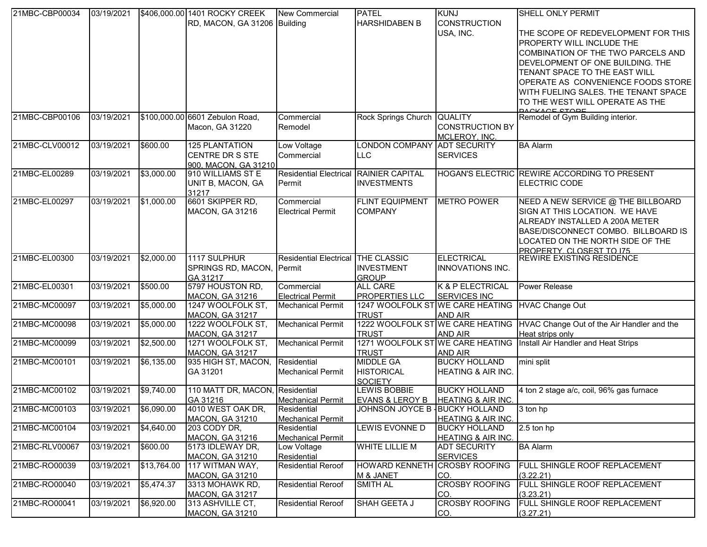| 21MBC-CBP00034 | 03/19/2021            |             | \$406,000.00 1401 ROCKY CREEK                             | New Commercial                          | <b>PATEL</b>                                     | <b>KUNJ</b>                            | <b>SHELL ONLY PERMIT</b>                                                      |
|----------------|-----------------------|-------------|-----------------------------------------------------------|-----------------------------------------|--------------------------------------------------|----------------------------------------|-------------------------------------------------------------------------------|
|                |                       |             | RD, MACON, GA 31206 Building                              |                                         | <b>HARSHIDABEN B</b>                             | <b>CONSTRUCTION</b>                    |                                                                               |
|                |                       |             |                                                           |                                         |                                                  | USA, INC.                              | THE SCOPE OF REDEVELOPMENT FOR THIS                                           |
|                |                       |             |                                                           |                                         |                                                  |                                        | <b>PROPERTY WILL INCLUDE THE</b>                                              |
|                |                       |             |                                                           |                                         |                                                  |                                        | COMBINATION OF THE TWO PARCELS AND                                            |
|                |                       |             |                                                           |                                         |                                                  |                                        | DEVELOPMENT OF ONE BUILDING. THE                                              |
|                |                       |             |                                                           |                                         |                                                  |                                        | TENANT SPACE TO THE EAST WILL                                                 |
|                |                       |             |                                                           |                                         |                                                  |                                        |                                                                               |
|                |                       |             |                                                           |                                         |                                                  |                                        | OPERATE AS CONVENIENCE FOODS STORE                                            |
|                |                       |             |                                                           |                                         |                                                  |                                        | WITH FUELING SALES. THE TENANT SPACE                                          |
|                |                       |             |                                                           |                                         |                                                  |                                        | TO THE WEST WILL OPERATE AS THE<br>DACKACE STORE                              |
| 21MBC-CBP00106 | 03/19/2021            |             | \$100,000.00 6601 Zebulon Road,                           | Commercial                              | Rock Springs Church QUALITY                      |                                        | Remodel of Gym Building interior.                                             |
|                |                       |             | Macon, GA 31220                                           | Remodel                                 |                                                  | <b>CONSTRUCTION BY</b>                 |                                                                               |
|                |                       |             |                                                           |                                         |                                                  | MCLEROY, INC.                          |                                                                               |
| 21MBC-CLV00012 | 03/19/2021            | \$600.00    | <b>125 PLANTATION</b>                                     | Low Voltage                             | LONDON COMPANY ADT SECURITY                      |                                        | <b>BA Alarm</b>                                                               |
|                |                       |             | CENTRE DR S STE                                           | Commercial                              | <b>LLC</b>                                       | <b>SERVICES</b>                        |                                                                               |
|                |                       |             | 900, MACON, GA 31210                                      |                                         |                                                  |                                        |                                                                               |
| 21MBC-EL00289  | 03/19/2021            | \$3,000.00  | 910 WILLIAMS ST E                                         | Residential Electrical RAINIER CAPITAL  |                                                  |                                        | HOGAN'S ELECTRIC REWIRE ACCORDING TO PRESENT                                  |
|                |                       |             | UNIT B, MACON, GA                                         | Permit                                  | <b>INVESTMENTS</b>                               |                                        | <b>ELECTRIC CODE</b>                                                          |
|                |                       |             | 31217                                                     |                                         |                                                  |                                        |                                                                               |
| 21MBC-EL00297  | 03/19/2021            | \$1,000.00  | 6601 SKIPPER RD,                                          | Commercial                              | <b>FLINT EQUIPMENT</b>                           | <b>METRO POWER</b>                     | NEED A NEW SERVICE @ THE BILLBOARD                                            |
|                |                       |             | <b>MACON, GA 31216</b>                                    | <b>Electrical Permit</b>                | <b>COMPANY</b>                                   |                                        | SIGN AT THIS LOCATION. WE HAVE                                                |
|                |                       |             |                                                           |                                         |                                                  |                                        | ALREADY INSTALLED A 200A METER                                                |
|                |                       |             |                                                           |                                         |                                                  |                                        | BASE/DISCONNECT COMBO. BILLBOARD IS                                           |
|                |                       |             |                                                           |                                         |                                                  |                                        | LOCATED ON THE NORTH SIDE OF THE                                              |
|                |                       |             |                                                           |                                         |                                                  |                                        | PROPERTY CLOSEST TO 175                                                       |
| 21MBC-EL00300  | 03/19/2021            | \$2,000.00  | 1117 SULPHUR                                              | Residential Electrical THE CLASSIC      |                                                  | <b>ELECTRICAL</b>                      | <b>REWIRE EXISTING RESIDENCE</b>                                              |
|                |                       |             | SPRINGS RD, MACON, Permit                                 |                                         | <b>INVESTMENT</b>                                | <b>INNOVATIONS INC.</b>                |                                                                               |
|                |                       |             | GA 31217                                                  |                                         | <b>GROUP</b>                                     |                                        |                                                                               |
| 21MBC-EL00301  | 03/19/2021            | \$500.00    | 5797 HOUSTON RD,                                          | Commercial                              | <b>ALL CARE</b>                                  | K & P ELECTRICAL                       | Power Release                                                                 |
|                |                       |             | <b>MACON, GA 31216</b>                                    | <b>Electrical Permit</b>                | <b>PROPERTIES LLC</b>                            | <b>SERVICES INC</b>                    |                                                                               |
| 21MBC-MC00097  | 03/19/2021            | \$5,000.00  | 1247 WOOLFOLK ST,                                         | <b>Mechanical Permit</b>                | 1247 WOOLFOLK ST WE CARE HEATING                 |                                        | <b>HVAC Change Out</b>                                                        |
|                |                       |             | MACON, GA 31217                                           |                                         | <b>TRUST</b>                                     | <b>AND AIR</b>                         |                                                                               |
| 21MBC-MC00098  | 03/19/2021            | \$5,000.00  | 1222 WOOLFOLK ST,                                         | <b>Mechanical Permit</b>                |                                                  |                                        | 1222 WOOLFOLK ST WE CARE HEATING   HVAC Change Out of the Air Handler and the |
| 21MBC-MC00099  | 03/19/2021            |             | <b>MACON, GA 31217</b><br>1271 WOOLFOLK ST,               | <b>Mechanical Permit</b>                | <b>TRUST</b><br>1271 WOOLFOLK ST WE CARE HEATING | <b>AND AIR</b>                         | Heat strips only<br>Install Air Handler and Heat Strips                       |
|                |                       | \$2,500.00  |                                                           |                                         |                                                  |                                        |                                                                               |
| 21MBC-MC00101  | 03/19/2021            | \$6,135.00  | <b>MACON, GA 31217</b><br>935 HIGH ST, MACON, Residential |                                         | <b>TRUST</b><br><b>MIDDLE GA</b>                 | <b>AND AIR</b><br><b>BUCKY HOLLAND</b> | mini split                                                                    |
|                |                       |             |                                                           |                                         |                                                  |                                        |                                                                               |
|                |                       |             | GA 31201                                                  | <b>Mechanical Permit</b>                | <b>HISTORICAL</b>                                | <b>HEATING &amp; AIR INC.</b>          |                                                                               |
| 21MBC-MC00102  | 03/19/2021            | \$9,740.00  | 110 MATT DR, MACON, Residential                           |                                         | <b>SOCIETY</b><br><b>LEWIS BOBBIE</b>            | <b>BUCKY HOLLAND</b>                   | 4 ton 2 stage a/c, coil, 96% gas furnace                                      |
|                |                       |             | GA 31216                                                  |                                         | EVANS & LEROY B   HEATING & AIR INC.             |                                        |                                                                               |
| 21MBC-MC00103  | 03/19/2021 \$6,090.00 |             | 4010 WEST OAK DR,                                         | <b>Mechanical Permit</b><br>Residential | JOHNSON JOYCE B   BUCKY HOLLAND                  |                                        | 3 ton hp                                                                      |
|                |                       |             | MACON, GA 31210                                           | <b>Mechanical Permit</b>                |                                                  | <b>HEATING &amp; AIR INC.</b>          |                                                                               |
| 21MBC-MC00104  | 03/19/2021            | \$4,640.00  | 203 CODY DR,                                              | Residential                             | LEWIS EVONNE D                                   | <b>BUCKY HOLLAND</b>                   | 2.5 ton hp                                                                    |
|                |                       |             | <b>MACON, GA 31216</b>                                    | <b>Mechanical Permit</b>                |                                                  | HEATING & AIR INC.                     |                                                                               |
| 21MBC-RLV00067 | 03/19/2021            | \$600.00    | 5173 IDLEWAY DR,                                          | Low Voltage                             | <b>WHITE LILLIE M</b>                            | <b>ADT SECURITY</b>                    | <b>BA Alarm</b>                                                               |
|                |                       |             | <b>MACON, GA 31210</b>                                    | Residential                             |                                                  | <b>SERVICES</b>                        |                                                                               |
| 21MBC-RO00039  | 03/19/2021            | \$13,764.00 | 117 WITMAN WAY,                                           | <b>Residential Reroof</b>               | <b>HOWARD KENNETH</b>                            | <b>CROSBY ROOFING</b>                  | FULL SHINGLE ROOF REPLACEMENT                                                 |
|                |                       |             | <b>MACON, GA 31210</b>                                    |                                         | M & JANET                                        | CO.                                    | (3.22.21)                                                                     |
| 21MBC-RO00040  | 03/19/2021            | \$5,474.37  | 3313 MOHAWK RD,                                           | <b>Residential Reroof</b>               | <b>SMITH AL</b>                                  | <b>CROSBY ROOFING</b>                  | FULL SHINGLE ROOF REPLACEMENT                                                 |
|                |                       |             | MACON, GA 31217                                           |                                         |                                                  | CO.                                    | (3.23.21)                                                                     |
| 21MBC-RO00041  | 03/19/2021            | \$6,920.00  | 313 ASHVILLE CT,                                          | <b>Residential Reroof</b>               | SHAH GEETA J                                     | <b>CROSBY ROOFING</b>                  | FULL SHINGLE ROOF REPLACEMENT                                                 |
|                |                       |             | <b>MACON, GA 31210</b>                                    |                                         |                                                  | CO.                                    | (3.27.21)                                                                     |
|                |                       |             |                                                           |                                         |                                                  |                                        |                                                                               |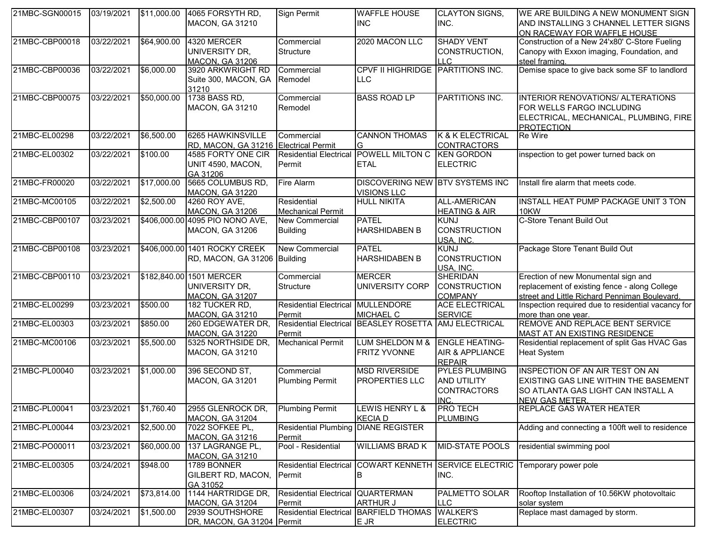| 21MBC-SGN00015 | 03/19/2021            |             | \$11,000.00 4065 FORSYTH RD,          | Sign Permit                   | <b>WAFFLE HOUSE</b>                    | <b>CLAYTON SIGNS,</b>           | WE ARE BUILDING A NEW MONUMENT SIGN                                  |
|----------------|-----------------------|-------------|---------------------------------------|-------------------------------|----------------------------------------|---------------------------------|----------------------------------------------------------------------|
|                |                       |             | MACON, GA 31210                       |                               | <b>INC</b>                             | INC.                            | AND INSTALLING 3 CHANNEL LETTER SIGNS<br>ON RACEWAY FOR WAFFLE HOUSE |
| 21MBC-CBP00018 | 03/22/2021            | \$64,900.00 | 4320 MERCER                           | Commercial                    | 2020 MACON LLC                         | <b>SHADY VENT</b>               | Construction of a New 24'x80' C-Store Fueling                        |
|                |                       |             | UNIVERSITY DR,                        | Structure                     |                                        | CONSTRUCTION,                   | Canopy with Exxon imaging, Foundation, and                           |
|                |                       |             | <b>MACON, GA 31206</b>                |                               |                                        | II C                            | steel framing.                                                       |
| 21MBC-CBP00036 | 03/22/2021            | \$6,000.00  | 3920 ARKWRIGHT RD                     | Commercial                    | CPVF II HIGHRIDGE PARTITIONS INC.      |                                 | Demise space to give back some SF to landlord                        |
|                |                       |             | Suite 300, MACON, GA                  | Remodel                       | ILLC                                   |                                 |                                                                      |
|                |                       |             | 31210                                 |                               |                                        |                                 |                                                                      |
| 21MBC-CBP00075 | 03/22/2021            | \$50,000.00 | 1738 BASS RD,                         | Commercial                    | <b>BASS ROAD LP</b>                    | PARTITIONS INC.                 | INTERIOR RENOVATIONS/ ALTERATIONS                                    |
|                |                       |             | MACON, GA 31210                       | Remodel                       |                                        |                                 | FOR WELLS FARGO INCLUDING                                            |
|                |                       |             |                                       |                               |                                        |                                 | ELECTRICAL, MECHANICAL, PLUMBING, FIRE                               |
|                |                       |             |                                       |                               |                                        |                                 | PROTECTION                                                           |
| 21MBC-EL00298  | 03/22/2021            | \$6,500.00  | 6265 HAWKINSVILLE                     | Commercial                    | <b>CANNON THOMAS</b>                   | K & K ELECTRICAL                | Re Wire                                                              |
|                |                       |             | RD, MACON, GA 31216 Electrical Permit |                               | G                                      | <b>CONTRACTORS</b>              |                                                                      |
| 21MBC-EL00302  | 03/22/2021            | \$100.00    | 4585 FORTY ONE CIR                    | <b>Residential Electrical</b> | POWELL MILTON C                        | <b>KEN GORDON</b>               | inspection to get power turned back on                               |
|                |                       |             | UNIT 4590, MACON,                     | Permit                        | <b>ETAL</b>                            | <b>ELECTRIC</b>                 |                                                                      |
|                |                       |             | GA 31206                              |                               |                                        |                                 |                                                                      |
| 21MBC-FR00020  | 03/22/2021            | \$17,000.00 | 5665 COLUMBUS RD,                     | Fire Alarm                    | <b>DISCOVERING NEW BTV SYSTEMS INC</b> |                                 | Install fire alarm that meets code.                                  |
|                |                       |             | MACON, GA 31220                       |                               | <b>VISIONS LLC</b>                     |                                 |                                                                      |
| 21MBC-MC00105  | 03/22/2021            | \$2,500.00  | 4260 ROY AVE,                         | Residential                   | <b>HULL NIKITA</b>                     | <b>ALL-AMERICAN</b>             | INSTALL HEAT PUMP PACKAGE UNIT 3 TON                                 |
|                |                       |             | MACON, GA 31206                       | <b>Mechanical Permit</b>      |                                        | <b>HEATING &amp; AIR</b>        | 10KW                                                                 |
| 21MBC-CBP00107 | 03/23/2021            |             | \$406,000.00 4095 PIO NONO AVE,       | <b>New Commercial</b>         | <b>PATEL</b>                           | <b>KUNJ</b>                     | C-Store Tenant Build Out                                             |
|                |                       |             | MACON, GA 31206                       | <b>Building</b>               | <b>HARSHIDABEN B</b>                   | <b>CONSTRUCTION</b>             |                                                                      |
|                |                       |             |                                       |                               |                                        | USA, INC.                       |                                                                      |
| 21MBC-CBP00108 | 03/23/2021            |             | \$406,000.00 1401 ROCKY CREEK         | <b>New Commercial</b>         | <b>PATEL</b>                           | <b>KUNJ</b>                     | Package Store Tenant Build Out                                       |
|                |                       |             | RD, MACON, GA 31206 Building          |                               | <b>HARSHIDABEN B</b>                   | <b>CONSTRUCTION</b>             |                                                                      |
|                |                       |             |                                       |                               |                                        | USA. INC.                       |                                                                      |
| 21MBC-CBP00110 | 03/23/2021            |             | \$182,840.00 1501 MERCER              | Commercial                    | <b>MERCER</b>                          | <b>SHERIDAN</b>                 | Erection of new Monumental sign and                                  |
|                |                       |             | UNIVERSITY DR,                        | Structure                     | UNIVERSITY CORP                        | <b>CONSTRUCTION</b>             | replacement of existing fence - along College                        |
|                |                       |             | <b>MACON, GA 31207</b>                |                               |                                        | <b>COMPANY</b>                  | street and Little Richard Penniman Boulevard.                        |
| 21MBC-EL00299  | 03/23/2021            | \$500.00    | 182 TUCKER RD,                        | <b>Residential Electrical</b> | MULLENDORE                             | <b>ACE ELECTRICAL</b>           | Inspection required due to residential vacancy for                   |
|                |                       |             | <b>MACON, GA 31210</b>                | Permit                        | <b>MICHAEL C</b>                       | <b>SERVICE</b>                  | more than one year.                                                  |
| 21MBC-EL00303  | 03/23/2021            | \$850.00    | 260 EDGEWATER DR,                     | <b>Residential Electrical</b> | BEASLEY ROSETTA AMJ ELECTRICAL         |                                 | REMOVE AND REPLACE BENT SERVICE                                      |
|                |                       |             | <b>MACON, GA 31220</b>                | Permit                        |                                        |                                 | MAST AT AN EXISTING RESIDENCE                                        |
| 21MBC-MC00106  | 03/23/2021            | \$5,500.00  | 5325 NORTHSIDE DR,                    | <b>Mechanical Permit</b>      | LUM SHELDON M &                        | <b>ENGLE HEATING-</b>           | Residential replacement of split Gas HVAC Gas                        |
|                |                       |             | <b>MACON, GA 31210</b>                |                               | <b>FRITZ YVONNE</b>                    | <b>AIR &amp; APPLIANCE</b>      | <b>Heat System</b>                                                   |
|                |                       |             |                                       |                               |                                        | <b>REPAIR</b>                   |                                                                      |
| 21MBC-PL00040  | 03/23/2021            | \$1,000.00  | 396 SECOND ST,                        | Commercial                    | <b>MSD RIVERSIDE</b>                   | <b>PYLES PLUMBING</b>           | INSPECTION OF AN AIR TEST ON AN                                      |
|                |                       |             | MACON, GA 31201                       | <b>Plumbing Permit</b>        | PROPERTIES LLC                         | <b>AND UTILITY</b>              | EXISTING GAS LINE WITHIN THE BASEMENT                                |
|                |                       |             |                                       |                               |                                        | <b>CONTRACTORS</b>              | SO ATLANTA GAS LIGHT CAN INSTALL A                                   |
|                |                       |             |                                       |                               |                                        | <b>INC</b>                      | <b>NEW GAS METER.</b>                                                |
| 21MBC-PL00041  | 03/23/2021 \$1,760.40 |             | 2955 GLENROCK DR, Plumbing Permit     |                               | LEWIS HENRY L &                        | <b>PRO TECH</b>                 | <b>REPLACE GAS WATER HEATER</b>                                      |
|                |                       |             | MACON, GA 31204                       |                               | <b>KECIAD</b>                          | <b>PLUMBING</b>                 |                                                                      |
| 21MBC-PL00044  | 03/23/2021            | \$2,500.00  | 7022 SOFKEE PL,                       | <b>Residential Plumbing</b>   | <b>DIANE REGISTER</b>                  |                                 | Adding and connecting a 100ft well to residence                      |
|                |                       |             | MACON, GA 31216                       | Permit                        |                                        |                                 |                                                                      |
| 21MBC-PO00011  | 03/23/2021            | \$60,000.00 | 137 LAGRANGE PL,                      | Pool - Residential            | <b>WILLIAMS BRAD K</b>                 | <b>MID-STATE POOLS</b>          | residential swimming pool                                            |
|                |                       |             | <b>MACON, GA 31210</b>                |                               |                                        |                                 |                                                                      |
| 21MBC-EL00305  | 03/24/2021            | \$948.00    | 1789 BONNER                           | <b>Residential Electrical</b> |                                        | COWART KENNETH SERVICE ELECTRIC | Temporary power pole                                                 |
|                |                       |             | <b>GILBERT RD, MACON,</b>             | Permit                        | В                                      | INC.                            |                                                                      |
|                |                       |             | GA 31052                              |                               |                                        |                                 |                                                                      |
| 21MBC-EL00306  | 03/24/2021            | \$73,814.00 | 1144 HARTRIDGE DR,                    | <b>Residential Electrical</b> | <b>QUARTERMAN</b>                      | PALMETTO SOLAR                  | Rooftop Installation of 10.56KW photovoltaic                         |
|                |                       |             | <b>MACON, GA 31204</b>                | Permit                        | <b>ARTHUR J</b>                        | LLC.                            | solar system                                                         |
| 21MBC-EL00307  | 03/24/2021            | \$1,500.00  | 2939 SOUTHSHORE                       | <b>Residential Electrical</b> | BARFIELD THOMAS WALKER'S               |                                 | Replace mast damaged by storm.                                       |
|                |                       |             | DR, MACON, GA 31204 Permit            |                               | E JR                                   | <b>ELECTRIC</b>                 |                                                                      |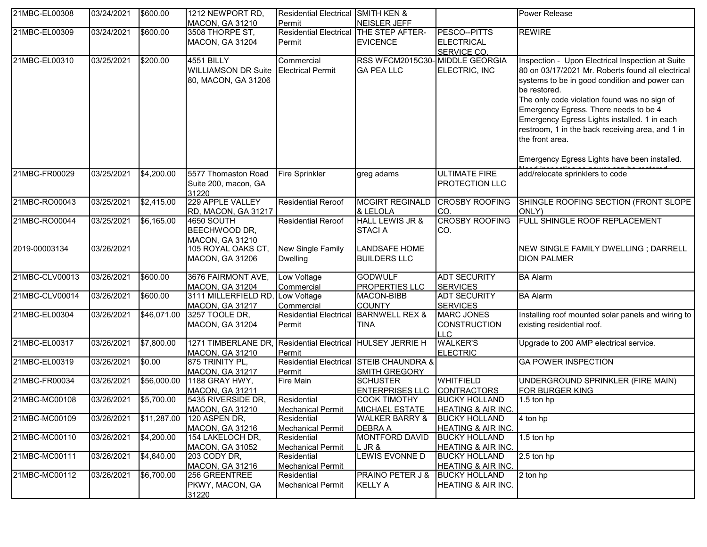| 21MBC-EL00308  | 03/24/2021 | \$600.00           | 1212 NEWPORT RD,                          | Residential Electrical SMITH KEN &      |                                              |                                                       | <b>Power Release</b>                               |
|----------------|------------|--------------------|-------------------------------------------|-----------------------------------------|----------------------------------------------|-------------------------------------------------------|----------------------------------------------------|
|                | 03/24/2021 |                    | <b>MACON, GA 31210</b><br>3508 THORPE ST, | Permit<br><b>Residential Electrical</b> | NEISLER JEFF<br>THE STEP AFTER-              | PESCO--PITTS                                          | <b>REWIRE</b>                                      |
| 21MBC-EL00309  |            | \$600.00           |                                           |                                         |                                              |                                                       |                                                    |
|                |            |                    | <b>MACON, GA 31204</b>                    | Permit                                  | <b>EVICENCE</b>                              | <b>ELECTRICAL</b>                                     |                                                    |
| 21MBC-EL00310  | 03/25/2021 | \$200.00           | <b>4551 BILLY</b>                         | Commercial                              | RSS WFCM2015C30-MIDDLE GEORGIA               | SERVICE CO.                                           |                                                    |
|                |            |                    |                                           |                                         |                                              |                                                       | Inspection - Upon Electrical Inspection at Suite   |
|                |            |                    | <b>WILLIAMSON DR Suite</b>                | <b>Electrical Permit</b>                | <b>GA PEA LLC</b>                            | ELECTRIC, INC                                         | 80 on 03/17/2021 Mr. Roberts found all electrical  |
|                |            |                    | 80, MACON, GA 31206                       |                                         |                                              |                                                       | systems to be in good condition and power can      |
|                |            |                    |                                           |                                         |                                              |                                                       | be restored.                                       |
|                |            |                    |                                           |                                         |                                              |                                                       | The only code violation found was no sign of       |
|                |            |                    |                                           |                                         |                                              |                                                       | Emergency Egress. There needs to be 4              |
|                |            |                    |                                           |                                         |                                              |                                                       | Emergency Egress Lights installed. 1 in each       |
|                |            |                    |                                           |                                         |                                              |                                                       | restroom, 1 in the back receiving area, and 1 in   |
|                |            |                    |                                           |                                         |                                              |                                                       | the front area.                                    |
|                |            |                    |                                           |                                         |                                              |                                                       |                                                    |
|                |            |                    |                                           |                                         |                                              |                                                       | Emergency Egress Lights have been installed.       |
| 21MBC-FR00029  | 03/25/2021 | $\sqrt{$4,200.00}$ | 5577 Thomaston Road                       | Fire Sprinkler                          | greg adams                                   | <b>ULTIMATE FIRE</b>                                  | add/relocate sprinklers to code                    |
|                |            |                    | Suite 200, macon, GA                      |                                         |                                              | <b>PROTECTION LLC</b>                                 |                                                    |
| 21MBC-RO00043  | 03/25/2021 | \$2,415.00         | 31220<br>229 APPLE VALLEY                 | <b>Residential Reroof</b>               | <b>MCGIRT REGINALD</b>                       | <b>CROSBY ROOFING</b>                                 | SHINGLE ROOFING SECTION (FRONT SLOPE               |
|                |            |                    | RD, MACON, GA 31217                       |                                         | & LELOLA                                     | CO.                                                   | ONLY)                                              |
| 21MBC-RO00044  | 03/25/2021 | \$6,165.00         | <b>4650 SOUTH</b>                         | <b>Residential Reroof</b>               | <b>HALL LEWIS JR &amp;</b>                   | <b>CROSBY ROOFING</b>                                 | <b>FULL SHINGLE ROOF REPLACEMENT</b>               |
|                |            |                    | BEECHWOOD DR,                             |                                         | <b>STACIA</b>                                | CO.                                                   |                                                    |
|                |            |                    | <b>MACON, GA 31210</b>                    |                                         |                                              |                                                       |                                                    |
| 2019-00003134  | 03/26/2021 |                    | 105 ROYAL OAKS CT,                        | <b>New Single Family</b>                | <b>LANDSAFE HOME</b>                         |                                                       | NEW SINGLE FAMILY DWELLING ; DARRELL               |
|                |            |                    | <b>MACON, GA 31206</b>                    | <b>Dwelling</b>                         | <b>BUILDERS LLC</b>                          |                                                       | <b>DION PALMER</b>                                 |
| 21MBC-CLV00013 | 03/26/2021 | \$600.00           | 3676 FAIRMONT AVE,                        | Low Voltage                             | <b>GODWULF</b>                               | <b>ADT SECURITY</b>                                   | <b>BA Alarm</b>                                    |
|                |            |                    | <b>MACON, GA 31204</b>                    | Commercial                              | <b>PROPERTIES LLC</b>                        | <b>SERVICES</b>                                       |                                                    |
| 21MBC-CLV00014 | 03/26/2021 | \$600.00           | 3111 MILLERFIELD RD,                      | Low Voltage                             | <b>MACON-BIBB</b>                            | <b>ADT SECURITY</b>                                   | <b>BA Alarm</b>                                    |
|                |            |                    | MACON, GA 31217                           | Commercial                              | <b>COUNTY</b>                                | <b>SERVICES</b>                                       |                                                    |
| 21MBC-EL00304  | 03/26/2021 | \$46,071.00        | 3257 TOOLE DR,                            | <b>Residential Electrical</b>           | <b>BARNWELL REX &amp;</b>                    | <b>MARC JONES</b>                                     | Installing roof mounted solar panels and wiring to |
|                |            |                    | <b>MACON, GA 31204</b>                    | Permit                                  | <b>TINA</b>                                  | <b>CONSTRUCTION</b>                                   | existing residential roof.                         |
|                |            |                    |                                           |                                         |                                              | <b>ILLC</b>                                           |                                                    |
| 21MBC-EL00317  | 03/26/2021 | \$7,800.00         | 1271 TIMBERLANE DR,                       | <b>Residential Electrical</b>           | <b>HULSEY JERRIE H</b>                       | <b>WALKER'S</b>                                       | Upgrade to 200 AMP electrical service.             |
|                |            |                    | <b>MACON, GA 31210</b>                    | Permit                                  |                                              | <b>ELECTRIC</b>                                       |                                                    |
| 21MBC-EL00319  | 03/26/2021 | \$0.00             | 875 TRINITY PL,                           | <b>Residential Electrical</b>           | <b>STEIB CHAUNDRA &amp;</b>                  |                                                       | <b>GA POWER INSPECTION</b>                         |
|                |            |                    | MACON, GA 31217                           | Permit                                  | SMITH GREGORY                                |                                                       |                                                    |
| 21MBC-FR00034  | 03/26/2021 | \$56,000.00        | 1188 GRAY HWY,                            | <b>Fire Main</b>                        | <b>SCHUSTER</b>                              | <b>WHITFIELD</b>                                      | UNDERGROUND SPRINKLER (FIRE MAIN)                  |
|                |            | \$5,700.00         | <b>MACON, GA 31211</b>                    | Residential                             | <b>ENTERPRISES LLC</b>                       | <b>CONTRACTORS</b>                                    | FOR BURGER KING                                    |
| 21MBC-MC00108  | 03/26/2021 |                    | 5435 RIVERSIDE DR,<br>MACON, GA 31210     |                                         | <b>COOK TIMOTHY</b><br><b>MICHAEL ESTATE</b> | <b>BUCKY HOLLAND</b><br><b>HEATING &amp; AIR INC.</b> | 1.5 ton hp                                         |
| 21MBC-MC00109  | 03/26/2021 | \$11,287.00        | 120 ASPEN DR,                             | <b>Mechanical Permit</b><br>Residential | <b>WALKER BARRY &amp;</b>                    | <b>BUCKY HOLLAND</b>                                  | 4 ton hp                                           |
|                |            |                    | <b>MACON, GA 31216</b>                    | <b>Mechanical Permit</b>                | <b>DEBRA A</b>                               | <b>HEATING &amp; AIR INC.</b>                         |                                                    |
| 21MBC-MC00110  | 03/26/2021 | \$4,200.00         | 154 LAKELOCH DR,                          | Residential                             | <b>MONTFORD DAVID</b>                        | <b>BUCKY HOLLAND</b>                                  | 1.5 ton hp                                         |
|                |            |                    | <b>MACON, GA 31052</b>                    | <b>Mechanical Permit</b>                | L JR &                                       | <b>HEATING &amp; AIR INC.</b>                         |                                                    |
| 21MBC-MC00111  | 03/26/2021 | \$4,640.00         | 203 CODY DR,                              | Residential                             | LEWIS EVONNE D                               | <b>BUCKY HOLLAND</b>                                  | 2.5 ton hp                                         |
|                |            |                    | <b>MACON, GA 31216</b>                    | <b>Mechanical Permit</b>                |                                              | <b>HEATING &amp; AIR INC.</b>                         |                                                    |
| 21MBC-MC00112  | 03/26/2021 | \$6,700.00         | 256 GREENTREE                             | Residential                             | <b>PRAINO PETER J &amp;</b>                  | <b>BUCKY HOLLAND</b>                                  | 2 ton hp                                           |
|                |            |                    | PKWY, MACON, GA                           | <b>Mechanical Permit</b>                | <b>KELLY A</b>                               | HEATING & AIR INC.                                    |                                                    |
|                |            |                    | 31220                                     |                                         |                                              |                                                       |                                                    |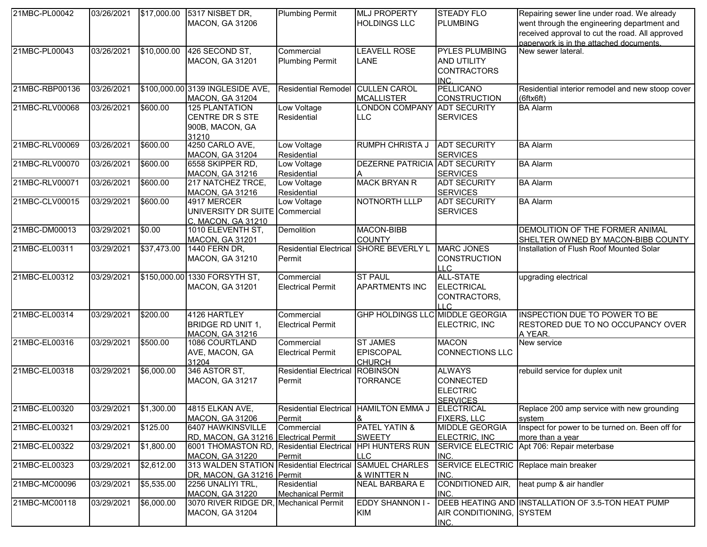| 21MBC-PL00042  | 03/26/2021 |             | \$17,000.00 5317 NISBET DR,                               | <b>Plumbing Permit</b>                 | <b>MLJ PROPERTY</b>                               | <b>STEADY FLO</b>              | Repairing sewer line under road. We already                                    |
|----------------|------------|-------------|-----------------------------------------------------------|----------------------------------------|---------------------------------------------------|--------------------------------|--------------------------------------------------------------------------------|
|                |            |             | <b>MACON, GA 31206</b>                                    |                                        | <b>HOLDINGS LLC</b>                               | <b>PLUMBING</b>                | went through the engineering department and                                    |
|                |            |             |                                                           |                                        |                                                   |                                | received approval to cut the road. All approved                                |
|                |            |             |                                                           |                                        |                                                   |                                | paperwork is in the attached documents.                                        |
| 21MBC-PL00043  | 03/26/2021 | \$10,000.00 | 426 SECOND ST,                                            | Commercial                             | <b>LEAVELL ROSE</b>                               | <b>PYLES PLUMBING</b>          | New sewer lateral.                                                             |
|                |            |             | <b>MACON, GA 31201</b>                                    | <b>Plumbing Permit</b>                 | LANE                                              | <b>AND UTILITY</b>             |                                                                                |
|                |            |             |                                                           |                                        |                                                   | <b>CONTRACTORS</b>             |                                                                                |
|                |            |             |                                                           |                                        |                                                   | INC.                           |                                                                                |
| 21MBC-RBP00136 | 03/26/2021 |             | \$100,000.00 3139 INGLESIDE AVE,                          | <b>Residential Remodel</b>             | <b>CULLEN CAROL</b>                               | <b>PELLICANO</b>               | Residential interior remodel and new stoop cover                               |
|                |            |             | <b>MACON, GA 31204</b>                                    |                                        | <b>MCALLISTER</b>                                 | <b>CONSTRUCTION</b>            | $(6$ ftx $6$ ft $)$                                                            |
| 21MBC-RLV00068 | 03/26/2021 | \$600.00    | <b>125 PLANTATION</b>                                     | Low Voltage                            | <b>LONDON COMPANY</b>                             | <b>ADT SECURITY</b>            | <b>BA</b> Alarm                                                                |
|                |            |             | CENTRE DR S STE                                           | Residential                            | <b>LLC</b>                                        | <b>SERVICES</b>                |                                                                                |
|                |            |             | 900B, MACON, GA                                           |                                        |                                                   |                                |                                                                                |
|                |            |             | 31210                                                     |                                        |                                                   |                                |                                                                                |
| 21MBC-RLV00069 | 03/26/2021 | \$600.00    | 4250 CARLO AVE,                                           | Low Voltage                            | <b>RUMPH CHRISTA J</b>                            | <b>ADT SECURITY</b>            | <b>BA Alarm</b>                                                                |
|                |            |             | MACON, GA 31204                                           | Residential                            |                                                   | <b>SERVICES</b>                |                                                                                |
| 21MBC-RLV00070 | 03/26/2021 | \$600.00    | 6558 SKIPPER RD,                                          | Low Voltage                            | DEZERNE PATRICIA ADT SECURITY                     |                                | <b>BA</b> Alarm                                                                |
|                |            |             | <b>MACON, GA 31216</b>                                    | Residential                            |                                                   | <b>SERVICES</b>                |                                                                                |
| 21MBC-RLV00071 | 03/26/2021 | \$600.00    | 217 NATCHEZ TRCE,                                         | Low Voltage                            | <b>MACK BRYAN R</b>                               | <b>ADT SECURITY</b>            | <b>BA</b> Alarm                                                                |
|                |            |             | <b>MACON, GA 31216</b>                                    | Residential                            |                                                   | <b>SERVICES</b>                |                                                                                |
| 21MBC-CLV00015 | 03/29/2021 | \$600.00    | 4917 MERCER                                               | Low Voltage                            | NOTNORTH LLLP                                     | <b>ADT SECURITY</b>            | <b>BA</b> Alarm                                                                |
|                |            |             | UNIVERSITY DR SUITE Commercial                            |                                        |                                                   | <b>SERVICES</b>                |                                                                                |
|                |            |             | C. MACON. GA 31210                                        |                                        |                                                   |                                |                                                                                |
| 21MBC-DM00013  | 03/29/2021 | \$0.00      | 1010 ELEVENTH ST,                                         | Demolition                             | MACON-BIBB                                        |                                | DEMOLITION OF THE FORMER ANIMAL                                                |
|                |            |             |                                                           |                                        | <b>COUNTY</b>                                     |                                |                                                                                |
| 21MBC-EL00311  | 03/29/2021 | \$37,473.00 | MACON, GA 31201<br>1440 FERN DR,                          | Residential Electrical SHORE BEVERLY L |                                                   | <b>MARC JONES</b>              | SHELTER OWNED BY MACON-BIBB COUNTY<br>Installation of Flush Roof Mounted Solar |
|                |            |             |                                                           |                                        |                                                   | <b>CONSTRUCTION</b>            |                                                                                |
|                |            |             | <b>MACON, GA 31210</b>                                    | Permit                                 |                                                   |                                |                                                                                |
| 21MBC-EL00312  | 03/29/2021 |             | \$150,000.00 1330 FORSYTH ST,                             | Commercial                             | <b>ST PAUL</b>                                    | <b>LLC</b><br><b>ALL-STATE</b> | upgrading electrical                                                           |
|                |            |             |                                                           |                                        |                                                   |                                |                                                                                |
|                |            |             | <b>MACON, GA 31201</b>                                    | <b>Electrical Permit</b>               | <b>APARTMENTS INC</b>                             | <b>ELECTRICAL</b>              |                                                                                |
|                |            |             |                                                           |                                        |                                                   | CONTRACTORS,                   |                                                                                |
| 21MBC-EL00314  | 03/29/2021 | \$200.00    |                                                           | Commercial                             | <b>GHP HOLDINGS LLC MIDDLE GEORGIA</b>            | LLC.                           |                                                                                |
|                |            |             | 4126 HARTLEY                                              |                                        |                                                   |                                | INSPECTION DUE TO POWER TO BE                                                  |
|                |            |             | BRIDGE RD UNIT 1,                                         | <b>Electrical Permit</b>               |                                                   | ELECTRIC, INC                  | RESTORED DUE TO NO OCCUPANCY OVER                                              |
|                |            |             | <b>MACON, GA 31216</b>                                    |                                        |                                                   |                                | A YEAR.                                                                        |
| 21MBC-EL00316  | 03/29/2021 | \$500.00    | 1086 COURTLAND                                            | Commercial                             | <b>ST JAMES</b>                                   | <b>MACON</b>                   | New service                                                                    |
|                |            |             | AVE, MACON, GA                                            | <b>Electrical Permit</b>               | <b>EPISCOPAL</b>                                  | <b>CONNECTIONS LLC</b>         |                                                                                |
|                |            |             | 31204                                                     |                                        | <b>CHURCH</b>                                     |                                |                                                                                |
| 21MBC-EL00318  | 03/29/2021 | \$6,000.00  | 346 ASTOR ST,                                             | <b>Residential Electrical</b>          | <b>ROBINSON</b>                                   | <b>ALWAYS</b>                  | rebuild service for duplex unit                                                |
|                |            |             | MACON, GA 31217                                           | Permit                                 | <b>TORRANCE</b>                                   | <b>CONNECTED</b>               |                                                                                |
|                |            |             |                                                           |                                        |                                                   | <b>ELECTRIC</b>                |                                                                                |
|                |            |             |                                                           |                                        |                                                   | <b>SERVICES</b>                |                                                                                |
| 21MBC-EL00320  |            |             | 03/29/2021 \$1,300.00 4815 ELKAN AVE,                     |                                        | Residential Electrical HAMILTON EMMA J ELECTRICAL |                                | Replace 200 amp service with new grounding                                     |
|                |            |             | MACON, GA 31206                                           | Permit                                 | &                                                 | <b>FIXERS, LLC</b>             | system                                                                         |
| 21MBC-EL00321  | 03/29/2021 | \$125.00    | 6407 HAWKINSVILLE                                         | Commercial                             | PATEL YATIN &                                     | <b>MIDDLE GEORGIA</b>          | Inspect for power to be turned on. Been off for                                |
|                |            |             | RD, MACON, GA 31216 Electrical Permit                     |                                        | <b>SWEETY</b>                                     | ELECTRIC, INC                  | more than a year                                                               |
| 21MBC-EL00322  | 03/29/2021 | \$1,800.00  | 6001 THOMASTON RD, Residential Electrical HPI HUNTERS RUN |                                        |                                                   |                                | SERVICE ELECTRIC Apt 706: Repair meterbase                                     |
|                |            |             | <b>MACON, GA 31220</b>                                    | Permit                                 | LLC                                               | INC.                           |                                                                                |
| 21MBC-EL00323  | 03/29/2021 | \$2,612.00  | 313 WALDEN STATION Residential Electrical                 |                                        | <b>SAMUEL CHARLES</b>                             |                                | SERVICE ELECTRIC Replace main breaker                                          |
|                |            |             | DR, MACON, GA 31216 Permit                                |                                        | & WINTTER N                                       | INC.                           |                                                                                |
| 21MBC-MC00096  | 03/29/2021 | \$5,535.00  | 2256 UNALIYI TRL,                                         | Residential                            | NEAL BARBARA E                                    | CONDITIONED AIR,               | heat pump & air handler                                                        |
|                |            |             | MACON, GA 31220                                           | <b>Mechanical Permit</b>               |                                                   | INC.                           |                                                                                |
| 21MBC-MC00118  | 03/29/2021 | \$6,000.00  | 3070 RIVER RIDGE DR, Mechanical Permit                    |                                        | <b>EDDY SHANNON I-</b>                            |                                | DEEB HEATING AND INSTALLATION OF 3.5-TON HEAT PUMP                             |
|                |            |             | <b>MACON, GA 31204</b>                                    |                                        | KIM                                               | AIR CONDITIONING, SYSTEM       |                                                                                |
|                |            |             |                                                           |                                        |                                                   | INC.                           |                                                                                |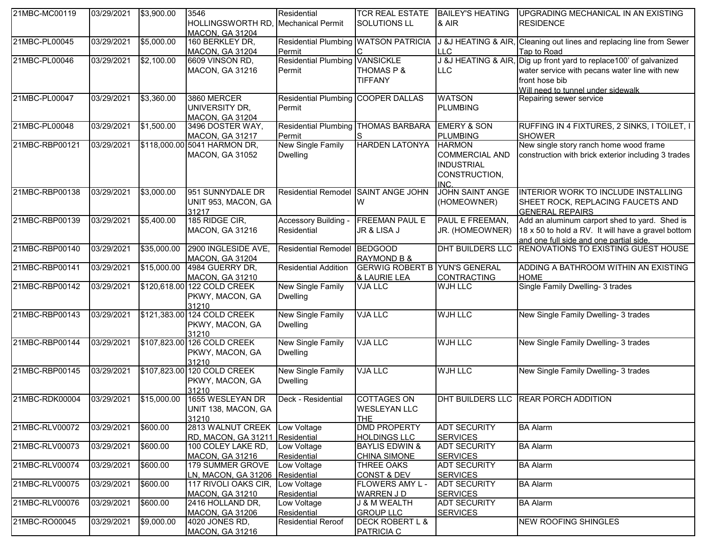| 21MBC-MC00119  | 03/29/2021 | \$3,900.00  | 3546<br>HOLLINGSWORTH RD, Mechanical Permit<br><b>MACON, GA 31204</b> | Residential                                     | <b>TCR REAL ESTATE</b><br><b>SOLUTIONS LL</b>           | <b>BAILEY'S HEATING</b><br>& AIR                                                     | UPGRADING MECHANICAL IN AN EXISTING<br><b>RESIDENCE</b>                                                                                                                     |
|----------------|------------|-------------|-----------------------------------------------------------------------|-------------------------------------------------|---------------------------------------------------------|--------------------------------------------------------------------------------------|-----------------------------------------------------------------------------------------------------------------------------------------------------------------------------|
| 21MBC-PL00045  | 03/29/2021 | \$5,000.00  | 160 BERKLEY DR,<br>MACON, GA 31204                                    | Residential Plumbing WATSON PATRICIA<br>Permit  |                                                         | LLC                                                                                  | J &J HEATING & AIR, Cleaning out lines and replacing line from Sewer<br>Tap to Road                                                                                         |
| 21MBC-PL00046  | 03/29/2021 | \$2,100.00  | 6609 VINSON RD,<br><b>MACON, GA 31216</b>                             | <b>Residential Plumbing VANSICKLE</b><br>Permit | THOMAS P &<br><b>TIFFANY</b>                            | <b>LLC</b>                                                                           | J &J HEATING & AIR, Dig up front yard to replace100' of galvanized<br>water service with pecans water line with new<br>front hose bib<br>Will need to tunnel under sidewalk |
| 21MBC-PL00047  | 03/29/2021 | \$3,360.00  | 3860 MERCER<br>UNIVERSITY DR,<br><b>MACON, GA 31204</b>               | Residential Plumbing COOPER DALLAS<br>Permit    |                                                         | <b>WATSON</b><br><b>PLUMBING</b>                                                     | Repairing sewer service                                                                                                                                                     |
| 21MBC-PL00048  | 03/29/2021 | \$1,500.00  | 3496 DOSTER WAY,<br><b>MACON, GA 31217</b>                            | Residential Plumbing THOMAS BARBARA<br>Permit   |                                                         | <b>EMERY &amp; SON</b><br><b>PLUMBING</b>                                            | RUFFING IN 4 FIXTURES, 2 SINKS, I TOILET, I<br><b>SHOWER</b>                                                                                                                |
| 21MBC-RBP00121 | 03/29/2021 |             | \$118,000.00 5041 HARMON DR,<br><b>MACON, GA 31052</b>                | New Single Family<br><b>Dwelling</b>            | <b>HARDEN LATONYA</b>                                   | <b>HARMON</b><br><b>COMMERCIAL AND</b><br><b>INDUSTRIAL</b><br>CONSTRUCTION,<br>INC. | New single story ranch home wood frame<br>construction with brick exterior including 3 trades                                                                               |
| 21MBC-RBP00138 | 03/29/2021 | \$3,000.00  | 951 SUNNYDALE DR<br>UNIT 953, MACON, GA<br>31217                      | <b>Residential Remodel</b>                      | <b>SAINT ANGE JOHN</b><br>W                             | <b>JOHN SAINT ANGE</b><br>(HOMEOWNER)                                                | INTERIOR WORK TO INCLUDE INSTALLING<br>SHEET ROCK, REPLACING FAUCETS AND<br><b>GENERAL REPAIRS</b>                                                                          |
| 21MBC-RBP00139 | 03/29/2021 | \$5,400.00  | 185 RIDGE CIR,<br><b>MACON, GA 31216</b>                              | Accessory Building -<br>Residential             | <b>FREEMAN PAUL E</b><br>JR & LISA J                    | PAUL E FREEMAN,<br>JR. (HOMEOWNER)                                                   | Add an aluminum carport shed to yard. Shed is<br>18 x 50 to hold a RV. It will have a gravel bottom<br>and one full side and one partial side.                              |
| 21MBC-RBP00140 | 03/29/2021 | \$35,000.00 | 2900 INGLESIDE AVE,<br><b>MACON, GA 31204</b>                         | Residential Remodel BEDGOOD                     | <b>RAYMOND B &amp;</b>                                  | DHT BUILDERS LLC                                                                     | RENOVATIONS TO EXISTING GUEST HOUSE                                                                                                                                         |
| 21MBC-RBP00141 | 03/29/2021 | \$15,000.00 | 4984 GUERRY DR,<br><b>MACON, GA 31210</b>                             | <b>Residential Addition</b>                     | <b>GERWIG ROBERT B</b><br>& LAURIE LEA                  | <b>YUN'S GENERAL</b><br><b>CONTRACTING</b>                                           | ADDING A BATHROOM WITHIN AN EXISTING<br><b>HOME</b>                                                                                                                         |
| 21MBC-RBP00142 | 03/29/2021 |             | \$120,618.00 122 COLD CREEK<br>PKWY, MACON, GA<br>31210               | New Single Family<br><b>Dwelling</b>            | <b>VJA LLC</b>                                          | WJH LLC                                                                              | Single Family Dwelling- 3 trades                                                                                                                                            |
| 21MBC-RBP00143 | 03/29/2021 |             | \$121,383.00 124 COLD CREEK<br>PKWY, MACON, GA<br>31210               | New Single Family<br><b>Dwelling</b>            | <b>VJA LLC</b>                                          | <b>WJH LLC</b>                                                                       | New Single Family Dwelling- 3 trades                                                                                                                                        |
| 21MBC-RBP00144 | 03/29/2021 |             | \$107,823.00 126 COLD CREEK<br>PKWY, MACON, GA<br>31210               | New Single Family<br><b>Dwelling</b>            | <b>VJA LLC</b>                                          | <b>WJH LLC</b>                                                                       | New Single Family Dwelling- 3 trades                                                                                                                                        |
| 21MBC-RBP00145 | 03/29/2021 |             | \$107,823.00 120 COLD CREEK<br>PKWY, MACON, GA<br>31210               | New Single Family<br><b>Dwelling</b>            | <b>VJA LLC</b>                                          | <b>WJH LLC</b>                                                                       | New Single Family Dwelling- 3 trades                                                                                                                                        |
| 21MBC-RDK00004 | 03/29/2021 | \$15,000.00 | 1655 WESLEYAN DR<br>UNIT 138, MACON, GA<br>31210                      | Deck - Residential                              | <b>COTTAGES ON</b><br><b>WESLEYAN LLC</b><br><b>THE</b> |                                                                                      | DHT BUILDERS LLC REAR PORCH ADDITION                                                                                                                                        |
| 21MBC-RLV00072 | 03/29/2021 | \$600.00    | 2813 WALNUT CREEK Low Voltage<br>RD, MACON, GA 31211 Residential      |                                                 | <b>DMD PROPERTY</b><br><b>HOLDINGS LLC</b>              | <b>ADT SECURITY</b><br><b>SERVICES</b>                                               | <b>BA Alarm</b>                                                                                                                                                             |
| 21MBC-RLV00073 | 03/29/2021 | \$600.00    | 100 COLEY LAKE RD,<br><b>MACON, GA 31216</b>                          | Low Voltage<br>Residential                      | <b>BAYLIS EDWIN &amp;</b><br><b>CHINA SIMONE</b>        | <b>ADT SECURITY</b><br><b>SERVICES</b>                                               | <b>BA Alarm</b>                                                                                                                                                             |
| 21MBC-RLV00074 | 03/29/2021 | \$600.00    | 179 SUMMER GROVE<br>LN, MACON, GA 31206 Residential                   | Low Voltage                                     | <b>THREE OAKS</b><br><b>CONST &amp; DEV</b>             | <b>ADT SECURITY</b><br><b>SERVICES</b>                                               | <b>BA Alarm</b>                                                                                                                                                             |
| 21MBC-RLV00075 | 03/29/2021 | \$600.00    | 117 RIVOLI OAKS CIR, Low Voltage<br><b>MACON, GA 31210</b>            | Residential                                     | FLOWERS AMY L -<br><b>WARREN JD</b>                     | <b>ADT SECURITY</b><br><b>SERVICES</b>                                               | <b>BA Alarm</b>                                                                                                                                                             |
| 21MBC-RLV00076 | 03/29/2021 | \$600.00    | 2416 HOLLAND DR,<br><b>MACON, GA 31206</b>                            | Low Voltage<br>Residential                      | <b>J &amp; M WEALTH</b><br><b>GROUP LLC</b>             | <b>ADT SECURITY</b><br><b>SERVICES</b>                                               | <b>BA Alarm</b>                                                                                                                                                             |
| 21MBC-RO00045  | 03/29/2021 | \$9,000.00  | 4020 JONES RD,<br><b>MACON, GA 31216</b>                              | <b>Residential Reroof</b>                       | <b>DECK ROBERT L &amp;</b><br><b>PATRICIA C</b>         |                                                                                      | <b>NEW ROOFING SHINGLES</b>                                                                                                                                                 |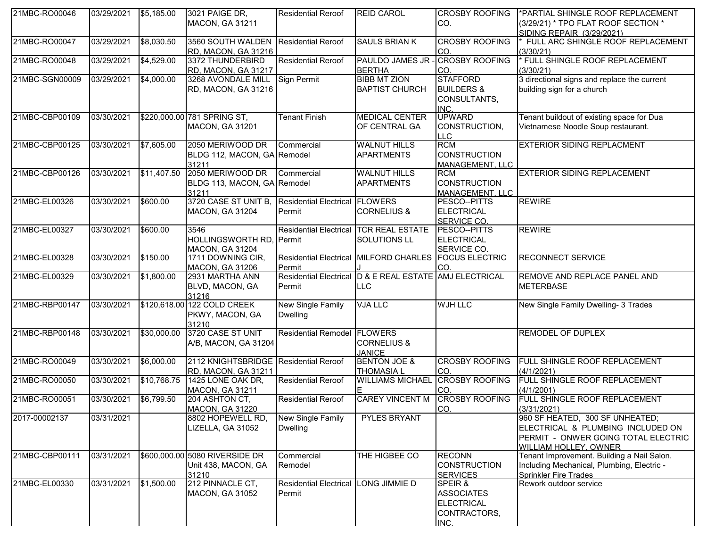| 21MBC-RO00046  | 03/29/2021 | \$5,185.00  | 3021 PAIGE DR,<br>MACON, GA 31211                                   | <b>Residential Reroof</b>                   | <b>REID CAROL</b>                                              | <b>CROSBY ROOFING</b><br>CO.                                              | *PARTIAL SHINGLE ROOF REPLACEMENT<br>(3/29/21) * TPO FLAT ROOF SECTION *<br>SIDING REPAIR (3/29/2021)                                |
|----------------|------------|-------------|---------------------------------------------------------------------|---------------------------------------------|----------------------------------------------------------------|---------------------------------------------------------------------------|--------------------------------------------------------------------------------------------------------------------------------------|
| 21MBC-RO00047  | 03/29/2021 | \$8,030.50  | 3560 SOUTH WALDEN Residential Reroof<br>RD, MACON, GA 31216         |                                             | <b>SAULS BRIAN K</b>                                           | <b>CROSBY ROOFING</b><br>CO.                                              | FULL ARC SHINGLE ROOF REPLACEMENT<br>(3/30/21)                                                                                       |
| 21MBC-RO00048  | 03/29/2021 | \$4,529.00  | 3372 THUNDERBIRD<br>RD, MACON, GA 31217                             | <b>Residential Reroof</b>                   | PAULDO JAMES JR - CROSBY ROOFING<br><b>BERTHA</b>              | CO.                                                                       | FULL SHINGLE ROOF REPLACEMENT<br>(3/30/21)                                                                                           |
| 21MBC-SGN00009 | 03/29/2021 | \$4,000.00  | 3268 AVONDALE MILL Sign Permit<br>RD, MACON, GA 31216               |                                             | <b>BIBB MT ZION</b><br><b>BAPTIST CHURCH</b>                   | <b>STAFFORD</b><br><b>BUILDERS &amp;</b><br>CONSULTANTS,<br>INC.          | 3 directional signs and replace the current<br>building sign for a church                                                            |
| 21MBC-CBP00109 | 03/30/2021 |             | \$220,000.00 781 SPRING ST,<br><b>MACON, GA 31201</b>               | <b>Tenant Finish</b>                        | <b>MEDICAL CENTER</b><br>OF CENTRAL GA                         | <b>UPWARD</b><br>CONSTRUCTION,<br><b>LLC</b>                              | Tenant buildout of existing space for Dua<br>Vietnamese Noodle Soup restaurant.                                                      |
| 21MBC-CBP00125 | 03/30/2021 | \$7,605.00  | 2050 MERIWOOD DR<br>BLDG 112, MACON, GA Remodel<br>31211            | Commercial                                  | <b>WALNUT HILLS</b><br><b>APARTMENTS</b>                       | <b>RCM</b><br><b>CONSTRUCTION</b><br>MANAGEMENT. LLC                      | <b>EXTERIOR SIDING REPLACMENT</b>                                                                                                    |
| 21MBC-CBP00126 | 03/30/2021 | \$11,407.50 | 2050 MERIWOOD DR Commercial<br>BLDG 113, MACON, GA Remodel<br>31211 |                                             | <b>WALNUT HILLS</b><br><b>APARTMENTS</b>                       | <b>RCM</b><br><b>CONSTRUCTION</b><br><b>MANAGEMENT, LLC</b>               | <b>EXTERIOR SIDING REPLACEMENT</b>                                                                                                   |
| 21MBC-EL00326  | 03/30/2021 | \$600.00    | 3720 CASE ST UNIT B. Residential Electrical<br>MACON, GA 31204      | Permit                                      | <b>FLOWERS</b><br><b>CORNELIUS &amp;</b>                       | PESCO--PITTS<br>ELECTRICAL<br>SERVICE CO.                                 | <b>REWIRE</b>                                                                                                                        |
| 21MBC-EL00327  | 03/30/2021 | \$600.00    | 3546<br>HOLLINGSWORTH RD, Permit<br><b>MACON, GA 31204</b>          | <b>Residential Electrical</b>               | <b>TCR REAL ESTATE</b><br>SOLUTIONS LL                         | PESCO--PITTS<br>ELECTRICAL<br>SERVICE CO.                                 | <b>REWIRE</b>                                                                                                                        |
| 21MBC-EL00328  | 03/30/2021 | \$150.00    | 1711 DOWNING CIR,<br><b>MACON, GA 31206</b>                         | <b>Residential Electrical</b><br>Permit     | <b>MILFORD CHARLES</b>                                         | <b>FOCUS ELECTRIC</b><br>CO.                                              | <b>RECONNECT SERVICE</b>                                                                                                             |
| 21MBC-EL00329  | 03/30/2021 | \$1,800.00  | 2931 MARTHA ANN<br>BLVD, MACON, GA<br>31216                         | Permit                                      | Residential Electrical D & E REAL ESTATE AMJ ELECTRICAL<br>LLC |                                                                           | REMOVE AND REPLACE PANEL AND<br><b>METERBASE</b>                                                                                     |
| 21MBC-RBP00147 | 03/30/2021 |             | \$120,618.00 122 COLD CREEK<br>PKWY, MACON, GA<br>31210             | New Single Family<br><b>Dwelling</b>        | <b>VJA LLC</b>                                                 | <b>WJH LLC</b>                                                            | New Single Family Dwelling- 3 Trades                                                                                                 |
| 21MBC-RBP00148 | 03/30/2021 | \$30,000.00 | 3720 CASE ST UNIT<br>A/B, MACON, GA 31204                           | <b>Residential Remodel</b>                  | <b>FLOWERS</b><br><b>CORNELIUS &amp;</b><br><b>JANICE</b>      |                                                                           | <b>REMODEL OF DUPLEX</b>                                                                                                             |
| 21MBC-RO00049  | 03/30/2021 | \$6,000.00  | 2112 KNIGHTSBRIDGE Residential Reroof<br>RD, MACON, GA 31211        |                                             | <b>BENTON JOE &amp;</b><br><b>THOMASIA L</b>                   | <b>CROSBY ROOFING</b><br>CO.                                              | FULL SHINGLE ROOF REPLACEMENT<br>(4/1/2021)                                                                                          |
| 21MBC-RO00050  | 03/30/2021 | \$10,768.75 | 1425 LONE OAK DR,<br><b>MACON, GA 31211</b>                         | <b>Residential Reroof</b>                   | WILLIAMS MICHAEL CROSBY ROOFING                                | CO.                                                                       | FULL SHINGLE ROOF REPLACEMENT<br>(4/1/2001)                                                                                          |
| 21MBC-RO00051  | 03/30/2021 | \$6,799.50  | 204 ASHTON CT,<br>IMACON. GA 31220.                                 | <b>Residential Reroof</b>                   | <b>CAREY VINCENT M</b>                                         | <b>CROSBY ROOFING</b><br>ICO.                                             | <b>FULL SHINGLE ROOF REPLACEMENT</b><br>(3/31/2021)                                                                                  |
| 2017-00002137  | 03/31/2021 |             | 8802 HOPEWELL RD,<br>LIZELLA, GA 31052                              | <b>New Single Family</b><br><b>Dwelling</b> | <b>PYLES BRYANT</b>                                            |                                                                           | 960 SF HEATED, 300 SF UNHEATED;<br>ELECTRICAL & PLUMBING INCLUDED ON<br>PERMIT - ONWER GOING TOTAL ELECTRIC<br>WILLIAM HOLLEY, OWNER |
| 21MBC-CBP00111 | 03/31/2021 |             | \$600,000.00 5080 RIVERSIDE DR<br>Unit 438, MACON, GA<br>31210      | Commercial<br>Remodel                       | THE HIGBEE CO                                                  | <b>RECONN</b><br><b>CONSTRUCTION</b><br><b>SERVICES</b>                   | Tenant Improvement. Building a Nail Salon.<br>Including Mechanical, Plumbing, Electric -<br><b>Sprinkler Fire Trades</b>             |
| 21MBC-EL00330  | 03/31/2021 | \$1,500.00  | 212 PINNACLE CT,<br><b>MACON, GA 31052</b>                          | <b>Residential Electrical</b><br>Permit     | LONG JIMMIE D                                                  | SPEIR &<br><b>ASSOCIATES</b><br><b>ELECTRICAL</b><br>CONTRACTORS,<br>INC. | Rework outdoor service                                                                                                               |